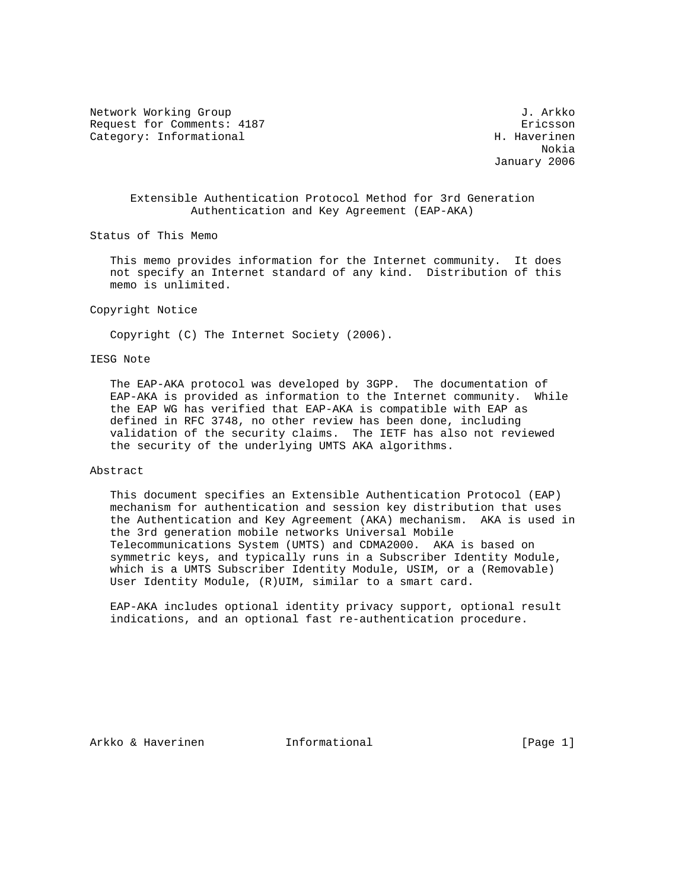Network Working Group 3. Arkko J. Arkko J. Arkko Request for Comments: 4187 ericsson Category: Informational example of the contraction of the H. Haverinen

 Nokia January 2006

# Extensible Authentication Protocol Method for 3rd Generation Authentication and Key Agreement (EAP-AKA)

Status of This Memo

 This memo provides information for the Internet community. It does not specify an Internet standard of any kind. Distribution of this memo is unlimited.

#### Copyright Notice

Copyright (C) The Internet Society (2006).

## IESG Note

 The EAP-AKA protocol was developed by 3GPP. The documentation of EAP-AKA is provided as information to the Internet community. While the EAP WG has verified that EAP-AKA is compatible with EAP as defined in RFC 3748, no other review has been done, including validation of the security claims. The IETF has also not reviewed the security of the underlying UMTS AKA algorithms.

#### Abstract

 This document specifies an Extensible Authentication Protocol (EAP) mechanism for authentication and session key distribution that uses the Authentication and Key Agreement (AKA) mechanism. AKA is used in the 3rd generation mobile networks Universal Mobile Telecommunications System (UMTS) and CDMA2000. AKA is based on symmetric keys, and typically runs in a Subscriber Identity Module, which is a UMTS Subscriber Identity Module, USIM, or a (Removable) User Identity Module, (R)UIM, similar to a smart card.

 EAP-AKA includes optional identity privacy support, optional result indications, and an optional fast re-authentication procedure.

Arkko & Haverinen 1nformational (Page 1)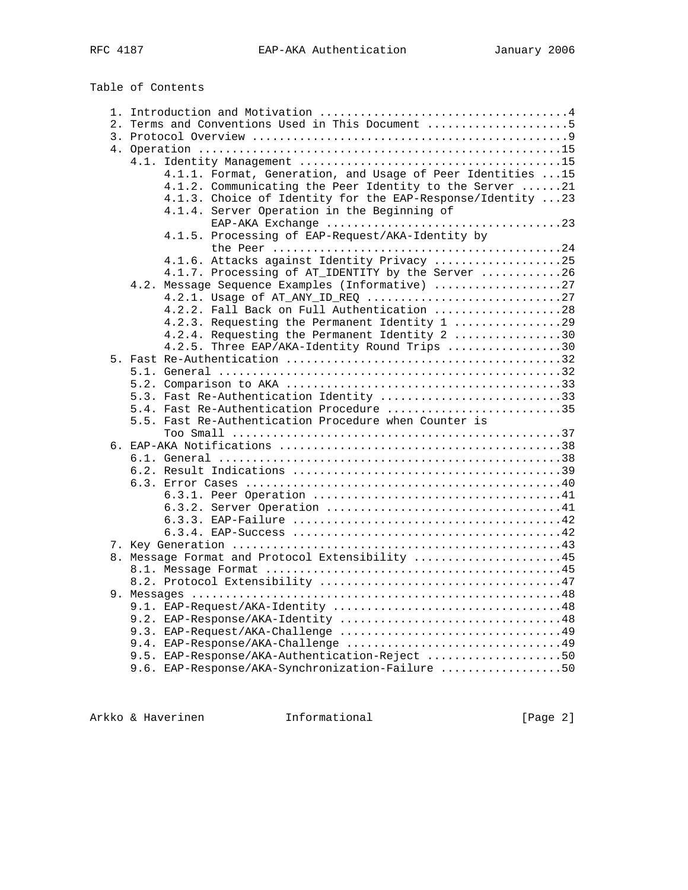Table of Contents

|  |  | 2. Terms and Conventions Used in This Document 5            |  |  |  |  |
|--|--|-------------------------------------------------------------|--|--|--|--|
|  |  |                                                             |  |  |  |  |
|  |  |                                                             |  |  |  |  |
|  |  |                                                             |  |  |  |  |
|  |  | 4.1.1. Format, Generation, and Usage of Peer Identities  15 |  |  |  |  |
|  |  | 4.1.2. Communicating the Peer Identity to the Server 21     |  |  |  |  |
|  |  | 4.1.3. Choice of Identity for the EAP-Response/Identity 23  |  |  |  |  |
|  |  | 4.1.4. Server Operation in the Beginning of                 |  |  |  |  |
|  |  |                                                             |  |  |  |  |
|  |  | 4.1.5. Processing of EAP-Request/AKA-Identity by            |  |  |  |  |
|  |  |                                                             |  |  |  |  |
|  |  | 4.1.6. Attacks against Identity Privacy 25                  |  |  |  |  |
|  |  | 4.1.7. Processing of AT_IDENTITY by the Server 26           |  |  |  |  |
|  |  | 4.2. Message Sequence Examples (Informative) 27             |  |  |  |  |
|  |  | 4.2.1. Usage of AT_ANY_ID_REQ 27                            |  |  |  |  |
|  |  | 4.2.2. Fall Back on Full Authentication 28                  |  |  |  |  |
|  |  | 4.2.3. Requesting the Permanent Identity 1 29               |  |  |  |  |
|  |  | 4.2.4. Requesting the Permanent Identity 2 30               |  |  |  |  |
|  |  | 4.2.5. Three EAP/AKA-Identity Round Trips 30                |  |  |  |  |
|  |  |                                                             |  |  |  |  |
|  |  |                                                             |  |  |  |  |
|  |  | 5.3. Fast Re-Authentication Identity 33                     |  |  |  |  |
|  |  | 5.4. Fast Re-Authentication Procedure 35                    |  |  |  |  |
|  |  | 5.5. Fast Re-Authentication Procedure when Counter is       |  |  |  |  |
|  |  |                                                             |  |  |  |  |
|  |  |                                                             |  |  |  |  |
|  |  |                                                             |  |  |  |  |
|  |  |                                                             |  |  |  |  |
|  |  |                                                             |  |  |  |  |
|  |  |                                                             |  |  |  |  |
|  |  |                                                             |  |  |  |  |
|  |  |                                                             |  |  |  |  |
|  |  |                                                             |  |  |  |  |
|  |  |                                                             |  |  |  |  |
|  |  | 8. Message Format and Protocol Extensibility 45             |  |  |  |  |
|  |  |                                                             |  |  |  |  |
|  |  |                                                             |  |  |  |  |
|  |  |                                                             |  |  |  |  |
|  |  |                                                             |  |  |  |  |
|  |  | 9.2. EAP-Response/AKA-Identity 48                           |  |  |  |  |
|  |  | 9.3. EAP-Request/AKA-Challenge 49                           |  |  |  |  |
|  |  |                                                             |  |  |  |  |
|  |  | 9.5. EAP-Response/AKA-Authentication-Reject 50              |  |  |  |  |
|  |  | 9.6. EAP-Response/AKA-Synchronization-Failure 50            |  |  |  |  |

Arkko & Haverinen 1nformational 1999 [Page 2]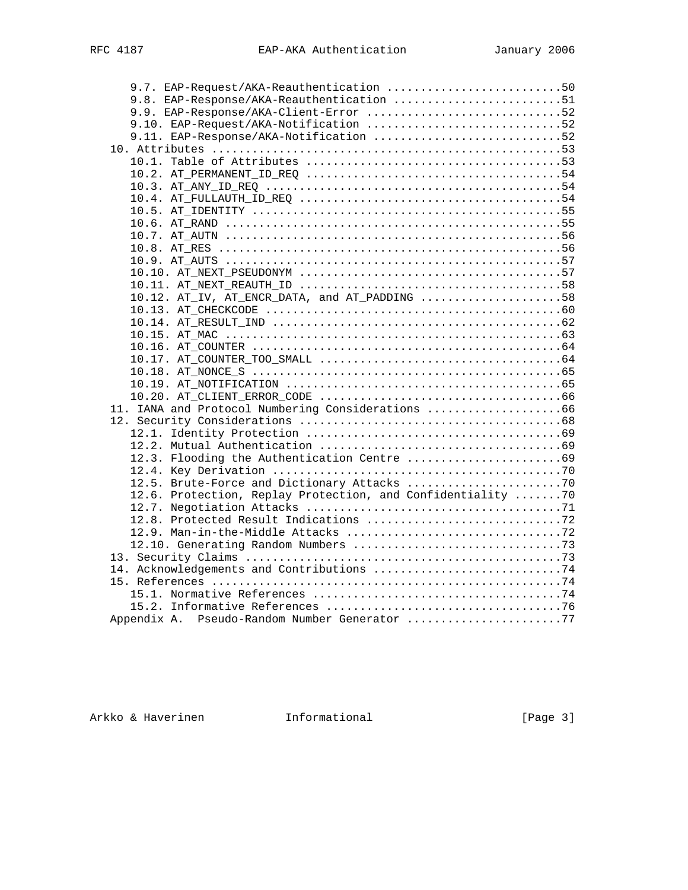| 9.7. EAP-Request/AKA-Reauthentication 50                    |  |
|-------------------------------------------------------------|--|
| 9.8. EAP-Response/AKA-Reauthentication 51                   |  |
| 9.9. EAP-Response/AKA-Client-Error 52                       |  |
| 9.10. EAP-Request/AKA-Notification 52                       |  |
| 9.11. EAP-Response/AKA-Notification 52                      |  |
|                                                             |  |
|                                                             |  |
|                                                             |  |
|                                                             |  |
|                                                             |  |
|                                                             |  |
|                                                             |  |
|                                                             |  |
|                                                             |  |
|                                                             |  |
|                                                             |  |
|                                                             |  |
| 10.12. AT_IV, AT_ENCR_DATA, and AT_PADDING 58               |  |
|                                                             |  |
|                                                             |  |
|                                                             |  |
|                                                             |  |
|                                                             |  |
|                                                             |  |
|                                                             |  |
|                                                             |  |
| 11. IANA and Protocol Numbering Considerations 66           |  |
|                                                             |  |
|                                                             |  |
|                                                             |  |
|                                                             |  |
|                                                             |  |
|                                                             |  |
| 12.6. Protection, Replay Protection, and Confidentiality 70 |  |
|                                                             |  |
|                                                             |  |
|                                                             |  |
|                                                             |  |
|                                                             |  |
|                                                             |  |
|                                                             |  |
|                                                             |  |
|                                                             |  |
| Appendix A. Pseudo-Random Number Generator 77               |  |
|                                                             |  |

Arkko & Haverinen 1nformational 1999 [Page 3]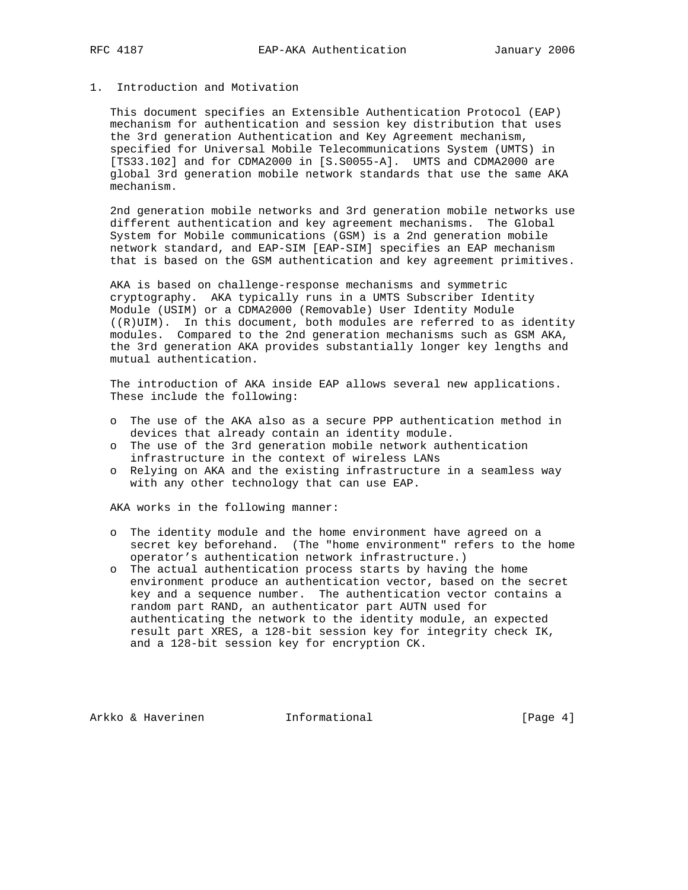# 1. Introduction and Motivation

 This document specifies an Extensible Authentication Protocol (EAP) mechanism for authentication and session key distribution that uses the 3rd generation Authentication and Key Agreement mechanism, specified for Universal Mobile Telecommunications System (UMTS) in [TS33.102] and for CDMA2000 in [S.S0055-A]. UMTS and CDMA2000 are global 3rd generation mobile network standards that use the same AKA mechanism.

 2nd generation mobile networks and 3rd generation mobile networks use different authentication and key agreement mechanisms. The Global System for Mobile communications (GSM) is a 2nd generation mobile network standard, and EAP-SIM [EAP-SIM] specifies an EAP mechanism that is based on the GSM authentication and key agreement primitives.

 AKA is based on challenge-response mechanisms and symmetric cryptography. AKA typically runs in a UMTS Subscriber Identity Module (USIM) or a CDMA2000 (Removable) User Identity Module ((R)UIM). In this document, both modules are referred to as identity modules. Compared to the 2nd generation mechanisms such as GSM AKA, the 3rd generation AKA provides substantially longer key lengths and mutual authentication.

 The introduction of AKA inside EAP allows several new applications. These include the following:

- o The use of the AKA also as a secure PPP authentication method in devices that already contain an identity module.
- o The use of the 3rd generation mobile network authentication infrastructure in the context of wireless LANs
- o Relying on AKA and the existing infrastructure in a seamless way with any other technology that can use EAP.

AKA works in the following manner:

- o The identity module and the home environment have agreed on a secret key beforehand. (The "home environment" refers to the home operator's authentication network infrastructure.)
- o The actual authentication process starts by having the home environment produce an authentication vector, based on the secret key and a sequence number. The authentication vector contains a random part RAND, an authenticator part AUTN used for authenticating the network to the identity module, an expected result part XRES, a 128-bit session key for integrity check IK, and a 128-bit session key for encryption CK.

Arkko & Haverinen 1nformational (Page 4)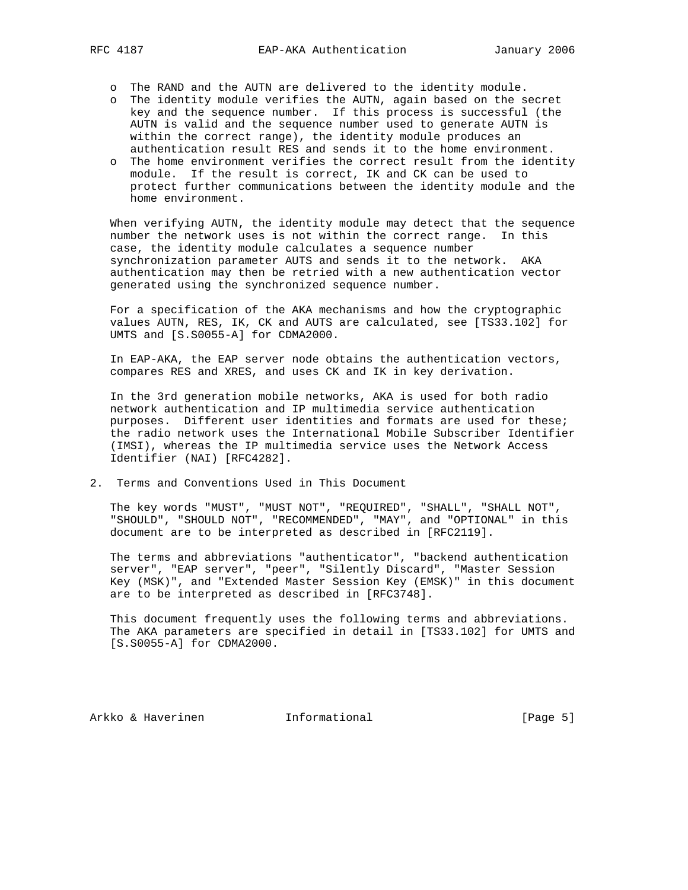- o The RAND and the AUTN are delivered to the identity module.
- o The identity module verifies the AUTN, again based on the secret key and the sequence number. If this process is successful (the AUTN is valid and the sequence number used to generate AUTN is within the correct range), the identity module produces an authentication result RES and sends it to the home environment.
- o The home environment verifies the correct result from the identity module. If the result is correct, IK and CK can be used to protect further communications between the identity module and the home environment.

 When verifying AUTN, the identity module may detect that the sequence number the network uses is not within the correct range. In this case, the identity module calculates a sequence number synchronization parameter AUTS and sends it to the network. AKA authentication may then be retried with a new authentication vector generated using the synchronized sequence number.

 For a specification of the AKA mechanisms and how the cryptographic values AUTN, RES, IK, CK and AUTS are calculated, see [TS33.102] for UMTS and [S.S0055-A] for CDMA2000.

 In EAP-AKA, the EAP server node obtains the authentication vectors, compares RES and XRES, and uses CK and IK in key derivation.

 In the 3rd generation mobile networks, AKA is used for both radio network authentication and IP multimedia service authentication purposes. Different user identities and formats are used for these; the radio network uses the International Mobile Subscriber Identifier (IMSI), whereas the IP multimedia service uses the Network Access Identifier (NAI) [RFC4282].

2. Terms and Conventions Used in This Document

 The key words "MUST", "MUST NOT", "REQUIRED", "SHALL", "SHALL NOT", "SHOULD", "SHOULD NOT", "RECOMMENDED", "MAY", and "OPTIONAL" in this document are to be interpreted as described in [RFC2119].

 The terms and abbreviations "authenticator", "backend authentication server", "EAP server", "peer", "Silently Discard", "Master Session Key (MSK)", and "Extended Master Session Key (EMSK)" in this document are to be interpreted as described in [RFC3748].

 This document frequently uses the following terms and abbreviations. The AKA parameters are specified in detail in [TS33.102] for UMTS and [S.S0055-A] for CDMA2000.

Arkko & Haverinen 1nformational (Page 5)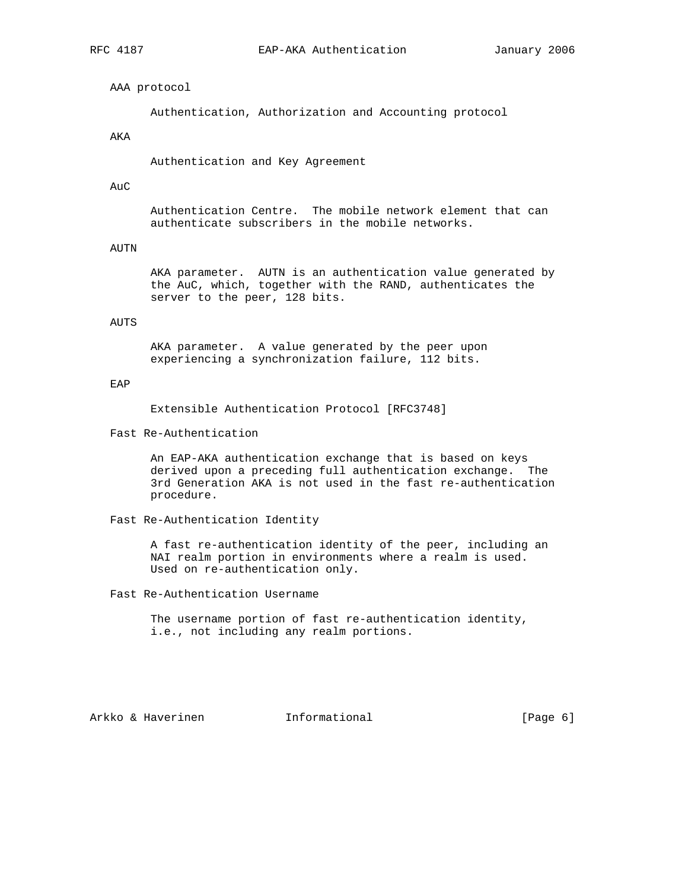AAA protocol

Authentication, Authorization and Accounting protocol

# AKA

Authentication and Key Agreement

#### AuC

 Authentication Centre. The mobile network element that can authenticate subscribers in the mobile networks.

# AUTN

 AKA parameter. AUTN is an authentication value generated by the AuC, which, together with the RAND, authenticates the server to the peer, 128 bits.

# AUTS

 AKA parameter. A value generated by the peer upon experiencing a synchronization failure, 112 bits.

### EAP

Extensible Authentication Protocol [RFC3748]

Fast Re-Authentication

 An EAP-AKA authentication exchange that is based on keys derived upon a preceding full authentication exchange. The 3rd Generation AKA is not used in the fast re-authentication procedure.

Fast Re-Authentication Identity

 A fast re-authentication identity of the peer, including an NAI realm portion in environments where a realm is used. Used on re-authentication only.

Fast Re-Authentication Username

 The username portion of fast re-authentication identity, i.e., not including any realm portions.

Arkko & Haverinen 1nformational (Page 6)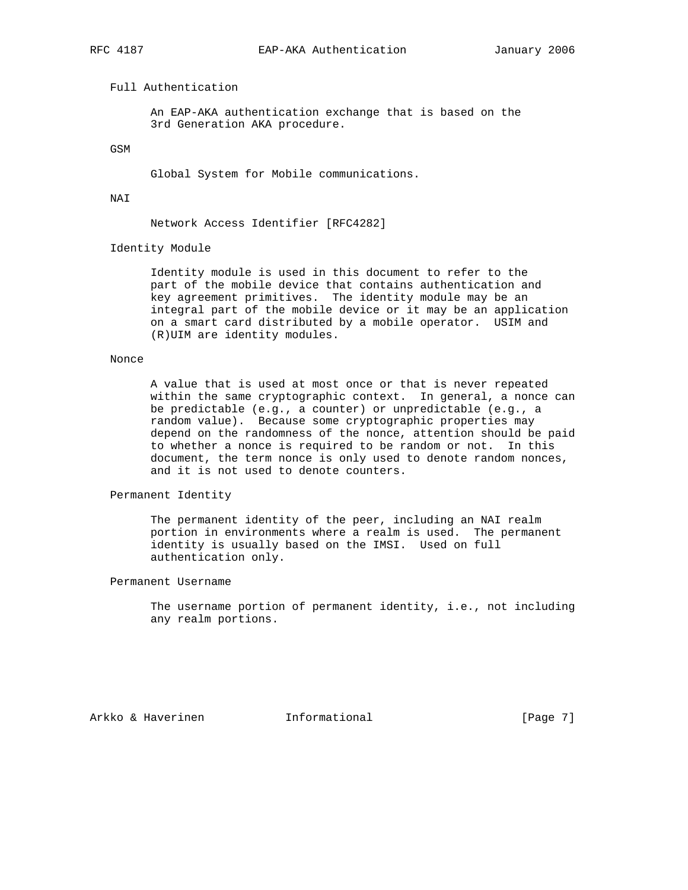# Full Authentication

 An EAP-AKA authentication exchange that is based on the 3rd Generation AKA procedure.

GSM

Global System for Mobile communications.

NAI

Network Access Identifier [RFC4282]

Identity Module

 Identity module is used in this document to refer to the part of the mobile device that contains authentication and key agreement primitives. The identity module may be an integral part of the mobile device or it may be an application on a smart card distributed by a mobile operator. USIM and (R)UIM are identity modules.

# Nonce

 A value that is used at most once or that is never repeated within the same cryptographic context. In general, a nonce can be predictable (e.g., a counter) or unpredictable (e.g., a random value). Because some cryptographic properties may depend on the randomness of the nonce, attention should be paid to whether a nonce is required to be random or not. In this document, the term nonce is only used to denote random nonces, and it is not used to denote counters.

Permanent Identity

 The permanent identity of the peer, including an NAI realm portion in environments where a realm is used. The permanent identity is usually based on the IMSI. Used on full authentication only.

Permanent Username

 The username portion of permanent identity, i.e., not including any realm portions.

Arkko & Haverinen 1nformational (Page 7)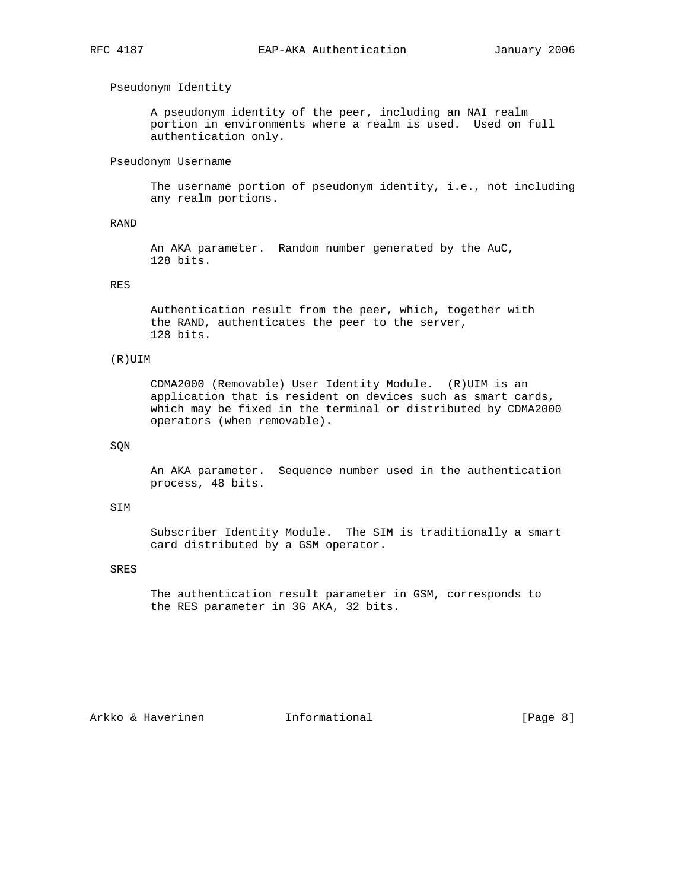# Pseudonym Identity

 A pseudonym identity of the peer, including an NAI realm portion in environments where a realm is used. Used on full authentication only.

## Pseudonym Username

 The username portion of pseudonym identity, i.e., not including any realm portions.

# RAND

 An AKA parameter. Random number generated by the AuC, 128 bits.

# RES

 Authentication result from the peer, which, together with the RAND, authenticates the peer to the server, 128 bits.

## (R)UIM

 CDMA2000 (Removable) User Identity Module. (R)UIM is an application that is resident on devices such as smart cards, which may be fixed in the terminal or distributed by CDMA2000 operators (when removable).

## SQN

 An AKA parameter. Sequence number used in the authentication process, 48 bits.

#### SIM

 Subscriber Identity Module. The SIM is traditionally a smart card distributed by a GSM operator.

## SRES

 The authentication result parameter in GSM, corresponds to the RES parameter in 3G AKA, 32 bits.

Arkko & Haverinen 1nformational (Page 8)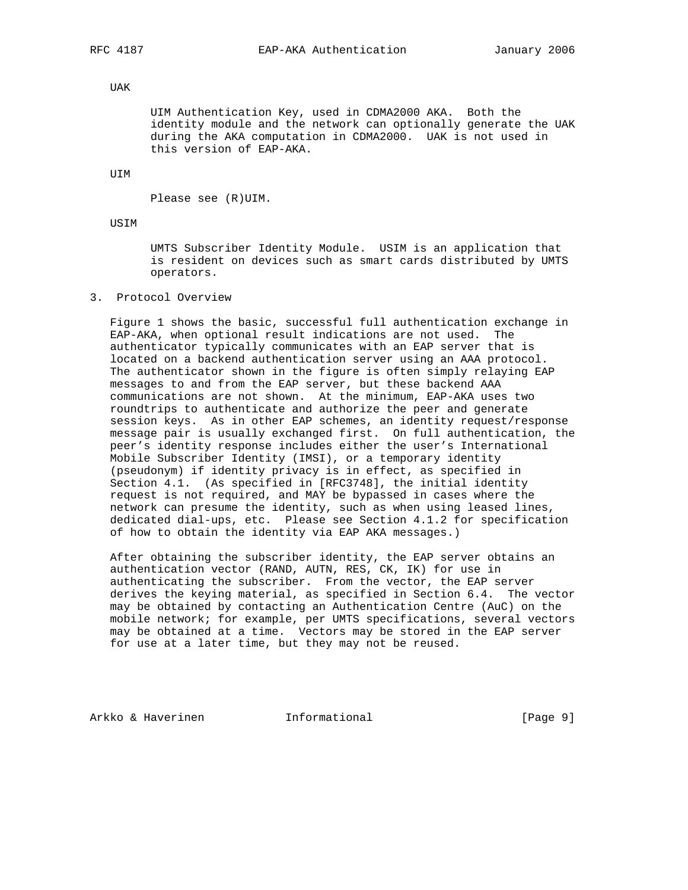# UAK

 UIM Authentication Key, used in CDMA2000 AKA. Both the identity module and the network can optionally generate the UAK during the AKA computation in CDMA2000. UAK is not used in this version of EAP-AKA.

UIM

Please see (R)UIM.

USIM

 UMTS Subscriber Identity Module. USIM is an application that is resident on devices such as smart cards distributed by UMTS operators.

### 3. Protocol Overview

 Figure 1 shows the basic, successful full authentication exchange in EAP-AKA, when optional result indications are not used. The authenticator typically communicates with an EAP server that is located on a backend authentication server using an AAA protocol. The authenticator shown in the figure is often simply relaying EAP messages to and from the EAP server, but these backend AAA communications are not shown. At the minimum, EAP-AKA uses two roundtrips to authenticate and authorize the peer and generate session keys. As in other EAP schemes, an identity request/response message pair is usually exchanged first. On full authentication, the peer's identity response includes either the user's International Mobile Subscriber Identity (IMSI), or a temporary identity (pseudonym) if identity privacy is in effect, as specified in Section 4.1. (As specified in [RFC3748], the initial identity request is not required, and MAY be bypassed in cases where the network can presume the identity, such as when using leased lines, dedicated dial-ups, etc. Please see Section 4.1.2 for specification of how to obtain the identity via EAP AKA messages.)

 After obtaining the subscriber identity, the EAP server obtains an authentication vector (RAND, AUTN, RES, CK, IK) for use in authenticating the subscriber. From the vector, the EAP server derives the keying material, as specified in Section 6.4. The vector may be obtained by contacting an Authentication Centre (AuC) on the mobile network; for example, per UMTS specifications, several vectors may be obtained at a time. Vectors may be stored in the EAP server for use at a later time, but they may not be reused.

Arkko & Haverinen 1nformational (Page 9)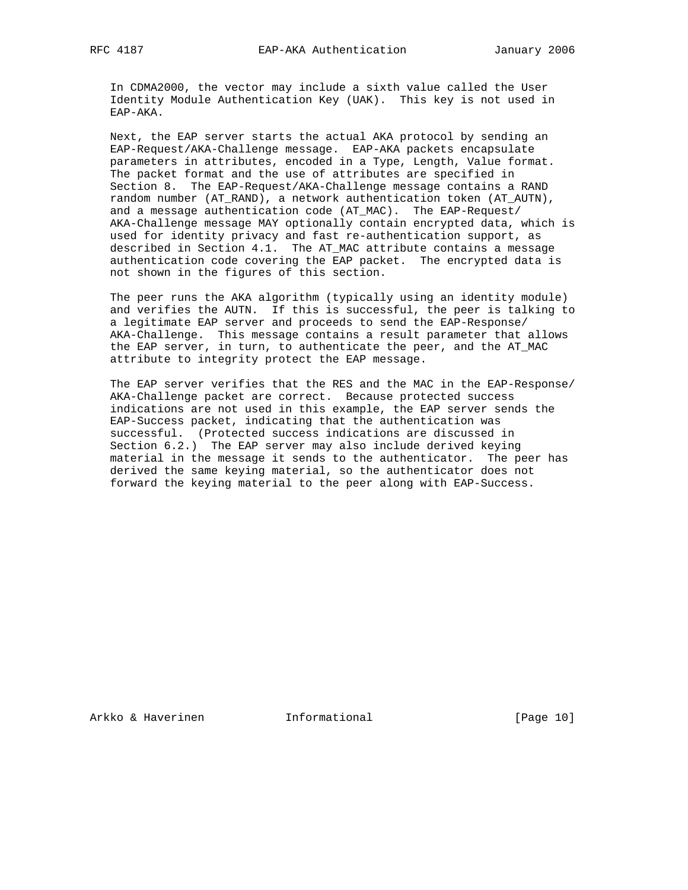In CDMA2000, the vector may include a sixth value called the User Identity Module Authentication Key (UAK). This key is not used in EAP-AKA.

 Next, the EAP server starts the actual AKA protocol by sending an EAP-Request/AKA-Challenge message. EAP-AKA packets encapsulate parameters in attributes, encoded in a Type, Length, Value format. The packet format and the use of attributes are specified in Section 8. The EAP-Request/AKA-Challenge message contains a RAND random number (AT\_RAND), a network authentication token (AT\_AUTN), and a message authentication code (AT\_MAC). The EAP-Request/ AKA-Challenge message MAY optionally contain encrypted data, which is used for identity privacy and fast re-authentication support, as described in Section 4.1. The AT\_MAC attribute contains a message authentication code covering the EAP packet. The encrypted data is not shown in the figures of this section.

 The peer runs the AKA algorithm (typically using an identity module) and verifies the AUTN. If this is successful, the peer is talking to a legitimate EAP server and proceeds to send the EAP-Response/ AKA-Challenge. This message contains a result parameter that allows the EAP server, in turn, to authenticate the peer, and the AT\_MAC attribute to integrity protect the EAP message.

 The EAP server verifies that the RES and the MAC in the EAP-Response/ AKA-Challenge packet are correct. Because protected success indications are not used in this example, the EAP server sends the EAP-Success packet, indicating that the authentication was successful. (Protected success indications are discussed in Section 6.2.) The EAP server may also include derived keying material in the message it sends to the authenticator. The peer has derived the same keying material, so the authenticator does not forward the keying material to the peer along with EAP-Success.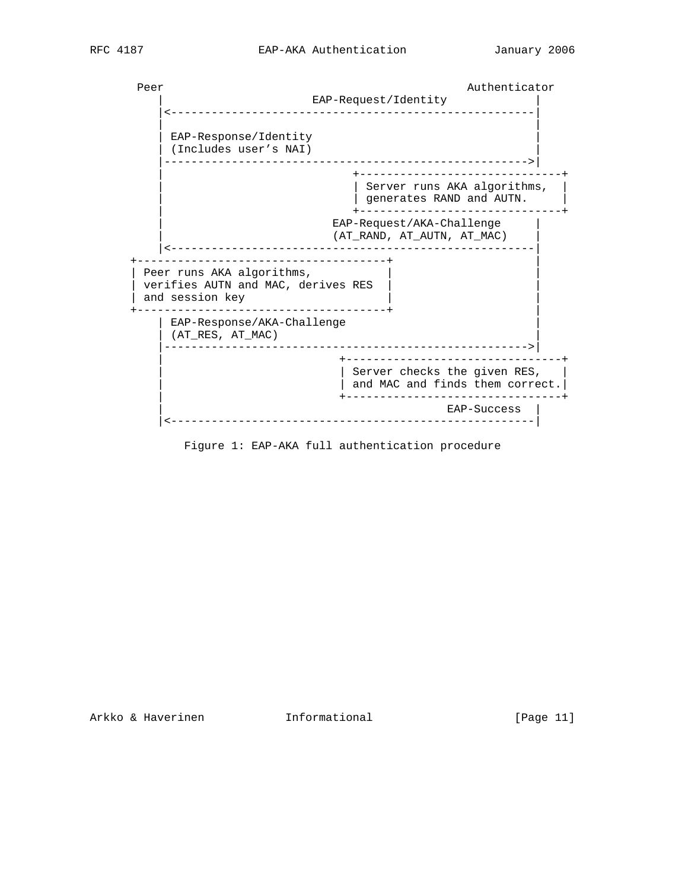Peer Authenticator EAP-Request/Identity |<------------------------------------------------------| | | EAP-Response/Identity | (Includes user's NAI) | |------------------------------------------------------>| | +------------------------------+ | Server runs AKA algorithms, | | | generates RAND and AUTN. | | +------------------------------+ EAP-Request/AKA-Challenge |  $(AT\_RAND, AT\_AUTN, AT\_MAC)$  |<------------------------------------------------------| +-------------------------------------+ | | Peer runs AKA algorithms, verifies AUTN and MAC, derives RES | and session key +-------------------------------------+ | | EAP-Response/AKA-Challenge | (AT\_RES, AT\_MAC) | |------------------------------------------------------>| | +--------------------------------+ | Server checks the given RES,  $|$  and MAC and finds them correct. | +--------------------------------+ | EAP-Success | |<------------------------------------------------------|

Figure 1: EAP-AKA full authentication procedure

Arkko & Haverinen 1nformational [Page 11]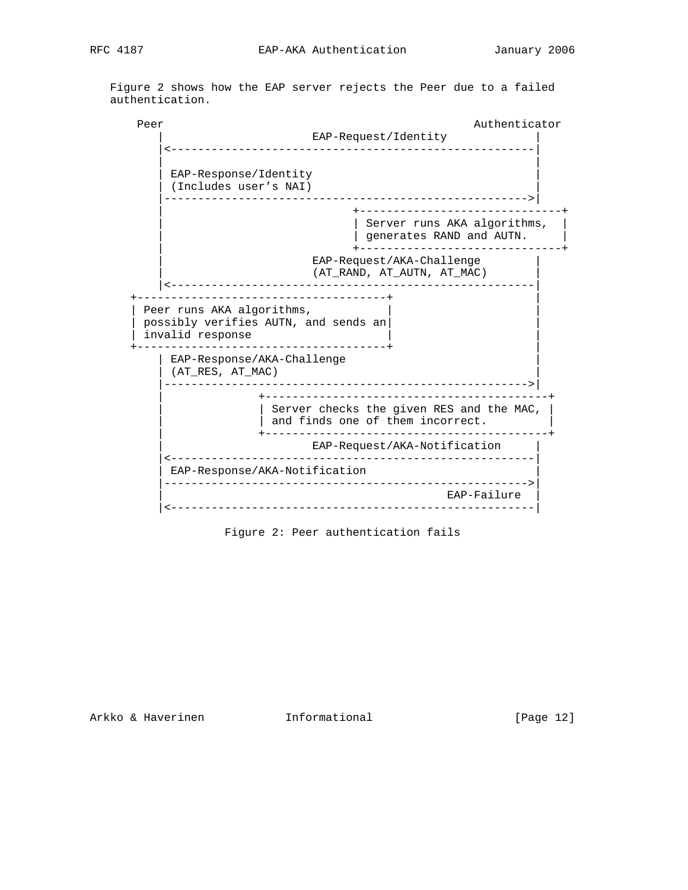Figure 2 shows how the EAP server rejects the Peer due to a failed authentication.

Peer Authenticator Authenticator EAP-Request/Identity |<------------------------------------------------------| | | | EAP-Response/Identity | | (Includes user's NAI) | |------------------------------------------------------>| | +------------------------------+ | Server runs AKA algorithms, | | | generates RAND and AUTN. | | +------------------------------+ EAP-Request/AKA-Challenge | (AT\_RAND, AT\_AUTN, AT\_MAC) | |<------------------------------------------------------| +-------------------------------------+ | | Peer runs AKA algorithms, | possibly verifies AUTN, and sends an| |  $|$  invalid response +-------------------------------------+ | | EAP-Response/AKA-Challenge |  $|$  (AT\_RES, AT\_MAC) |------------------------------------------------------>| | +------------------------------------------+ | Server checks the given RES and the MAC, | | and finds one of them incorrect. | +------------------------------------------+ EAP-Request/AKA-Notification | |<------------------------------------------------------| | EAP-Response/AKA-Notification | |------------------------------------------------------>| EAP-Failure | |<------------------------------------------------------|

Figure 2: Peer authentication fails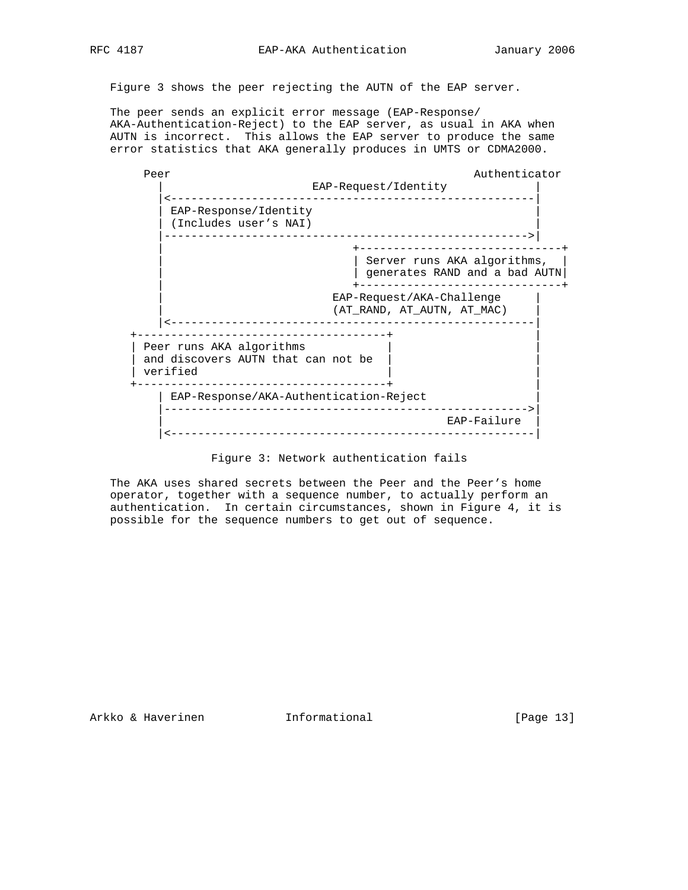Figure 3 shows the peer rejecting the AUTN of the EAP server.

 The peer sends an explicit error message (EAP-Response/ AKA-Authentication-Reject) to the EAP server, as usual in AKA when AUTN is incorrect. This allows the EAP server to produce the same error statistics that AKA generally produces in UMTS or CDMA2000.



Figure 3: Network authentication fails

 The AKA uses shared secrets between the Peer and the Peer's home operator, together with a sequence number, to actually perform an authentication. In certain circumstances, shown in Figure 4, it is possible for the sequence numbers to get out of sequence.

Arkko & Haverinen 1nformational [Page 13]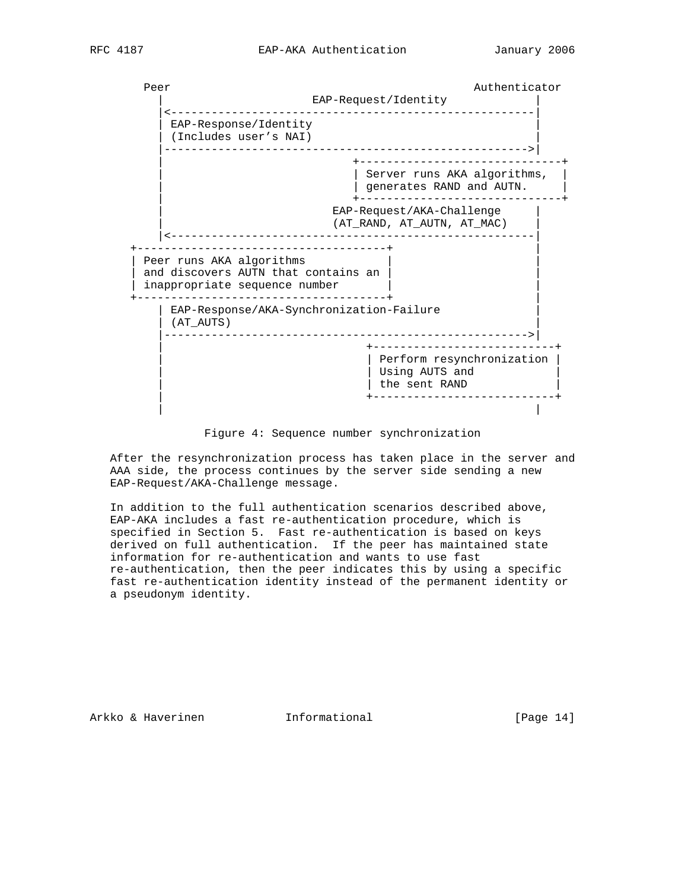



Figure 4: Sequence number synchronization

 After the resynchronization process has taken place in the server and AAA side, the process continues by the server side sending a new EAP-Request/AKA-Challenge message.

 In addition to the full authentication scenarios described above, EAP-AKA includes a fast re-authentication procedure, which is specified in Section 5. Fast re-authentication is based on keys derived on full authentication. If the peer has maintained state information for re-authentication and wants to use fast re-authentication, then the peer indicates this by using a specific fast re-authentication identity instead of the permanent identity or a pseudonym identity.

Arkko & Haverinen 1nformational 1999 [Page 14]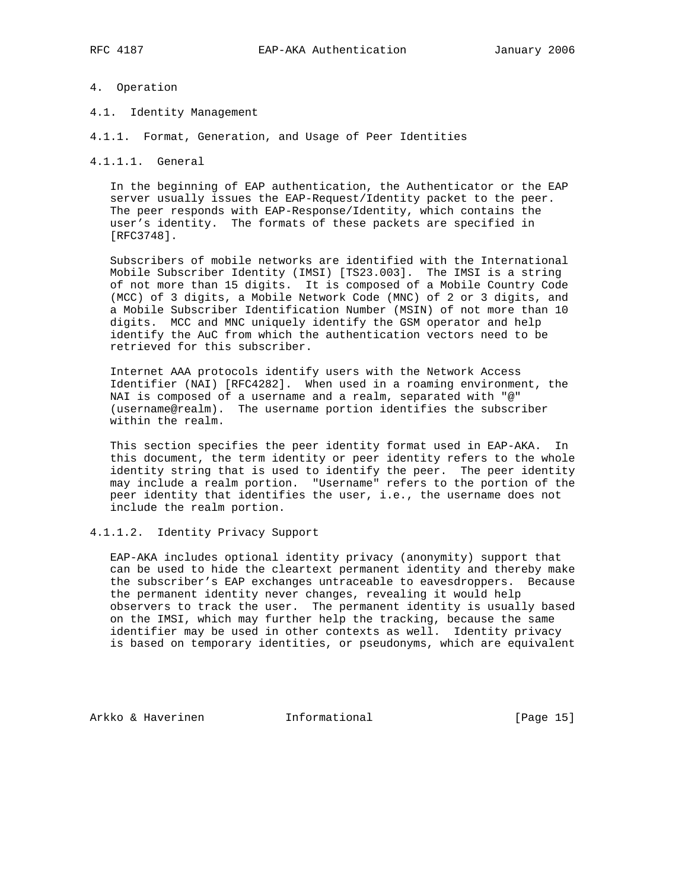# 4. Operation

- 4.1. Identity Management
- 4.1.1. Format, Generation, and Usage of Peer Identities

4.1.1.1. General

 In the beginning of EAP authentication, the Authenticator or the EAP server usually issues the EAP-Request/Identity packet to the peer. The peer responds with EAP-Response/Identity, which contains the user's identity. The formats of these packets are specified in [RFC3748].

 Subscribers of mobile networks are identified with the International Mobile Subscriber Identity (IMSI) [TS23.003]. The IMSI is a string of not more than 15 digits. It is composed of a Mobile Country Code (MCC) of 3 digits, a Mobile Network Code (MNC) of 2 or 3 digits, and a Mobile Subscriber Identification Number (MSIN) of not more than 10 digits. MCC and MNC uniquely identify the GSM operator and help identify the AuC from which the authentication vectors need to be retrieved for this subscriber.

 Internet AAA protocols identify users with the Network Access Identifier (NAI) [RFC4282]. When used in a roaming environment, the NAI is composed of a username and a realm, separated with "@" (username@realm). The username portion identifies the subscriber within the realm.

 This section specifies the peer identity format used in EAP-AKA. In this document, the term identity or peer identity refers to the whole identity string that is used to identify the peer. The peer identity may include a realm portion. "Username" refers to the portion of the peer identity that identifies the user, i.e., the username does not include the realm portion.

# 4.1.1.2. Identity Privacy Support

 EAP-AKA includes optional identity privacy (anonymity) support that can be used to hide the cleartext permanent identity and thereby make the subscriber's EAP exchanges untraceable to eavesdroppers. Because the permanent identity never changes, revealing it would help observers to track the user. The permanent identity is usually based on the IMSI, which may further help the tracking, because the same identifier may be used in other contexts as well. Identity privacy is based on temporary identities, or pseudonyms, which are equivalent

Arkko & Haverinen 1nformational 1999 [Page 15]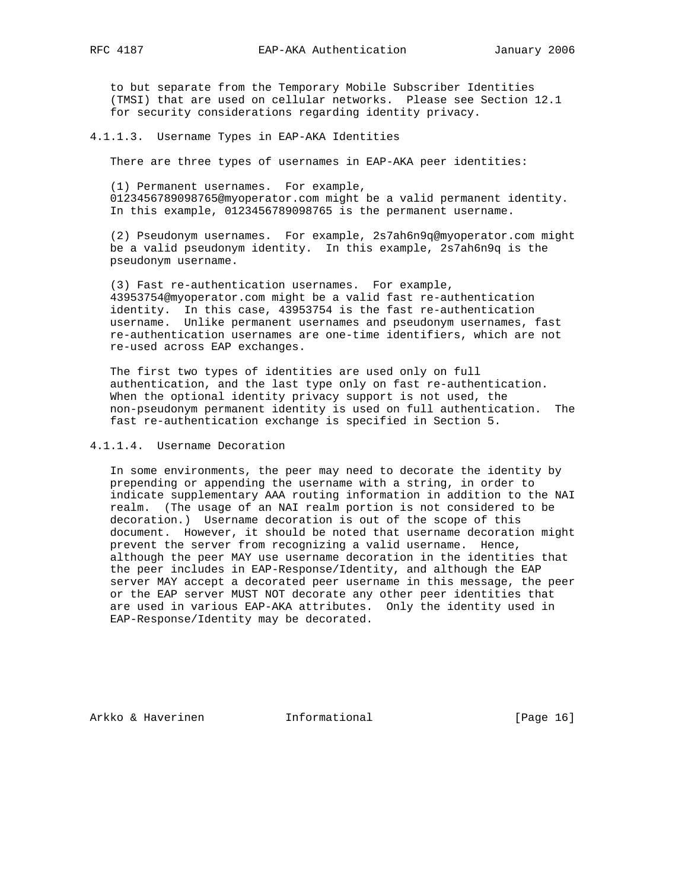to but separate from the Temporary Mobile Subscriber Identities (TMSI) that are used on cellular networks. Please see Section 12.1 for security considerations regarding identity privacy.

4.1.1.3. Username Types in EAP-AKA Identities

There are three types of usernames in EAP-AKA peer identities:

 (1) Permanent usernames. For example, 0123456789098765@myoperator.com might be a valid permanent identity. In this example, 0123456789098765 is the permanent username.

 (2) Pseudonym usernames. For example, 2s7ah6n9q@myoperator.com might be a valid pseudonym identity. In this example, 2s7ah6n9q is the pseudonym username.

 (3) Fast re-authentication usernames. For example, 43953754@myoperator.com might be a valid fast re-authentication identity. In this case, 43953754 is the fast re-authentication username. Unlike permanent usernames and pseudonym usernames, fast re-authentication usernames are one-time identifiers, which are not re-used across EAP exchanges.

 The first two types of identities are used only on full authentication, and the last type only on fast re-authentication. When the optional identity privacy support is not used, the non-pseudonym permanent identity is used on full authentication. The fast re-authentication exchange is specified in Section 5.

## 4.1.1.4. Username Decoration

 In some environments, the peer may need to decorate the identity by prepending or appending the username with a string, in order to indicate supplementary AAA routing information in addition to the NAI realm. (The usage of an NAI realm portion is not considered to be decoration.) Username decoration is out of the scope of this document. However, it should be noted that username decoration might prevent the server from recognizing a valid username. Hence, although the peer MAY use username decoration in the identities that the peer includes in EAP-Response/Identity, and although the EAP server MAY accept a decorated peer username in this message, the peer or the EAP server MUST NOT decorate any other peer identities that are used in various EAP-AKA attributes. Only the identity used in EAP-Response/Identity may be decorated.

Arkko & Haverinen 1nformational (Page 16)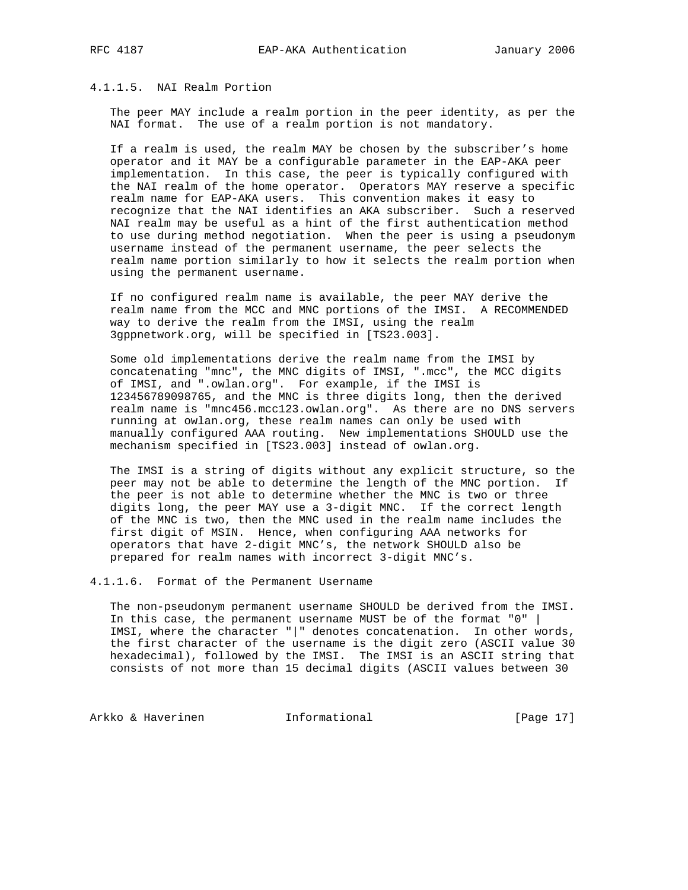# 4.1.1.5. NAI Realm Portion

 The peer MAY include a realm portion in the peer identity, as per the NAI format. The use of a realm portion is not mandatory.

 If a realm is used, the realm MAY be chosen by the subscriber's home operator and it MAY be a configurable parameter in the EAP-AKA peer implementation. In this case, the peer is typically configured with the NAI realm of the home operator. Operators MAY reserve a specific realm name for EAP-AKA users. This convention makes it easy to recognize that the NAI identifies an AKA subscriber. Such a reserved NAI realm may be useful as a hint of the first authentication method to use during method negotiation. When the peer is using a pseudonym username instead of the permanent username, the peer selects the realm name portion similarly to how it selects the realm portion when using the permanent username.

 If no configured realm name is available, the peer MAY derive the realm name from the MCC and MNC portions of the IMSI. A RECOMMENDED way to derive the realm from the IMSI, using the realm 3gppnetwork.org, will be specified in [TS23.003].

 Some old implementations derive the realm name from the IMSI by concatenating "mnc", the MNC digits of IMSI, ".mcc", the MCC digits of IMSI, and ".owlan.org". For example, if the IMSI is 123456789098765, and the MNC is three digits long, then the derived realm name is "mnc456.mcc123.owlan.org". As there are no DNS servers running at owlan.org, these realm names can only be used with manually configured AAA routing. New implementations SHOULD use the mechanism specified in [TS23.003] instead of owlan.org.

 The IMSI is a string of digits without any explicit structure, so the peer may not be able to determine the length of the MNC portion. If the peer is not able to determine whether the MNC is two or three digits long, the peer MAY use a 3-digit MNC. If the correct length of the MNC is two, then the MNC used in the realm name includes the first digit of MSIN. Hence, when configuring AAA networks for operators that have 2-digit MNC's, the network SHOULD also be prepared for realm names with incorrect 3-digit MNC's.

4.1.1.6. Format of the Permanent Username

 The non-pseudonym permanent username SHOULD be derived from the IMSI. In this case, the permanent username MUST be of the format "0" | IMSI, where the character "|" denotes concatenation. In other words, the first character of the username is the digit zero (ASCII value 30 hexadecimal), followed by the IMSI. The IMSI is an ASCII string that consists of not more than 15 decimal digits (ASCII values between 30

Arkko & Haverinen 1nformational [Page 17]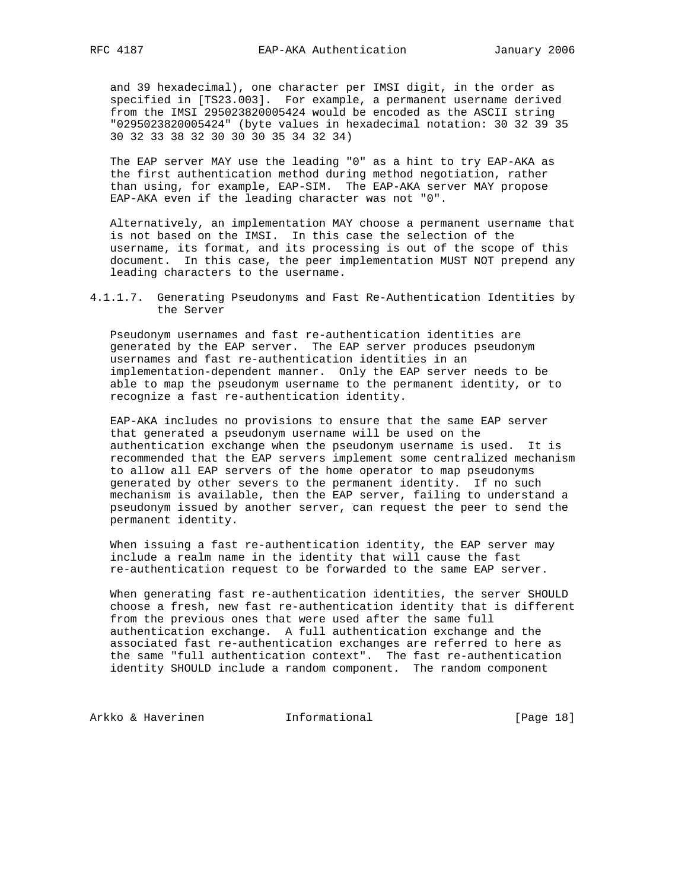and 39 hexadecimal), one character per IMSI digit, in the order as specified in [TS23.003]. For example, a permanent username derived from the IMSI 295023820005424 would be encoded as the ASCII string "0295023820005424" (byte values in hexadecimal notation: 30 32 39 35 30 32 33 38 32 30 30 30 35 34 32 34)

 The EAP server MAY use the leading "0" as a hint to try EAP-AKA as the first authentication method during method negotiation, rather than using, for example, EAP-SIM. The EAP-AKA server MAY propose EAP-AKA even if the leading character was not "0".

 Alternatively, an implementation MAY choose a permanent username that is not based on the IMSI. In this case the selection of the username, its format, and its processing is out of the scope of this document. In this case, the peer implementation MUST NOT prepend any leading characters to the username.

4.1.1.7. Generating Pseudonyms and Fast Re-Authentication Identities by the Server

 Pseudonym usernames and fast re-authentication identities are generated by the EAP server. The EAP server produces pseudonym usernames and fast re-authentication identities in an implementation-dependent manner. Only the EAP server needs to be able to map the pseudonym username to the permanent identity, or to recognize a fast re-authentication identity.

 EAP-AKA includes no provisions to ensure that the same EAP server that generated a pseudonym username will be used on the authentication exchange when the pseudonym username is used. It is recommended that the EAP servers implement some centralized mechanism to allow all EAP servers of the home operator to map pseudonyms generated by other severs to the permanent identity. If no such mechanism is available, then the EAP server, failing to understand a pseudonym issued by another server, can request the peer to send the permanent identity.

 When issuing a fast re-authentication identity, the EAP server may include a realm name in the identity that will cause the fast re-authentication request to be forwarded to the same EAP server.

 When generating fast re-authentication identities, the server SHOULD choose a fresh, new fast re-authentication identity that is different from the previous ones that were used after the same full authentication exchange. A full authentication exchange and the associated fast re-authentication exchanges are referred to here as the same "full authentication context". The fast re-authentication identity SHOULD include a random component. The random component

Arkko & Haverinen 1nformational [Page 18]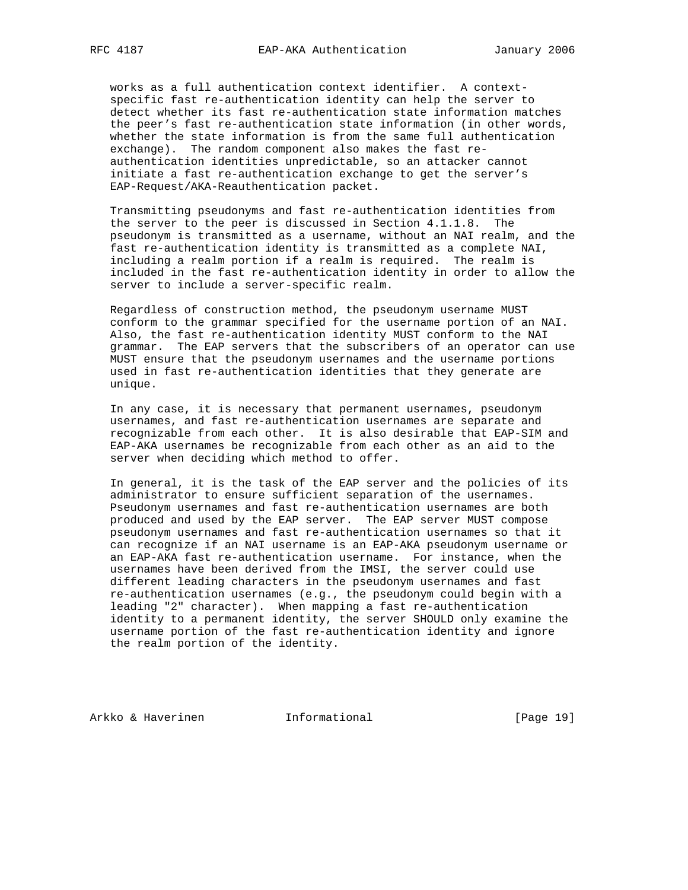works as a full authentication context identifier. A context specific fast re-authentication identity can help the server to detect whether its fast re-authentication state information matches the peer's fast re-authentication state information (in other words, whether the state information is from the same full authentication exchange). The random component also makes the fast re authentication identities unpredictable, so an attacker cannot initiate a fast re-authentication exchange to get the server's EAP-Request/AKA-Reauthentication packet.

 Transmitting pseudonyms and fast re-authentication identities from the server to the peer is discussed in Section 4.1.1.8. The pseudonym is transmitted as a username, without an NAI realm, and the fast re-authentication identity is transmitted as a complete NAI, including a realm portion if a realm is required. The realm is included in the fast re-authentication identity in order to allow the server to include a server-specific realm.

 Regardless of construction method, the pseudonym username MUST conform to the grammar specified for the username portion of an NAI. Also, the fast re-authentication identity MUST conform to the NAI grammar. The EAP servers that the subscribers of an operator can use MUST ensure that the pseudonym usernames and the username portions used in fast re-authentication identities that they generate are unique.

 In any case, it is necessary that permanent usernames, pseudonym usernames, and fast re-authentication usernames are separate and recognizable from each other. It is also desirable that EAP-SIM and EAP-AKA usernames be recognizable from each other as an aid to the server when deciding which method to offer.

 In general, it is the task of the EAP server and the policies of its administrator to ensure sufficient separation of the usernames. Pseudonym usernames and fast re-authentication usernames are both produced and used by the EAP server. The EAP server MUST compose pseudonym usernames and fast re-authentication usernames so that it can recognize if an NAI username is an EAP-AKA pseudonym username or an EAP-AKA fast re-authentication username. For instance, when the usernames have been derived from the IMSI, the server could use different leading characters in the pseudonym usernames and fast re-authentication usernames (e.g., the pseudonym could begin with a leading "2" character). When mapping a fast re-authentication identity to a permanent identity, the server SHOULD only examine the username portion of the fast re-authentication identity and ignore the realm portion of the identity.

Arkko & Haverinen Informational [Page 19]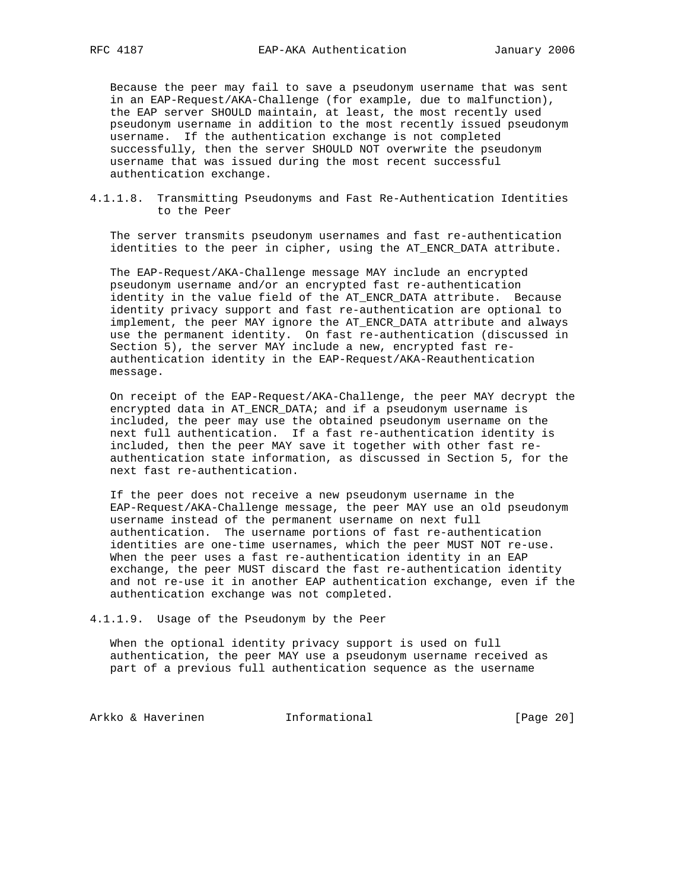Because the peer may fail to save a pseudonym username that was sent in an EAP-Request/AKA-Challenge (for example, due to malfunction), the EAP server SHOULD maintain, at least, the most recently used pseudonym username in addition to the most recently issued pseudonym username. If the authentication exchange is not completed successfully, then the server SHOULD NOT overwrite the pseudonym username that was issued during the most recent successful authentication exchange.

4.1.1.8. Transmitting Pseudonyms and Fast Re-Authentication Identities to the Peer

 The server transmits pseudonym usernames and fast re-authentication identities to the peer in cipher, using the AT\_ENCR\_DATA attribute.

 The EAP-Request/AKA-Challenge message MAY include an encrypted pseudonym username and/or an encrypted fast re-authentication identity in the value field of the AT\_ENCR\_DATA attribute. Because identity privacy support and fast re-authentication are optional to implement, the peer MAY ignore the AT\_ENCR\_DATA attribute and always use the permanent identity. On fast re-authentication (discussed in Section 5), the server MAY include a new, encrypted fast re authentication identity in the EAP-Request/AKA-Reauthentication message.

 On receipt of the EAP-Request/AKA-Challenge, the peer MAY decrypt the encrypted data in AT\_ENCR\_DATA; and if a pseudonym username is included, the peer may use the obtained pseudonym username on the next full authentication. If a fast re-authentication identity is included, then the peer MAY save it together with other fast re authentication state information, as discussed in Section 5, for the next fast re-authentication.

 If the peer does not receive a new pseudonym username in the EAP-Request/AKA-Challenge message, the peer MAY use an old pseudonym username instead of the permanent username on next full authentication. The username portions of fast re-authentication identities are one-time usernames, which the peer MUST NOT re-use. When the peer uses a fast re-authentication identity in an EAP exchange, the peer MUST discard the fast re-authentication identity and not re-use it in another EAP authentication exchange, even if the authentication exchange was not completed.

4.1.1.9. Usage of the Pseudonym by the Peer

 When the optional identity privacy support is used on full authentication, the peer MAY use a pseudonym username received as part of a previous full authentication sequence as the username

Arkko & Haverinen 1nformational [Page 20]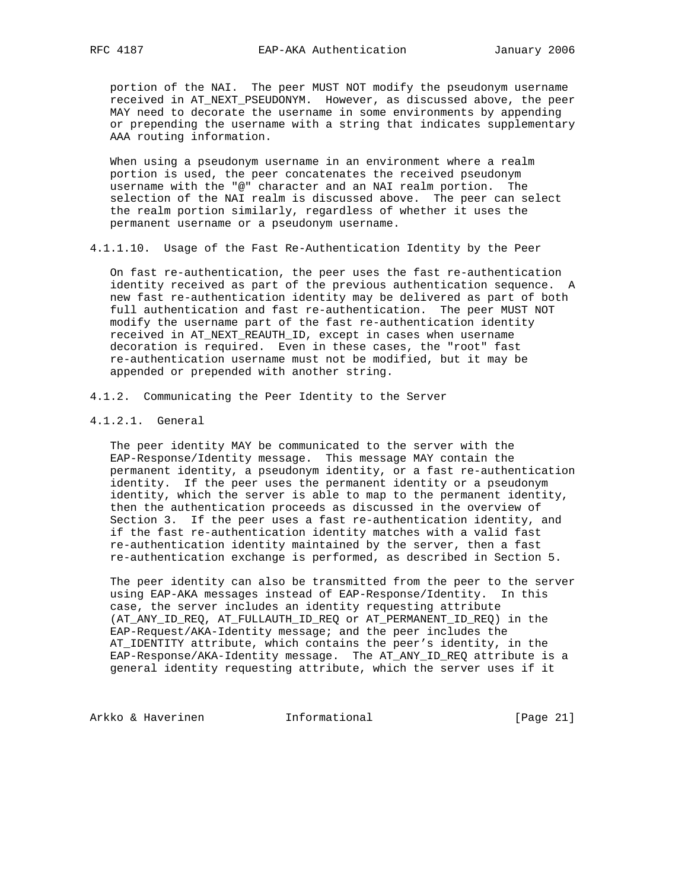portion of the NAI. The peer MUST NOT modify the pseudonym username received in AT\_NEXT\_PSEUDONYM. However, as discussed above, the peer MAY need to decorate the username in some environments by appending or prepending the username with a string that indicates supplementary AAA routing information.

 When using a pseudonym username in an environment where a realm portion is used, the peer concatenates the received pseudonym username with the "@" character and an NAI realm portion. The selection of the NAI realm is discussed above. The peer can select the realm portion similarly, regardless of whether it uses the permanent username or a pseudonym username.

4.1.1.10. Usage of the Fast Re-Authentication Identity by the Peer

 On fast re-authentication, the peer uses the fast re-authentication identity received as part of the previous authentication sequence. A new fast re-authentication identity may be delivered as part of both full authentication and fast re-authentication. The peer MUST NOT modify the username part of the fast re-authentication identity received in AT\_NEXT\_REAUTH\_ID, except in cases when username decoration is required. Even in these cases, the "root" fast re-authentication username must not be modified, but it may be appended or prepended with another string.

- 4.1.2. Communicating the Peer Identity to the Server
- 4.1.2.1. General

 The peer identity MAY be communicated to the server with the EAP-Response/Identity message. This message MAY contain the permanent identity, a pseudonym identity, or a fast re-authentication identity. If the peer uses the permanent identity or a pseudonym identity, which the server is able to map to the permanent identity, then the authentication proceeds as discussed in the overview of Section 3. If the peer uses a fast re-authentication identity, and if the fast re-authentication identity matches with a valid fast re-authentication identity maintained by the server, then a fast re-authentication exchange is performed, as described in Section 5.

 The peer identity can also be transmitted from the peer to the server using EAP-AKA messages instead of EAP-Response/Identity. In this case, the server includes an identity requesting attribute (AT\_ANY\_ID\_REQ, AT\_FULLAUTH\_ID\_REQ or AT\_PERMANENT\_ID\_REQ) in the EAP-Request/AKA-Identity message; and the peer includes the AT\_IDENTITY attribute, which contains the peer's identity, in the EAP-Response/AKA-Identity message. The AT\_ANY\_ID\_REQ attribute is a general identity requesting attribute, which the server uses if it

Arkko & Haverinen 1nformational [Page 21]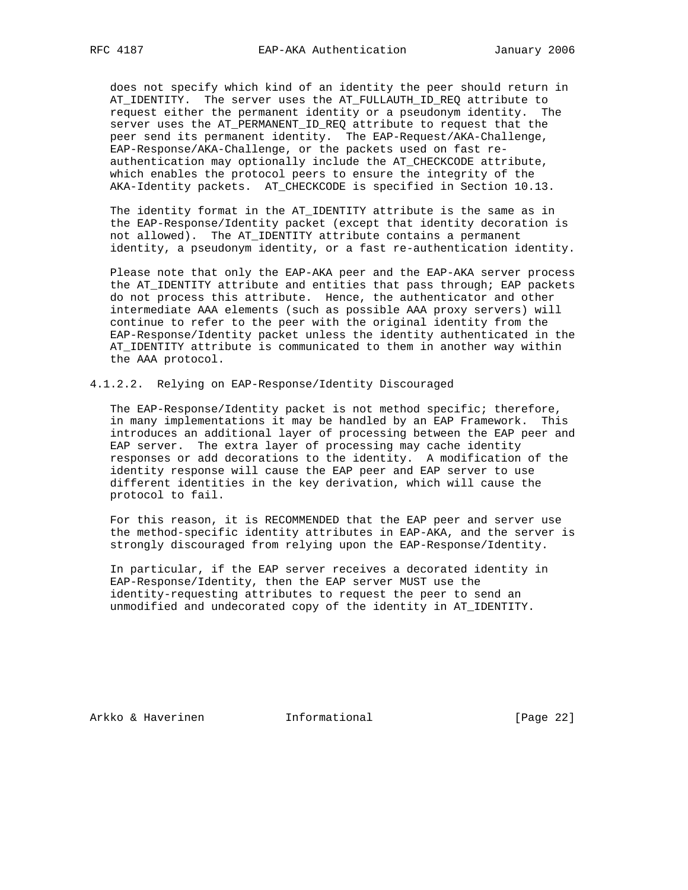does not specify which kind of an identity the peer should return in AT\_IDENTITY. The server uses the AT\_FULLAUTH\_ID\_REQ attribute to request either the permanent identity or a pseudonym identity. The server uses the AT\_PERMANENT\_ID\_REQ attribute to request that the peer send its permanent identity. The EAP-Request/AKA-Challenge, EAP-Response/AKA-Challenge, or the packets used on fast re authentication may optionally include the AT\_CHECKCODE attribute, which enables the protocol peers to ensure the integrity of the AKA-Identity packets. AT\_CHECKCODE is specified in Section 10.13.

 The identity format in the AT\_IDENTITY attribute is the same as in the EAP-Response/Identity packet (except that identity decoration is not allowed). The AT\_IDENTITY attribute contains a permanent identity, a pseudonym identity, or a fast re-authentication identity.

 Please note that only the EAP-AKA peer and the EAP-AKA server process the AT\_IDENTITY attribute and entities that pass through; EAP packets do not process this attribute. Hence, the authenticator and other intermediate AAA elements (such as possible AAA proxy servers) will continue to refer to the peer with the original identity from the EAP-Response/Identity packet unless the identity authenticated in the AT\_IDENTITY attribute is communicated to them in another way within the AAA protocol.

4.1.2.2. Relying on EAP-Response/Identity Discouraged

 The EAP-Response/Identity packet is not method specific; therefore, in many implementations it may be handled by an EAP Framework. This introduces an additional layer of processing between the EAP peer and EAP server. The extra layer of processing may cache identity responses or add decorations to the identity. A modification of the identity response will cause the EAP peer and EAP server to use different identities in the key derivation, which will cause the protocol to fail.

 For this reason, it is RECOMMENDED that the EAP peer and server use the method-specific identity attributes in EAP-AKA, and the server is strongly discouraged from relying upon the EAP-Response/Identity.

 In particular, if the EAP server receives a decorated identity in EAP-Response/Identity, then the EAP server MUST use the identity-requesting attributes to request the peer to send an unmodified and undecorated copy of the identity in AT\_IDENTITY.

Arkko & Haverinen 1nformational (Page 22)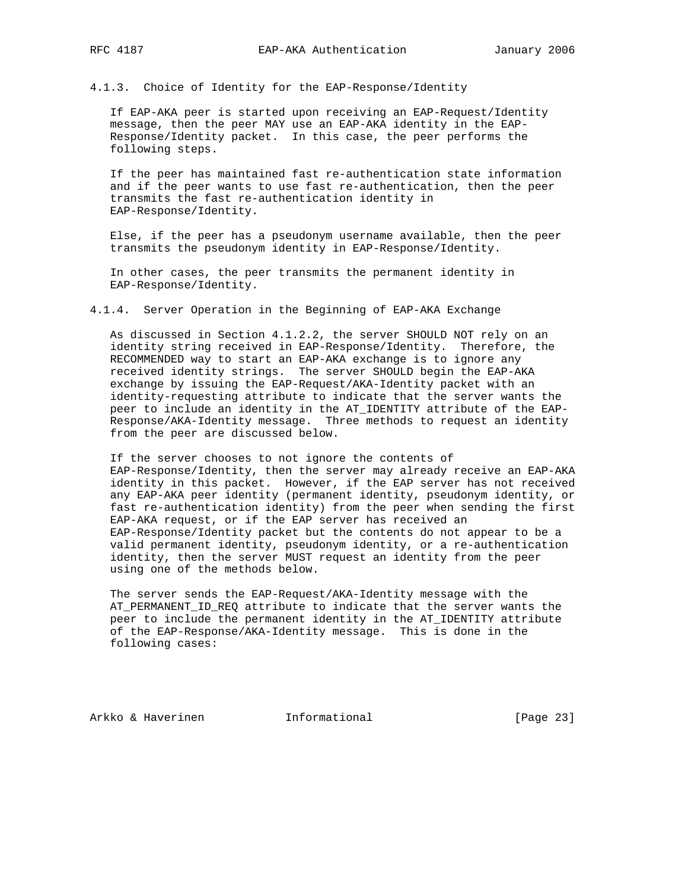4.1.3. Choice of Identity for the EAP-Response/Identity

 If EAP-AKA peer is started upon receiving an EAP-Request/Identity message, then the peer MAY use an EAP-AKA identity in the EAP- Response/Identity packet. In this case, the peer performs the following steps.

 If the peer has maintained fast re-authentication state information and if the peer wants to use fast re-authentication, then the peer transmits the fast re-authentication identity in EAP-Response/Identity.

 Else, if the peer has a pseudonym username available, then the peer transmits the pseudonym identity in EAP-Response/Identity.

 In other cases, the peer transmits the permanent identity in EAP-Response/Identity.

4.1.4. Server Operation in the Beginning of EAP-AKA Exchange

 As discussed in Section 4.1.2.2, the server SHOULD NOT rely on an identity string received in EAP-Response/Identity. Therefore, the RECOMMENDED way to start an EAP-AKA exchange is to ignore any received identity strings. The server SHOULD begin the EAP-AKA exchange by issuing the EAP-Request/AKA-Identity packet with an identity-requesting attribute to indicate that the server wants the peer to include an identity in the AT\_IDENTITY attribute of the EAP- Response/AKA-Identity message. Three methods to request an identity from the peer are discussed below.

 If the server chooses to not ignore the contents of EAP-Response/Identity, then the server may already receive an EAP-AKA identity in this packet. However, if the EAP server has not received any EAP-AKA peer identity (permanent identity, pseudonym identity, or fast re-authentication identity) from the peer when sending the first EAP-AKA request, or if the EAP server has received an EAP-Response/Identity packet but the contents do not appear to be a valid permanent identity, pseudonym identity, or a re-authentication identity, then the server MUST request an identity from the peer using one of the methods below.

 The server sends the EAP-Request/AKA-Identity message with the AT\_PERMANENT\_ID\_REQ attribute to indicate that the server wants the peer to include the permanent identity in the AT\_IDENTITY attribute of the EAP-Response/AKA-Identity message. This is done in the following cases:

Arkko & Haverinen 1nformational (Page 23)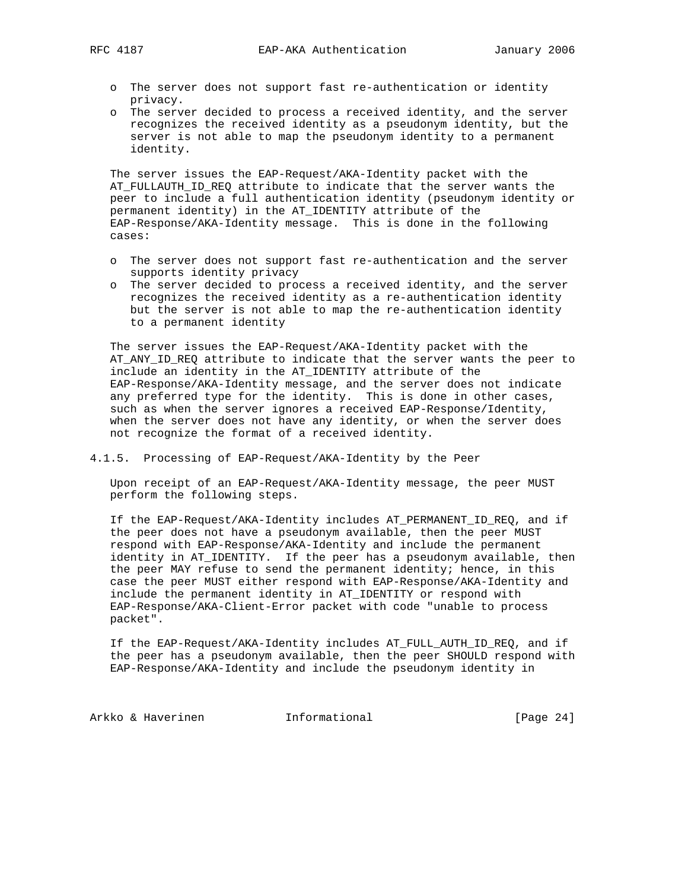- o The server does not support fast re-authentication or identity privacy.
- o The server decided to process a received identity, and the server recognizes the received identity as a pseudonym identity, but the server is not able to map the pseudonym identity to a permanent identity.

 The server issues the EAP-Request/AKA-Identity packet with the AT\_FULLAUTH\_ID\_REQ attribute to indicate that the server wants the peer to include a full authentication identity (pseudonym identity or permanent identity) in the AT\_IDENTITY attribute of the EAP-Response/AKA-Identity message. This is done in the following cases:

- o The server does not support fast re-authentication and the server supports identity privacy
- o The server decided to process a received identity, and the server recognizes the received identity as a re-authentication identity but the server is not able to map the re-authentication identity to a permanent identity

 The server issues the EAP-Request/AKA-Identity packet with the AT\_ANY\_ID\_REQ attribute to indicate that the server wants the peer to include an identity in the AT\_IDENTITY attribute of the EAP-Response/AKA-Identity message, and the server does not indicate any preferred type for the identity. This is done in other cases, such as when the server ignores a received EAP-Response/Identity, when the server does not have any identity, or when the server does not recognize the format of a received identity.

4.1.5. Processing of EAP-Request/AKA-Identity by the Peer

 Upon receipt of an EAP-Request/AKA-Identity message, the peer MUST perform the following steps.

 If the EAP-Request/AKA-Identity includes AT\_PERMANENT\_ID\_REQ, and if the peer does not have a pseudonym available, then the peer MUST respond with EAP-Response/AKA-Identity and include the permanent identity in AT\_IDENTITY. If the peer has a pseudonym available, then the peer MAY refuse to send the permanent identity; hence, in this case the peer MUST either respond with EAP-Response/AKA-Identity and include the permanent identity in AT\_IDENTITY or respond with EAP-Response/AKA-Client-Error packet with code "unable to process packet".

 If the EAP-Request/AKA-Identity includes AT\_FULL\_AUTH\_ID\_REQ, and if the peer has a pseudonym available, then the peer SHOULD respond with EAP-Response/AKA-Identity and include the pseudonym identity in

Arkko & Haverinen 1nformational [Page 24]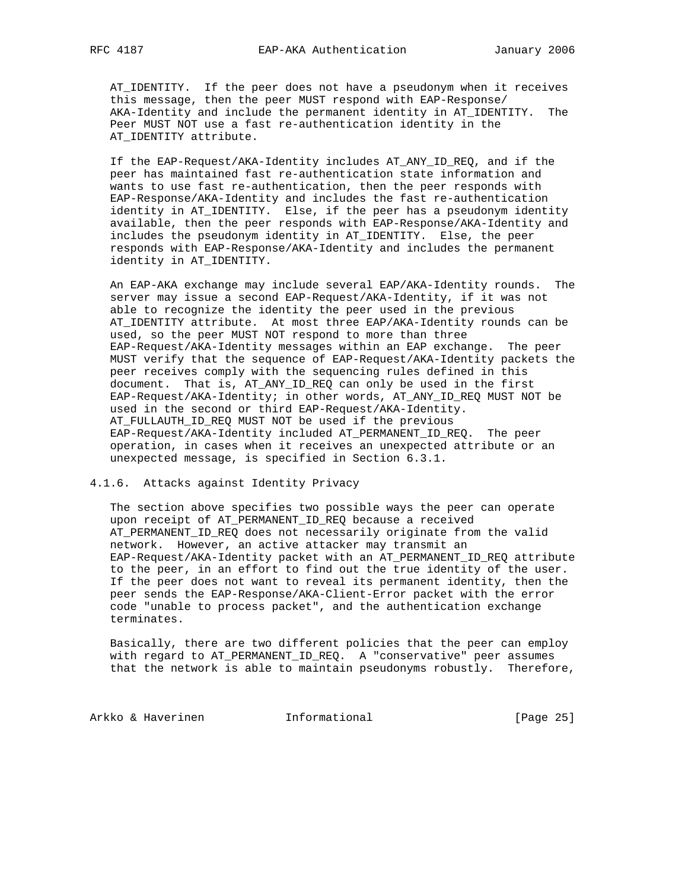AT\_IDENTITY. If the peer does not have a pseudonym when it receives this message, then the peer MUST respond with EAP-Response/ AKA-Identity and include the permanent identity in AT\_IDENTITY. The Peer MUST NOT use a fast re-authentication identity in the AT\_IDENTITY attribute.

 If the EAP-Request/AKA-Identity includes AT\_ANY\_ID\_REQ, and if the peer has maintained fast re-authentication state information and wants to use fast re-authentication, then the peer responds with EAP-Response/AKA-Identity and includes the fast re-authentication identity in AT\_IDENTITY. Else, if the peer has a pseudonym identity available, then the peer responds with EAP-Response/AKA-Identity and includes the pseudonym identity in AT\_IDENTITY. Else, the peer responds with EAP-Response/AKA-Identity and includes the permanent identity in AT\_IDENTITY.

 An EAP-AKA exchange may include several EAP/AKA-Identity rounds. The server may issue a second EAP-Request/AKA-Identity, if it was not able to recognize the identity the peer used in the previous AT\_IDENTITY attribute. At most three EAP/AKA-Identity rounds can be used, so the peer MUST NOT respond to more than three EAP-Request/AKA-Identity messages within an EAP exchange. The peer MUST verify that the sequence of EAP-Request/AKA-Identity packets the peer receives comply with the sequencing rules defined in this document. That is, AT\_ANY\_ID\_REQ can only be used in the first EAP-Request/AKA-Identity; in other words, AT\_ANY\_ID\_REQ MUST NOT be used in the second or third EAP-Request/AKA-Identity. AT\_FULLAUTH\_ID\_REQ MUST NOT be used if the previous EAP-Request/AKA-Identity included AT\_PERMANENT\_ID\_REQ. The peer operation, in cases when it receives an unexpected attribute or an unexpected message, is specified in Section 6.3.1.

# 4.1.6. Attacks against Identity Privacy

 The section above specifies two possible ways the peer can operate upon receipt of AT\_PERMANENT\_ID\_REQ because a received AT\_PERMANENT\_ID\_REQ does not necessarily originate from the valid network. However, an active attacker may transmit an EAP-Request/AKA-Identity packet with an AT\_PERMANENT\_ID\_REQ attribute to the peer, in an effort to find out the true identity of the user. If the peer does not want to reveal its permanent identity, then the peer sends the EAP-Response/AKA-Client-Error packet with the error code "unable to process packet", and the authentication exchange terminates.

 Basically, there are two different policies that the peer can employ with regard to AT\_PERMANENT\_ID\_REQ. A "conservative" peer assumes that the network is able to maintain pseudonyms robustly. Therefore,

Arkko & Haverinen 1nformational [Page 25]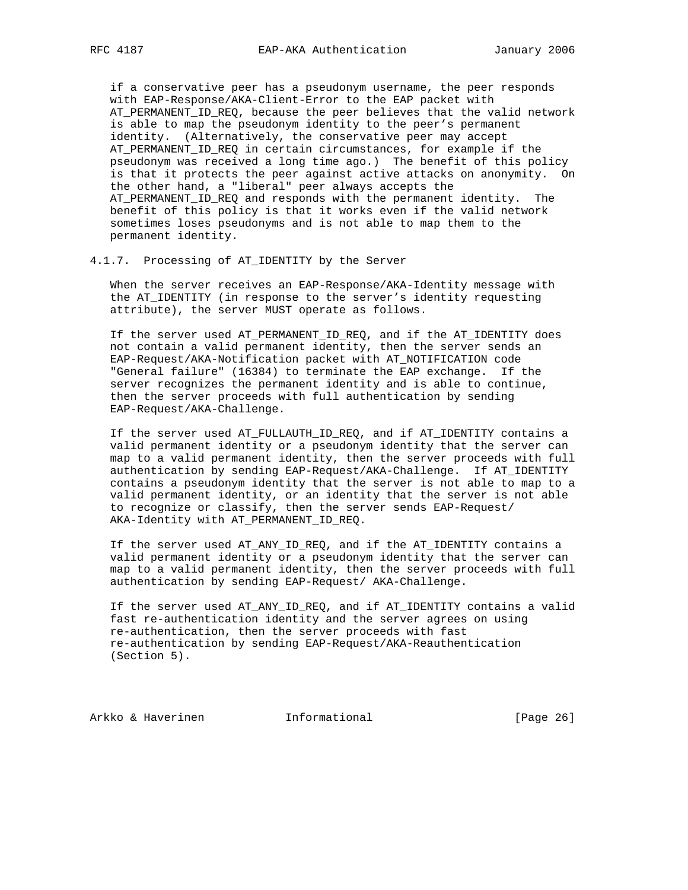if a conservative peer has a pseudonym username, the peer responds with EAP-Response/AKA-Client-Error to the EAP packet with AT\_PERMANENT\_ID\_REQ, because the peer believes that the valid network is able to map the pseudonym identity to the peer's permanent identity. (Alternatively, the conservative peer may accept AT\_PERMANENT\_ID\_REQ in certain circumstances, for example if the pseudonym was received a long time ago.) The benefit of this policy is that it protects the peer against active attacks on anonymity. On the other hand, a "liberal" peer always accepts the AT\_PERMANENT\_ID\_REQ and responds with the permanent identity. The benefit of this policy is that it works even if the valid network sometimes loses pseudonyms and is not able to map them to the permanent identity.

### 4.1.7. Processing of AT\_IDENTITY by the Server

 When the server receives an EAP-Response/AKA-Identity message with the AT\_IDENTITY (in response to the server's identity requesting attribute), the server MUST operate as follows.

 If the server used AT\_PERMANENT\_ID\_REQ, and if the AT\_IDENTITY does not contain a valid permanent identity, then the server sends an EAP-Request/AKA-Notification packet with AT\_NOTIFICATION code "General failure" (16384) to terminate the EAP exchange. If the server recognizes the permanent identity and is able to continue, then the server proceeds with full authentication by sending EAP-Request/AKA-Challenge.

 If the server used AT\_FULLAUTH\_ID\_REQ, and if AT\_IDENTITY contains a valid permanent identity or a pseudonym identity that the server can map to a valid permanent identity, then the server proceeds with full authentication by sending EAP-Request/AKA-Challenge. If AT\_IDENTITY contains a pseudonym identity that the server is not able to map to a valid permanent identity, or an identity that the server is not able to recognize or classify, then the server sends EAP-Request/ AKA-Identity with AT\_PERMANENT\_ID\_REQ.

 If the server used AT\_ANY\_ID\_REQ, and if the AT\_IDENTITY contains a valid permanent identity or a pseudonym identity that the server can map to a valid permanent identity, then the server proceeds with full authentication by sending EAP-Request/ AKA-Challenge.

 If the server used AT\_ANY\_ID\_REQ, and if AT\_IDENTITY contains a valid fast re-authentication identity and the server agrees on using re-authentication, then the server proceeds with fast re-authentication by sending EAP-Request/AKA-Reauthentication (Section 5).

Arkko & Haverinen 1nformational [Page 26]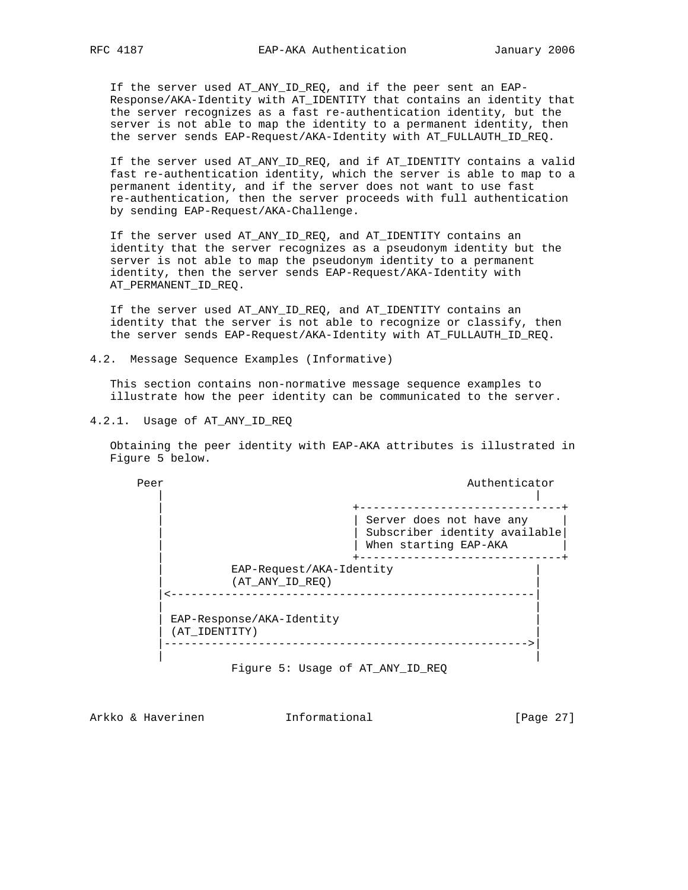If the server used AT\_ANY\_ID\_REQ, and if the peer sent an EAP- Response/AKA-Identity with AT\_IDENTITY that contains an identity that the server recognizes as a fast re-authentication identity, but the server is not able to map the identity to a permanent identity, then the server sends EAP-Request/AKA-Identity with AT\_FULLAUTH\_ID\_REQ.

 If the server used AT\_ANY\_ID\_REQ, and if AT\_IDENTITY contains a valid fast re-authentication identity, which the server is able to map to a permanent identity, and if the server does not want to use fast re-authentication, then the server proceeds with full authentication by sending EAP-Request/AKA-Challenge.

 If the server used AT\_ANY\_ID\_REQ, and AT\_IDENTITY contains an identity that the server recognizes as a pseudonym identity but the server is not able to map the pseudonym identity to a permanent identity, then the server sends EAP-Request/AKA-Identity with AT\_PERMANENT\_ID\_REQ.

 If the server used AT\_ANY\_ID\_REQ, and AT\_IDENTITY contains an identity that the server is not able to recognize or classify, then the server sends EAP-Request/AKA-Identity with AT\_FULLAUTH\_ID\_REQ.

4.2. Message Sequence Examples (Informative)

 This section contains non-normative message sequence examples to illustrate how the peer identity can be communicated to the server.

4.2.1. Usage of AT ANY ID REQ

 Obtaining the peer identity with EAP-AKA attributes is illustrated in Figure 5 below.

Peer Authenticator Authenticator | | | +------------------------------+ | Server does not have any | Subscriber identity available | When starting EAP-AKA | +------------------------------+ EAP-Request/AKA-Identity | (AT\_ANY\_ID\_REQ) | |<------------------------------------------------------| | | EAP-Response/AKA-Identity (AT\_IDENTITY) |------------------------------------------------------>| | |

Figure 5: Usage of AT\_ANY\_ID\_REQ

Arkko & Haverinen 1nformational [Page 27]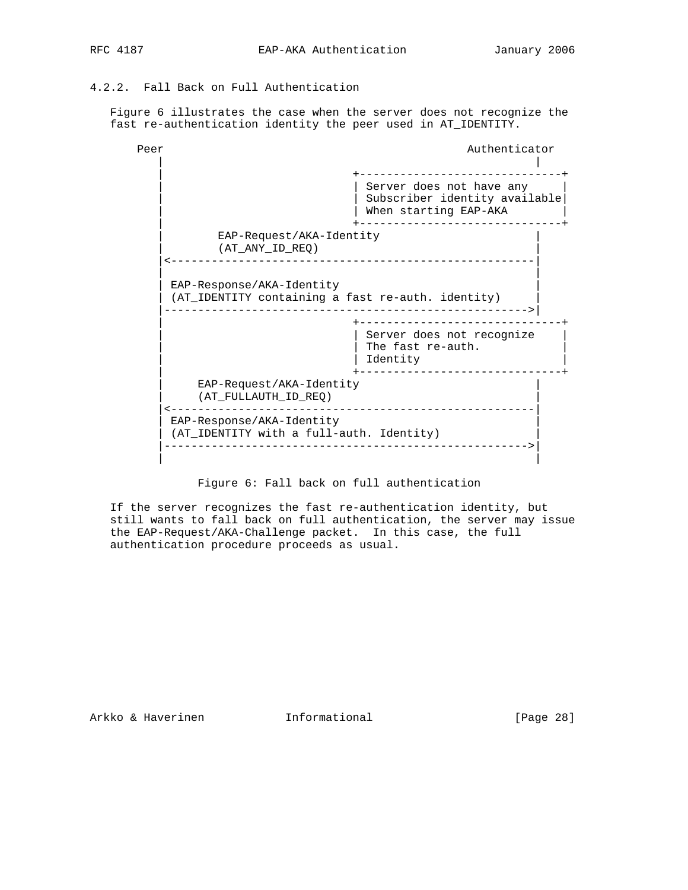# 4.2.2. Fall Back on Full Authentication

 Figure 6 illustrates the case when the server does not recognize the fast re-authentication identity the peer used in AT\_IDENTITY.



Figure 6: Fall back on full authentication

 If the server recognizes the fast re-authentication identity, but still wants to fall back on full authentication, the server may issue the EAP-Request/AKA-Challenge packet. In this case, the full authentication procedure proceeds as usual.

Arkko & Haverinen 1nformational (Page 28)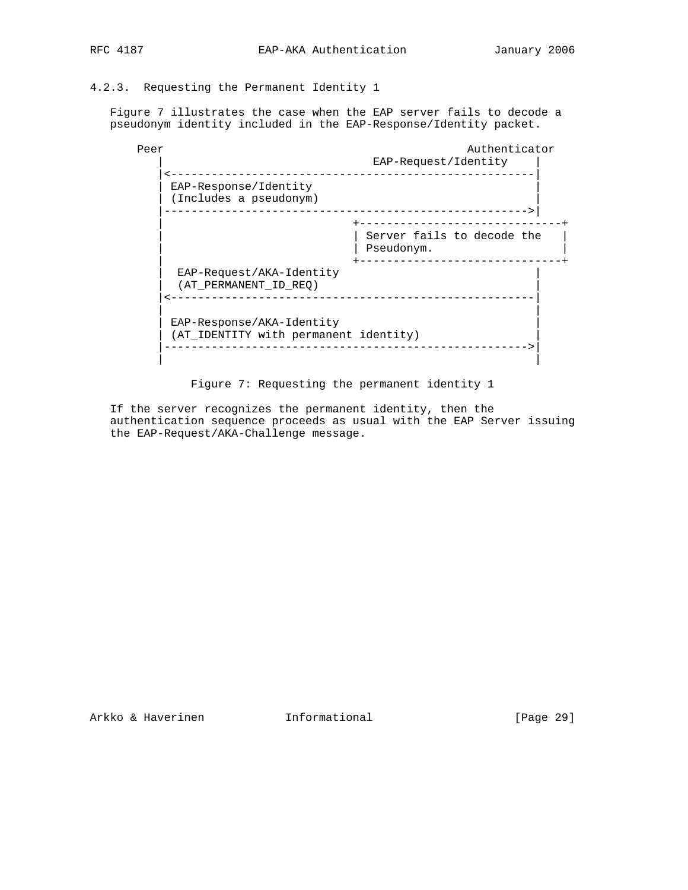# 4.2.3. Requesting the Permanent Identity 1

 Figure 7 illustrates the case when the EAP server fails to decode a pseudonym identity included in the EAP-Response/Identity packet.

| Peer |                                                                    | Authenticator<br>EAP-Request/Identity    |
|------|--------------------------------------------------------------------|------------------------------------------|
|      |                                                                    |                                          |
|      | EAP-Response/Identity<br>(Includes a pseudonym)                    |                                          |
|      |                                                                    |                                          |
|      |                                                                    | Server fails to decode the<br>Pseudonym. |
|      | EAP-Request/AKA-Identity<br>(AT PERMANENT ID REO)                  |                                          |
|      | EAP-Response/AKA-Identity<br>(AT_IDENTITY with permanent identity) |                                          |

Figure 7: Requesting the permanent identity 1

 If the server recognizes the permanent identity, then the authentication sequence proceeds as usual with the EAP Server issuing the EAP-Request/AKA-Challenge message.

Arkko & Haverinen Informational [Page 29]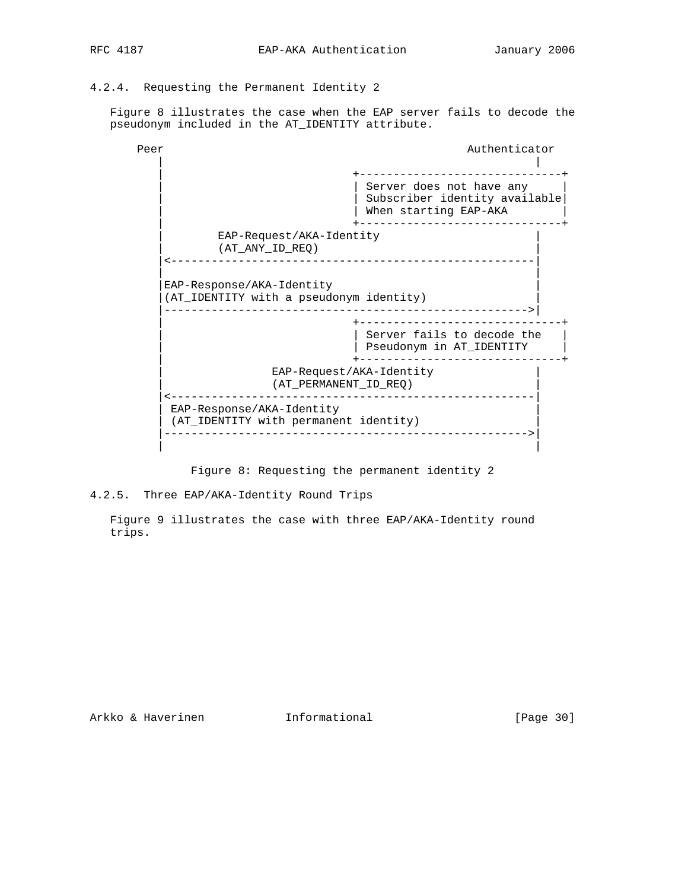4.2.4. Requesting the Permanent Identity 2

 Figure 8 illustrates the case when the EAP server fails to decode the pseudonym included in the AT\_IDENTITY attribute.

Peer Authenticator Authenticator | | | +------------------------------+ | Server does not have any | | Subscriber identity available| | When starting EAP-AKA | +------------------------------+ EAP-Request/AKA-Identity | (AT\_ANY\_ID\_REQ) | |<------------------------------------------------------| | | EAP-Response/AKA-Identity |(AT\_IDENTITY with a pseudonym identity) | |------------------------------------------------------>| | +------------------------------+ | Server fails to decode the | | Pseudonym in AT\_IDENTITY | | +------------------------------+ EAP-Request/AKA-Identity | (AT\_PERMANENT\_ID\_REQ) | |<------------------------------------------------------| EAP-Response/AKA-Identity (AT\_IDENTITY with permanent identity) |------------------------------------------------------>| | |

Figure 8: Requesting the permanent identity 2

# 4.2.5. Three EAP/AKA-Identity Round Trips

 Figure 9 illustrates the case with three EAP/AKA-Identity round trips.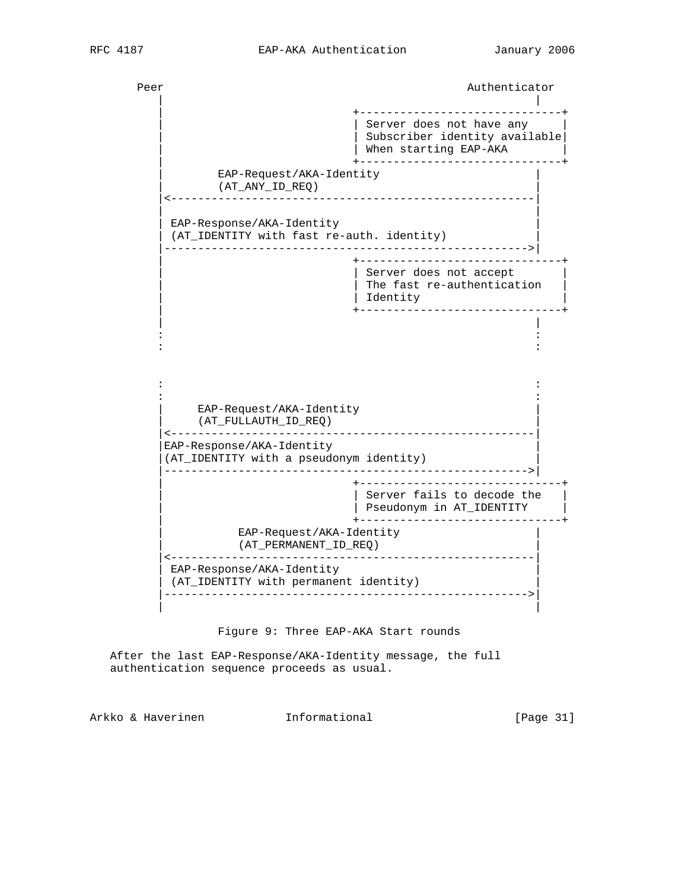Peer Authenticator Authenticator | | | +------------------------------+ | | Server does not have any | | | Subscriber identity available| | | When starting EAP-AKA | | +------------------------------+ EAP-Request/AKA-Identity | (AT\_ANY\_ID\_REQ) | |<------------------------------------------------------| | | EAP-Response/AKA-Identity (AT\_IDENTITY with fast re-auth. identity) |------------------------------------------------------>| | +------------------------------+ Server does not accept | | The fast re-authentication |  $\vert$  identity  $\vert$  identity  $\vert$  | +------------------------------+ | | in the second control of the second control of the second control of the second control of the second control o in the second control of the second control of the second control of the second control of the second control o in the second control of the second control of the second control of the second control of the second control o in the second control of the second control of the second control of the second control of the second control o EAP-Request/AKA-Identity | (AT\_FULLAUTH\_ID\_REQ) | |<------------------------------------------------------| EAP-Response/AKA-Identity |(AT\_IDENTITY with a pseudonym identity) | |------------------------------------------------------>| | +------------------------------+ | Server fails to decode the | | Pseudonym in AT\_IDENTITY | | +------------------------------+ EAP-Request/AKA-Identity | (AT\_PERMANENT\_ID\_REQ) | |<------------------------------------------------------| EAP-Response/AKA-Identity (AT\_IDENTITY with permanent identity) |------------------------------------------------------>| | |

Figure 9: Three EAP-AKA Start rounds

 After the last EAP-Response/AKA-Identity message, the full authentication sequence proceeds as usual.

Arkko & Haverinen Informational [Page 31]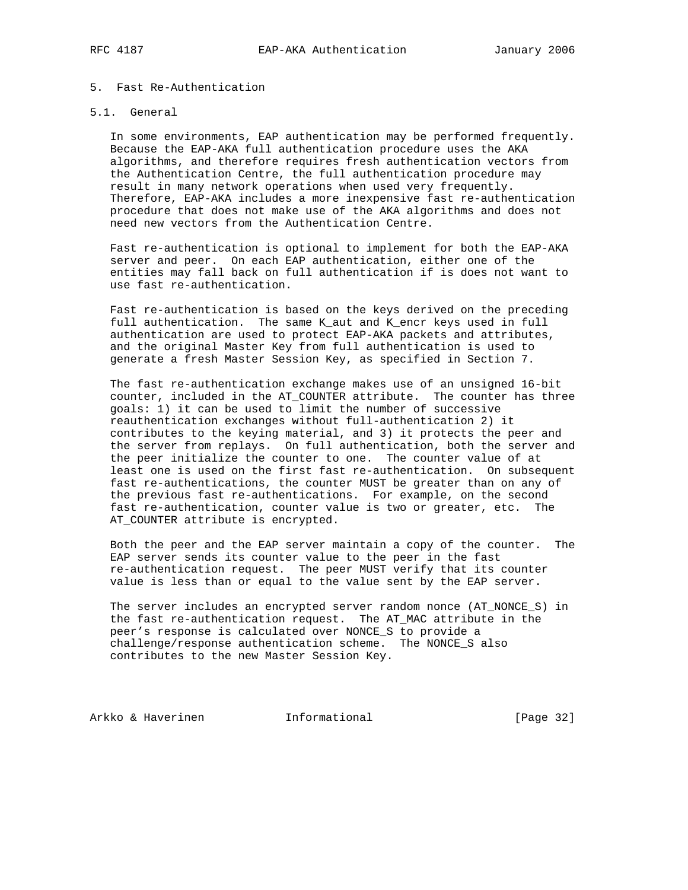# 5. Fast Re-Authentication

## 5.1. General

 In some environments, EAP authentication may be performed frequently. Because the EAP-AKA full authentication procedure uses the AKA algorithms, and therefore requires fresh authentication vectors from the Authentication Centre, the full authentication procedure may result in many network operations when used very frequently. Therefore, EAP-AKA includes a more inexpensive fast re-authentication procedure that does not make use of the AKA algorithms and does not need new vectors from the Authentication Centre.

 Fast re-authentication is optional to implement for both the EAP-AKA server and peer. On each EAP authentication, either one of the entities may fall back on full authentication if is does not want to use fast re-authentication.

 Fast re-authentication is based on the keys derived on the preceding full authentication. The same K\_aut and K\_encr keys used in full authentication are used to protect EAP-AKA packets and attributes, and the original Master Key from full authentication is used to generate a fresh Master Session Key, as specified in Section 7.

 The fast re-authentication exchange makes use of an unsigned 16-bit counter, included in the AT\_COUNTER attribute. The counter has three goals: 1) it can be used to limit the number of successive reauthentication exchanges without full-authentication 2) it contributes to the keying material, and 3) it protects the peer and the server from replays. On full authentication, both the server and the peer initialize the counter to one. The counter value of at least one is used on the first fast re-authentication. On subsequent fast re-authentications, the counter MUST be greater than on any of the previous fast re-authentications. For example, on the second fast re-authentication, counter value is two or greater, etc. The AT\_COUNTER attribute is encrypted.

 Both the peer and the EAP server maintain a copy of the counter. The EAP server sends its counter value to the peer in the fast re-authentication request. The peer MUST verify that its counter value is less than or equal to the value sent by the EAP server.

 The server includes an encrypted server random nonce (AT\_NONCE\_S) in the fast re-authentication request. The AT\_MAC attribute in the peer's response is calculated over NONCE\_S to provide a challenge/response authentication scheme. The NONCE\_S also contributes to the new Master Session Key.

Arkko & Haverinen 1nformational [Page 32]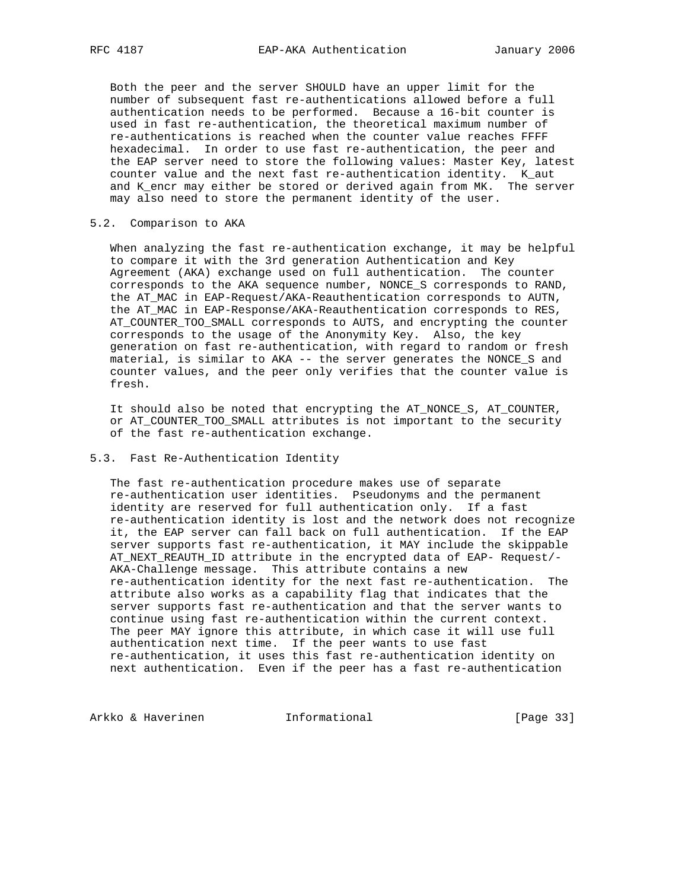Both the peer and the server SHOULD have an upper limit for the number of subsequent fast re-authentications allowed before a full authentication needs to be performed. Because a 16-bit counter is used in fast re-authentication, the theoretical maximum number of re-authentications is reached when the counter value reaches FFFF hexadecimal. In order to use fast re-authentication, the peer and the EAP server need to store the following values: Master Key, latest counter value and the next fast re-authentication identity. K\_aut and K\_encr may either be stored or derived again from MK. The server may also need to store the permanent identity of the user.

# 5.2. Comparison to AKA

 When analyzing the fast re-authentication exchange, it may be helpful to compare it with the 3rd generation Authentication and Key Agreement (AKA) exchange used on full authentication. The counter corresponds to the AKA sequence number, NONCE\_S corresponds to RAND, the AT\_MAC in EAP-Request/AKA-Reauthentication corresponds to AUTN, the AT\_MAC in EAP-Response/AKA-Reauthentication corresponds to RES, AT\_COUNTER\_TOO\_SMALL corresponds to AUTS, and encrypting the counter corresponds to the usage of the Anonymity Key. Also, the key generation on fast re-authentication, with regard to random or fresh material, is similar to AKA -- the server generates the NONCE\_S and counter values, and the peer only verifies that the counter value is fresh.

 It should also be noted that encrypting the AT\_NONCE\_S, AT\_COUNTER, or AT COUNTER TOO SMALL attributes is not important to the security of the fast re-authentication exchange.

# 5.3. Fast Re-Authentication Identity

 The fast re-authentication procedure makes use of separate re-authentication user identities. Pseudonyms and the permanent identity are reserved for full authentication only. If a fast re-authentication identity is lost and the network does not recognize it, the EAP server can fall back on full authentication. If the EAP server supports fast re-authentication, it MAY include the skippable AT\_NEXT\_REAUTH\_ID attribute in the encrypted data of EAP- Request/- AKA-Challenge message. This attribute contains a new re-authentication identity for the next fast re-authentication. The attribute also works as a capability flag that indicates that the server supports fast re-authentication and that the server wants to continue using fast re-authentication within the current context. The peer MAY ignore this attribute, in which case it will use full authentication next time. If the peer wants to use fast re-authentication, it uses this fast re-authentication identity on next authentication. Even if the peer has a fast re-authentication

Arkko & Haverinen 1nformational [Page 33]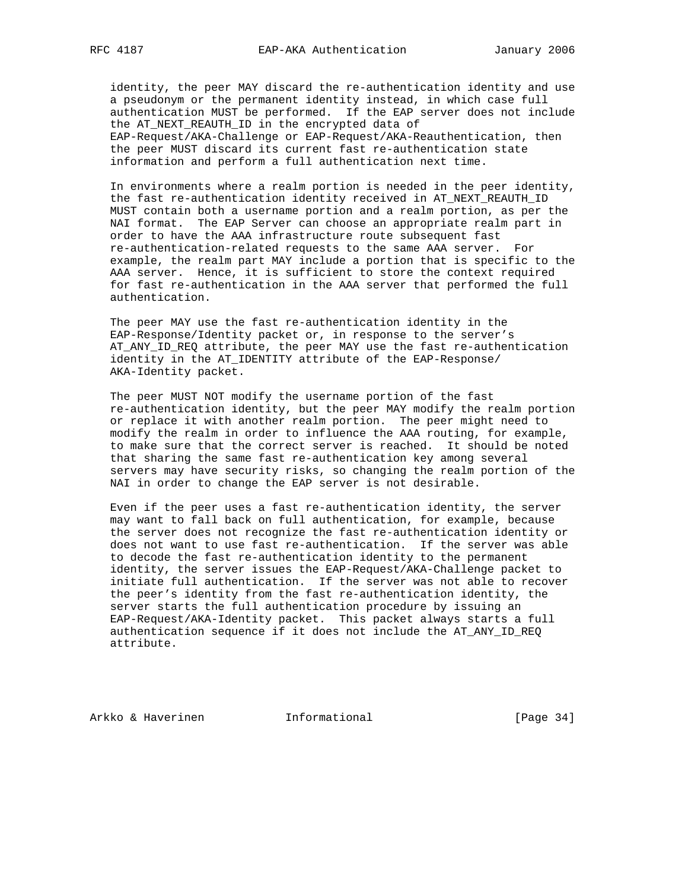identity, the peer MAY discard the re-authentication identity and use a pseudonym or the permanent identity instead, in which case full authentication MUST be performed. If the EAP server does not include the AT NEXT REAUTH ID in the encrypted data of EAP-Request/AKA-Challenge or EAP-Request/AKA-Reauthentication, then the peer MUST discard its current fast re-authentication state information and perform a full authentication next time.

 In environments where a realm portion is needed in the peer identity, the fast re-authentication identity received in AT\_NEXT\_REAUTH\_ID MUST contain both a username portion and a realm portion, as per the NAI format. The EAP Server can choose an appropriate realm part in order to have the AAA infrastructure route subsequent fast re-authentication-related requests to the same AAA server. For example, the realm part MAY include a portion that is specific to the AAA server. Hence, it is sufficient to store the context required for fast re-authentication in the AAA server that performed the full authentication.

 The peer MAY use the fast re-authentication identity in the EAP-Response/Identity packet or, in response to the server's AT\_ANY\_ID\_REQ attribute, the peer MAY use the fast re-authentication identity in the AT\_IDENTITY attribute of the EAP-Response/ AKA-Identity packet.

 The peer MUST NOT modify the username portion of the fast re-authentication identity, but the peer MAY modify the realm portion or replace it with another realm portion. The peer might need to modify the realm in order to influence the AAA routing, for example, to make sure that the correct server is reached. It should be noted that sharing the same fast re-authentication key among several servers may have security risks, so changing the realm portion of the NAI in order to change the EAP server is not desirable.

 Even if the peer uses a fast re-authentication identity, the server may want to fall back on full authentication, for example, because the server does not recognize the fast re-authentication identity or does not want to use fast re-authentication. If the server was able to decode the fast re-authentication identity to the permanent identity, the server issues the EAP-Request/AKA-Challenge packet to initiate full authentication. If the server was not able to recover the peer's identity from the fast re-authentication identity, the server starts the full authentication procedure by issuing an EAP-Request/AKA-Identity packet. This packet always starts a full authentication sequence if it does not include the AT\_ANY\_ID\_REQ attribute.

Arkko & Haverinen 1nformational 1998 [Page 34]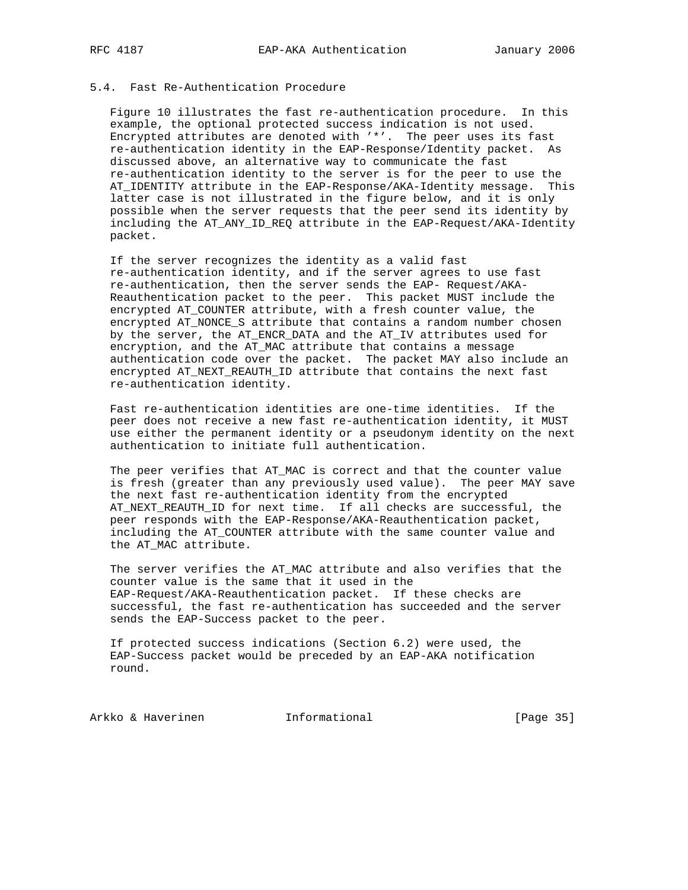# 5.4. Fast Re-Authentication Procedure

 Figure 10 illustrates the fast re-authentication procedure. In this example, the optional protected success indication is not used. Encrypted attributes are denoted with '\*'. The peer uses its fast re-authentication identity in the EAP-Response/Identity packet. As discussed above, an alternative way to communicate the fast re-authentication identity to the server is for the peer to use the AT\_IDENTITY attribute in the EAP-Response/AKA-Identity message. This latter case is not illustrated in the figure below, and it is only possible when the server requests that the peer send its identity by including the AT\_ANY\_ID\_REQ attribute in the EAP-Request/AKA-Identity packet.

 If the server recognizes the identity as a valid fast re-authentication identity, and if the server agrees to use fast re-authentication, then the server sends the EAP- Request/AKA- Reauthentication packet to the peer. This packet MUST include the encrypted AT\_COUNTER attribute, with a fresh counter value, the encrypted AT\_NONCE\_S attribute that contains a random number chosen by the server, the AT\_ENCR\_DATA and the AT\_IV attributes used for encryption, and the AT\_MAC attribute that contains a message authentication code over the packet. The packet MAY also include an encrypted AT\_NEXT\_REAUTH\_ID attribute that contains the next fast re-authentication identity.

 Fast re-authentication identities are one-time identities. If the peer does not receive a new fast re-authentication identity, it MUST use either the permanent identity or a pseudonym identity on the next authentication to initiate full authentication.

 The peer verifies that AT\_MAC is correct and that the counter value is fresh (greater than any previously used value). The peer MAY save the next fast re-authentication identity from the encrypted AT\_NEXT\_REAUTH\_ID for next time. If all checks are successful, the peer responds with the EAP-Response/AKA-Reauthentication packet, including the AT\_COUNTER attribute with the same counter value and the AT\_MAC attribute.

The server verifies the AT MAC attribute and also verifies that the counter value is the same that it used in the EAP-Request/AKA-Reauthentication packet. If these checks are successful, the fast re-authentication has succeeded and the server sends the EAP-Success packet to the peer.

 If protected success indications (Section 6.2) were used, the EAP-Success packet would be preceded by an EAP-AKA notification round.

Arkko & Haverinen 1nformational [Page 35]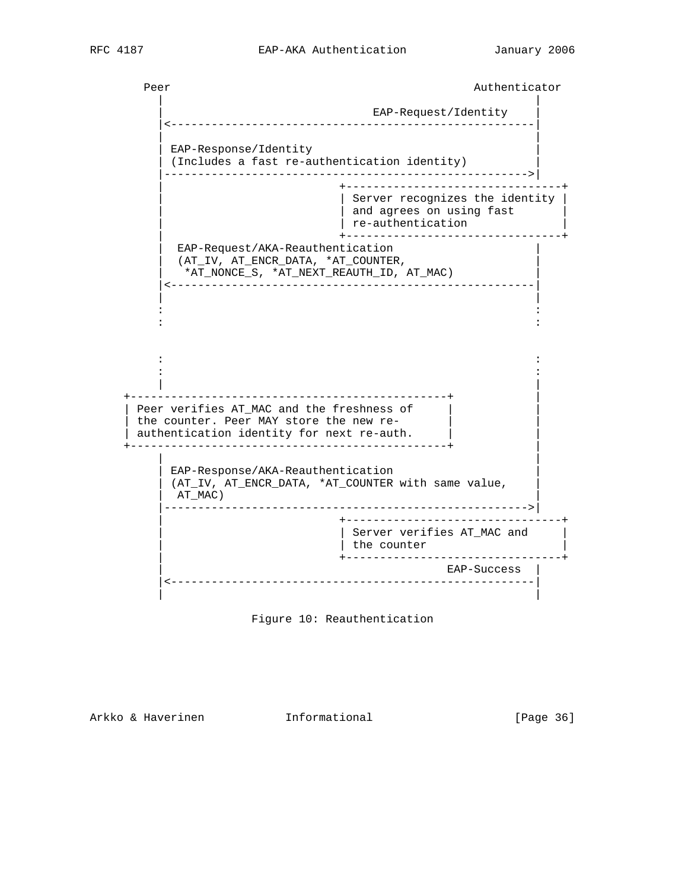Peer Authenticator Authenticator | | EAP-Request/Identity |<------------------------------------------------------| | | EAP-Response/Identity (Includes a fast re-authentication identity) |------------------------------------------------------>| | +--------------------------------+ | Server recognizes the identity |  $\vert$   $\vert$  and agrees on using fast  $\vert$  | | re-authentication | | +--------------------------------+ EAP-Request/AKA-Reauthentication | (AT\_IV, AT\_ENCR\_DATA, \*AT\_COUNTER, | | \*AT\_NONCE\_S, \*AT\_NEXT\_REAUTH\_ID, AT\_MAC) | |<------------------------------------------------------| | | in the second control of the second control of the second control of the second control of the second control o in the second control of the second control of the second control of the second control of the second control o in the second control of the second control of the second control of the second control of the second control o in the second control of the second control of the second control of the second control of the second control o | | +-----------------------------------------------+ | | Peer verifies  $AT_MAC$  and the freshness of  $|$ the counter. Peer MAY store the new re- | authentication identity for next re-auth. | | +-----------------------------------------------+ | | | | EAP-Response/AKA-Reauthentication | | (AT\_IV, AT\_ENCR\_DATA, \*AT\_COUNTER with same value, | | AT\_MAC) | |------------------------------------------------------>| | +--------------------------------+ | | Server verifies AT\_MAC and |  $|$  the counter | +--------------------------------+ | EAP-Success | |<------------------------------------------------------| | |



Arkko & Haverinen 1nformational (Page 36)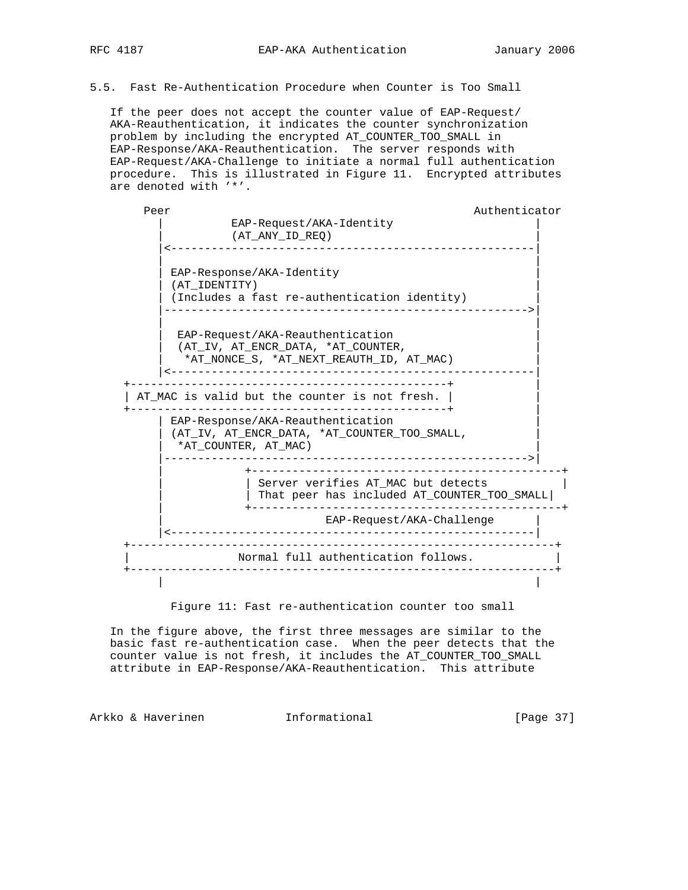5.5. Fast Re-Authentication Procedure when Counter is Too Small

 If the peer does not accept the counter value of EAP-Request/ AKA-Reauthentication, it indicates the counter synchronization problem by including the encrypted AT\_COUNTER\_TOO\_SMALL in EAP-Response/AKA-Reauthentication. The server responds with EAP-Request/AKA-Challenge to initiate a normal full authentication procedure. This is illustrated in Figure 11. Encrypted attributes are denoted with '\*'.

Peer Authenticator Authenticator EAP-Request/AKA-Identity | (AT\_ANY\_ID\_REQ) | |<------------------------------------------------------| | | | EAP-Response/AKA-Identity | | (AT\_IDENTITY) | (Includes a fast re-authentication identity) |------------------------------------------------------>| | | EAP-Request/AKA-Reauthentication (AT\_IV, AT\_ENCR\_DATA, \*AT\_COUNTER, | \*AT\_NONCE\_S, \*AT\_NEXT\_REAUTH\_ID, AT\_MAC) | |<------------------------------------------------------| +-----------------------------------------------+ | | AT\_MAC is valid but the counter is not fresh. | | +-----------------------------------------------+ | | EAP-Response/AKA-Reauthentication | | (AT\_IV, AT\_ENCR\_DATA, \*AT\_COUNTER\_TOO\_SMALL, |  $\vert$  \*AT\_COUNTER, AT\_MAC )  $\vert$  |------------------------------------------------------>| | +----------------------------------------------+ | Server verifies AT MAC but detects | | That peer has included AT\_COUNTER\_TOO\_SMALL| | +----------------------------------------------+ EAP-Request/AKA-Challenge | |<------------------------------------------------------| +---------------------------------------------------------------+ Normal full authentication follows. +---------------------------------------------------------------+ | |

Figure 11: Fast re-authentication counter too small

 In the figure above, the first three messages are similar to the basic fast re-authentication case. When the peer detects that the counter value is not fresh, it includes the AT\_COUNTER\_TOO\_SMALL attribute in EAP-Response/AKA-Reauthentication. This attribute

Arkko & Haverinen Informational [Page 37]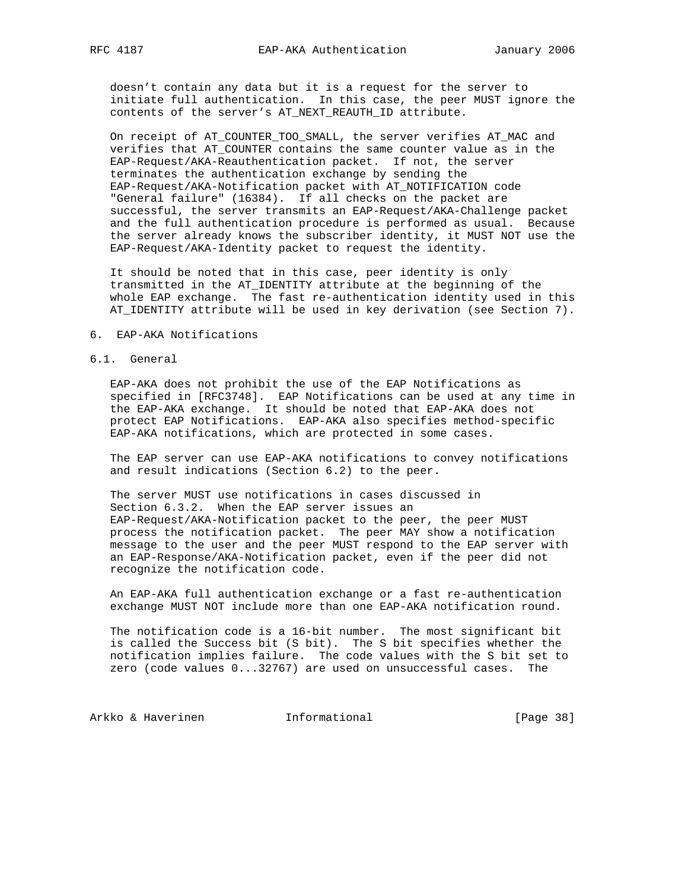doesn't contain any data but it is a request for the server to initiate full authentication. In this case, the peer MUST ignore the contents of the server's AT\_NEXT\_REAUTH\_ID attribute.

 On receipt of AT\_COUNTER\_TOO\_SMALL, the server verifies AT\_MAC and verifies that AT\_COUNTER contains the same counter value as in the EAP-Request/AKA-Reauthentication packet. If not, the server terminates the authentication exchange by sending the EAP-Request/AKA-Notification packet with AT\_NOTIFICATION code "General failure" (16384). If all checks on the packet are successful, the server transmits an EAP-Request/AKA-Challenge packet and the full authentication procedure is performed as usual. Because the server already knows the subscriber identity, it MUST NOT use the EAP-Request/AKA-Identity packet to request the identity.

 It should be noted that in this case, peer identity is only transmitted in the AT\_IDENTITY attribute at the beginning of the whole EAP exchange. The fast re-authentication identity used in this AT\_IDENTITY attribute will be used in key derivation (see Section 7).

#### 6. EAP-AKA Notifications

### 6.1. General

 EAP-AKA does not prohibit the use of the EAP Notifications as specified in [RFC3748]. EAP Notifications can be used at any time in the EAP-AKA exchange. It should be noted that EAP-AKA does not protect EAP Notifications. EAP-AKA also specifies method-specific EAP-AKA notifications, which are protected in some cases.

 The EAP server can use EAP-AKA notifications to convey notifications and result indications (Section 6.2) to the peer.

 The server MUST use notifications in cases discussed in Section 6.3.2. When the EAP server issues an EAP-Request/AKA-Notification packet to the peer, the peer MUST process the notification packet. The peer MAY show a notification message to the user and the peer MUST respond to the EAP server with an EAP-Response/AKA-Notification packet, even if the peer did not recognize the notification code.

 An EAP-AKA full authentication exchange or a fast re-authentication exchange MUST NOT include more than one EAP-AKA notification round.

 The notification code is a 16-bit number. The most significant bit is called the Success bit (S bit). The S bit specifies whether the notification implies failure. The code values with the S bit set to zero (code values 0...32767) are used on unsuccessful cases. The

Arkko & Haverinen 1nformational 1999 [Page 38]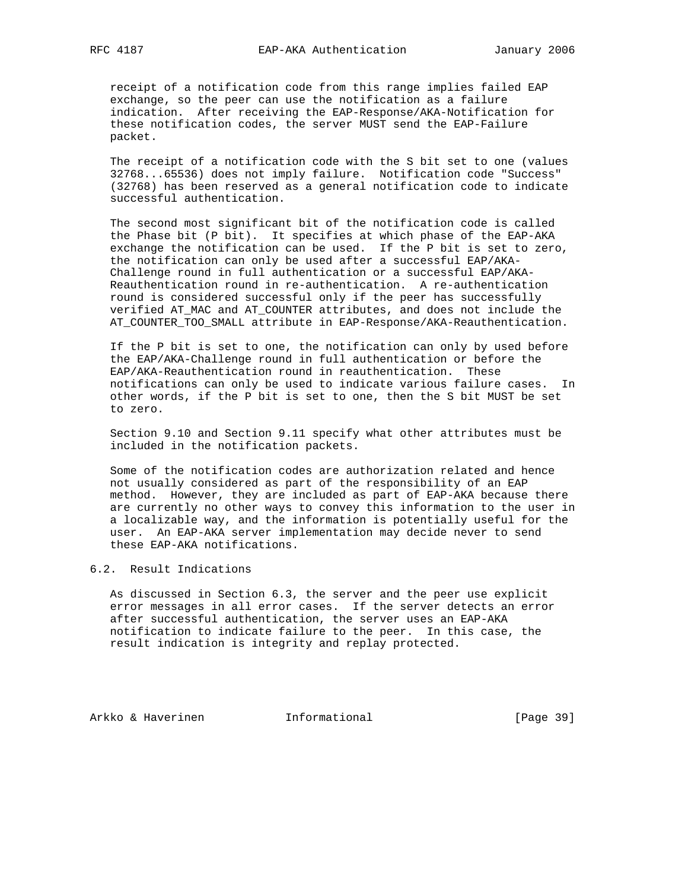receipt of a notification code from this range implies failed EAP exchange, so the peer can use the notification as a failure indication. After receiving the EAP-Response/AKA-Notification for these notification codes, the server MUST send the EAP-Failure packet.

 The receipt of a notification code with the S bit set to one (values 32768...65536) does not imply failure. Notification code "Success" (32768) has been reserved as a general notification code to indicate successful authentication.

 The second most significant bit of the notification code is called the Phase bit (P bit). It specifies at which phase of the EAP-AKA exchange the notification can be used. If the P bit is set to zero, the notification can only be used after a successful EAP/AKA- Challenge round in full authentication or a successful EAP/AKA- Reauthentication round in re-authentication. A re-authentication round is considered successful only if the peer has successfully verified AT\_MAC and AT\_COUNTER attributes, and does not include the AT\_COUNTER\_TOO\_SMALL attribute in EAP-Response/AKA-Reauthentication.

 If the P bit is set to one, the notification can only by used before the EAP/AKA-Challenge round in full authentication or before the EAP/AKA-Reauthentication round in reauthentication. These notifications can only be used to indicate various failure cases. In other words, if the P bit is set to one, then the S bit MUST be set to zero.

 Section 9.10 and Section 9.11 specify what other attributes must be included in the notification packets.

 Some of the notification codes are authorization related and hence not usually considered as part of the responsibility of an EAP method. However, they are included as part of EAP-AKA because there are currently no other ways to convey this information to the user in a localizable way, and the information is potentially useful for the user. An EAP-AKA server implementation may decide never to send these EAP-AKA notifications.

# 6.2. Result Indications

 As discussed in Section 6.3, the server and the peer use explicit error messages in all error cases. If the server detects an error after successful authentication, the server uses an EAP-AKA notification to indicate failure to the peer. In this case, the result indication is integrity and replay protected.

Arkko & Haverinen 1nformational 1991 [Page 39]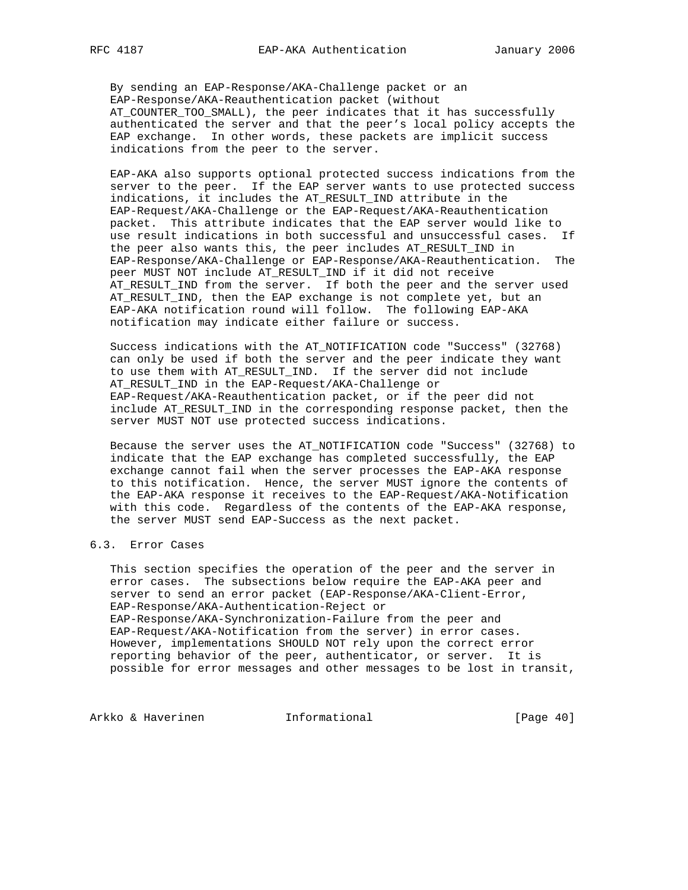By sending an EAP-Response/AKA-Challenge packet or an EAP-Response/AKA-Reauthentication packet (without AT\_COUNTER\_TOO\_SMALL), the peer indicates that it has successfully authenticated the server and that the peer's local policy accepts the EAP exchange. In other words, these packets are implicit success indications from the peer to the server.

 EAP-AKA also supports optional protected success indications from the server to the peer. If the EAP server wants to use protected success indications, it includes the AT\_RESULT\_IND attribute in the EAP-Request/AKA-Challenge or the EAP-Request/AKA-Reauthentication packet. This attribute indicates that the EAP server would like to use result indications in both successful and unsuccessful cases. If the peer also wants this, the peer includes AT\_RESULT\_IND in EAP-Response/AKA-Challenge or EAP-Response/AKA-Reauthentication. The peer MUST NOT include AT\_RESULT\_IND if it did not receive AT\_RESULT\_IND from the server. If both the peer and the server used AT\_RESULT\_IND, then the EAP exchange is not complete yet, but an EAP-AKA notification round will follow. The following EAP-AKA notification may indicate either failure or success.

 Success indications with the AT\_NOTIFICATION code "Success" (32768) can only be used if both the server and the peer indicate they want to use them with AT\_RESULT\_IND. If the server did not include AT\_RESULT\_IND in the EAP-Request/AKA-Challenge or EAP-Request/AKA-Reauthentication packet, or if the peer did not include AT\_RESULT\_IND in the corresponding response packet, then the server MUST NOT use protected success indications.

 Because the server uses the AT\_NOTIFICATION code "Success" (32768) to indicate that the EAP exchange has completed successfully, the EAP exchange cannot fail when the server processes the EAP-AKA response to this notification. Hence, the server MUST ignore the contents of the EAP-AKA response it receives to the EAP-Request/AKA-Notification with this code. Regardless of the contents of the EAP-AKA response, the server MUST send EAP-Success as the next packet.

# 6.3. Error Cases

 This section specifies the operation of the peer and the server in error cases. The subsections below require the EAP-AKA peer and server to send an error packet (EAP-Response/AKA-Client-Error, EAP-Response/AKA-Authentication-Reject or EAP-Response/AKA-Synchronization-Failure from the peer and EAP-Request/AKA-Notification from the server) in error cases. However, implementations SHOULD NOT rely upon the correct error reporting behavior of the peer, authenticator, or server. It is possible for error messages and other messages to be lost in transit,

Arkko & Haverinen 1nformational [Page 40]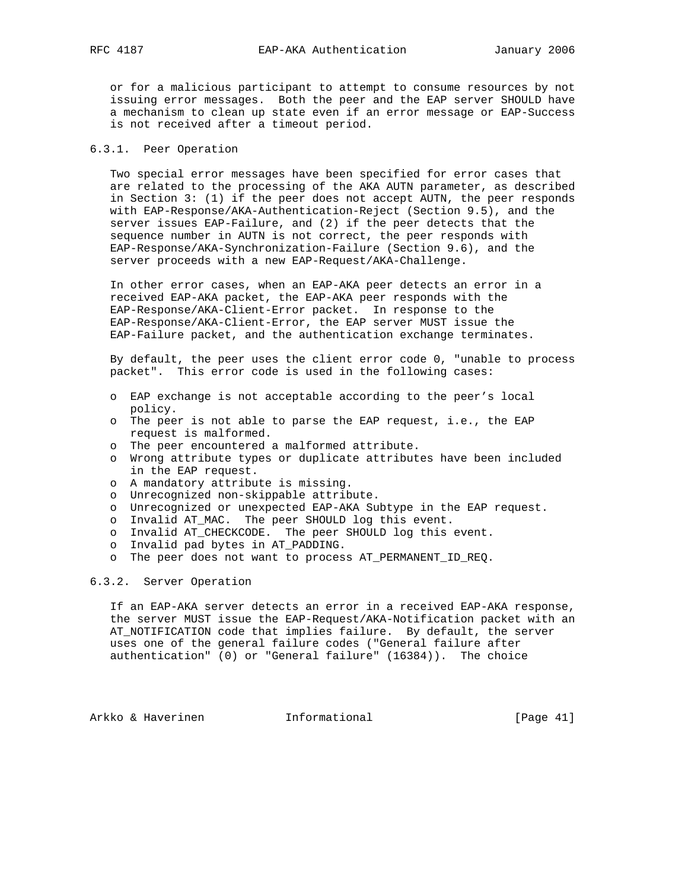or for a malicious participant to attempt to consume resources by not issuing error messages. Both the peer and the EAP server SHOULD have a mechanism to clean up state even if an error message or EAP-Success is not received after a timeout period.

# 6.3.1. Peer Operation

 Two special error messages have been specified for error cases that are related to the processing of the AKA AUTN parameter, as described in Section 3: (1) if the peer does not accept AUTN, the peer responds with EAP-Response/AKA-Authentication-Reject (Section 9.5), and the server issues EAP-Failure, and (2) if the peer detects that the sequence number in AUTN is not correct, the peer responds with EAP-Response/AKA-Synchronization-Failure (Section 9.6), and the server proceeds with a new EAP-Request/AKA-Challenge.

 In other error cases, when an EAP-AKA peer detects an error in a received EAP-AKA packet, the EAP-AKA peer responds with the EAP-Response/AKA-Client-Error packet. In response to the EAP-Response/AKA-Client-Error, the EAP server MUST issue the EAP-Failure packet, and the authentication exchange terminates.

 By default, the peer uses the client error code 0, "unable to process packet". This error code is used in the following cases:

- o EAP exchange is not acceptable according to the peer's local policy.
- o The peer is not able to parse the EAP request, i.e., the EAP request is malformed.
- o The peer encountered a malformed attribute.
- o Wrong attribute types or duplicate attributes have been included in the EAP request.
- o A mandatory attribute is missing.
- o Unrecognized non-skippable attribute.
- o Unrecognized or unexpected EAP-AKA Subtype in the EAP request.
- o Invalid AT\_MAC. The peer SHOULD log this event.
- o Invalid AT\_CHECKCODE. The peer SHOULD log this event.
- o Invalid pad bytes in AT\_PADDING.
- o The peer does not want to process AT\_PERMANENT\_ID\_REQ.

# 6.3.2. Server Operation

 If an EAP-AKA server detects an error in a received EAP-AKA response, the server MUST issue the EAP-Request/AKA-Notification packet with an AT\_NOTIFICATION code that implies failure. By default, the server uses one of the general failure codes ("General failure after authentication" (0) or "General failure" (16384)). The choice

Arkko & Haverinen 1nformational [Page 41]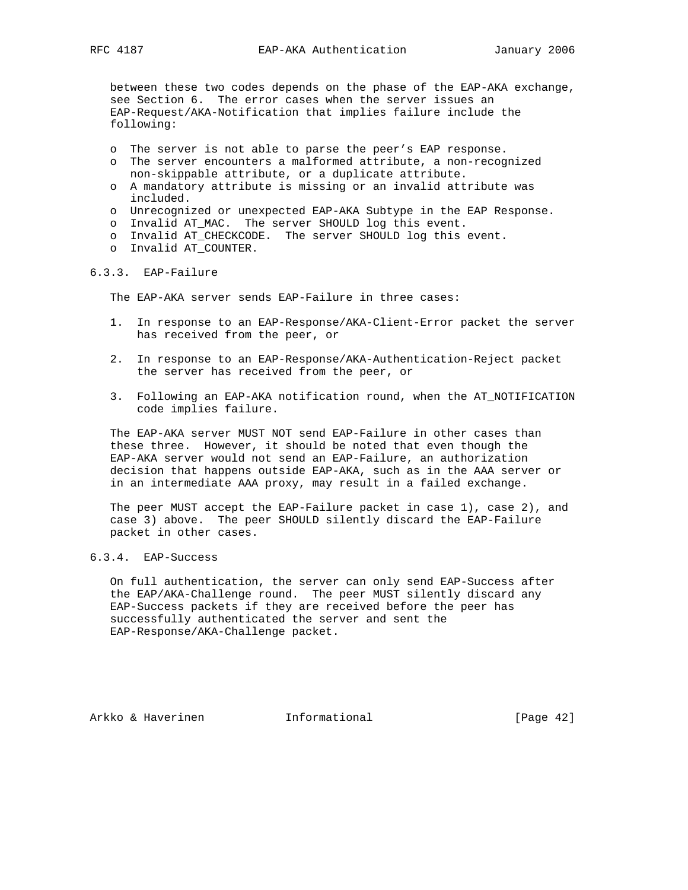between these two codes depends on the phase of the EAP-AKA exchange, see Section 6. The error cases when the server issues an EAP-Request/AKA-Notification that implies failure include the following:

- o The server is not able to parse the peer's EAP response.
- o The server encounters a malformed attribute, a non-recognized non-skippable attribute, or a duplicate attribute.
- o A mandatory attribute is missing or an invalid attribute was included.
- o Unrecognized or unexpected EAP-AKA Subtype in the EAP Response.
- o Invalid AT\_MAC. The server SHOULD log this event.
- o Invalid AT\_CHECKCODE. The server SHOULD log this event.
- o Invalid AT\_COUNTER.

## 6.3.3. EAP-Failure

The EAP-AKA server sends EAP-Failure in three cases:

- 1. In response to an EAP-Response/AKA-Client-Error packet the server has received from the peer, or
- 2. In response to an EAP-Response/AKA-Authentication-Reject packet the server has received from the peer, or
- 3. Following an EAP-AKA notification round, when the AT\_NOTIFICATION code implies failure.

 The EAP-AKA server MUST NOT send EAP-Failure in other cases than these three. However, it should be noted that even though the EAP-AKA server would not send an EAP-Failure, an authorization decision that happens outside EAP-AKA, such as in the AAA server or in an intermediate AAA proxy, may result in a failed exchange.

 The peer MUST accept the EAP-Failure packet in case 1), case 2), and case 3) above. The peer SHOULD silently discard the EAP-Failure packet in other cases.

# 6.3.4. EAP-Success

 On full authentication, the server can only send EAP-Success after the EAP/AKA-Challenge round. The peer MUST silently discard any EAP-Success packets if they are received before the peer has successfully authenticated the server and sent the EAP-Response/AKA-Challenge packet.

Arkko & Haverinen 1nformational [Page 42]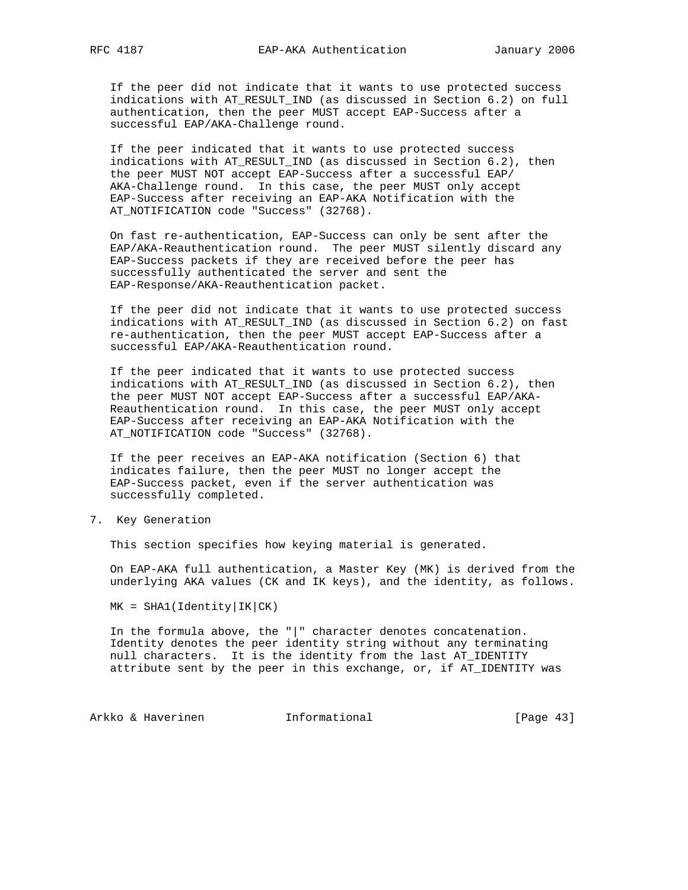If the peer did not indicate that it wants to use protected success indications with AT\_RESULT\_IND (as discussed in Section 6.2) on full authentication, then the peer MUST accept EAP-Success after a successful EAP/AKA-Challenge round.

 If the peer indicated that it wants to use protected success indications with AT\_RESULT\_IND (as discussed in Section 6.2), then the peer MUST NOT accept EAP-Success after a successful EAP/ AKA-Challenge round. In this case, the peer MUST only accept EAP-Success after receiving an EAP-AKA Notification with the AT\_NOTIFICATION code "Success" (32768).

 On fast re-authentication, EAP-Success can only be sent after the EAP/AKA-Reauthentication round. The peer MUST silently discard any EAP-Success packets if they are received before the peer has successfully authenticated the server and sent the EAP-Response/AKA-Reauthentication packet.

 If the peer did not indicate that it wants to use protected success indications with AT\_RESULT\_IND (as discussed in Section 6.2) on fast re-authentication, then the peer MUST accept EAP-Success after a successful EAP/AKA-Reauthentication round.

 If the peer indicated that it wants to use protected success indications with AT\_RESULT\_IND (as discussed in Section 6.2), then the peer MUST NOT accept EAP-Success after a successful EAP/AKA- Reauthentication round. In this case, the peer MUST only accept EAP-Success after receiving an EAP-AKA Notification with the AT\_NOTIFICATION code "Success" (32768).

 If the peer receives an EAP-AKA notification (Section 6) that indicates failure, then the peer MUST no longer accept the EAP-Success packet, even if the server authentication was successfully completed.

7. Key Generation

This section specifies how keying material is generated.

 On EAP-AKA full authentication, a Master Key (MK) is derived from the underlying AKA values (CK and IK keys), and the identity, as follows.

 $MK = SHA1(Identity|IK|CK)$ 

 In the formula above, the "|" character denotes concatenation. Identity denotes the peer identity string without any terminating null characters. It is the identity from the last AT\_IDENTITY attribute sent by the peer in this exchange, or, if AT\_IDENTITY was

Arkko & Haverinen 1nformational (Page 43)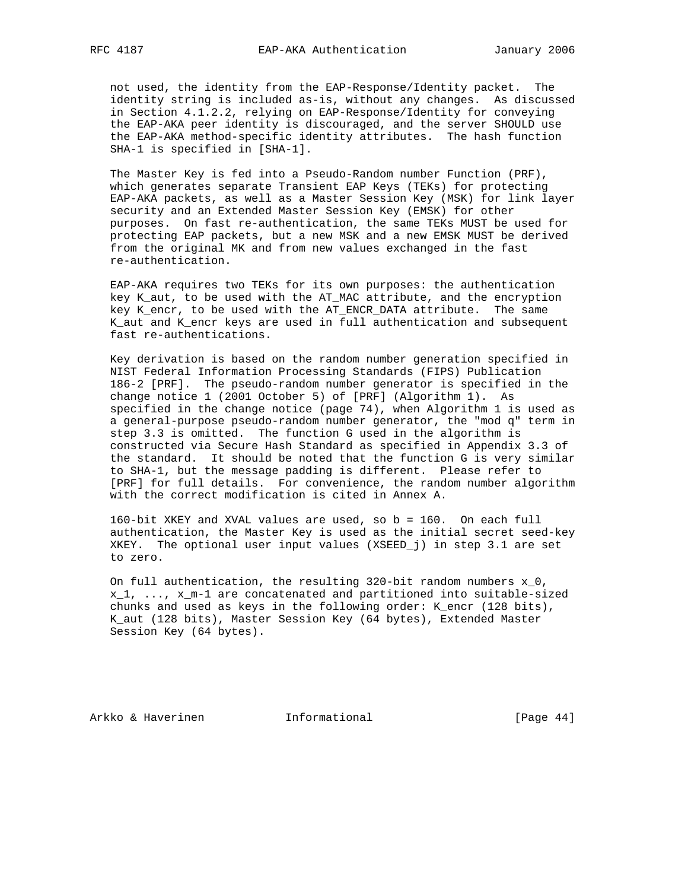not used, the identity from the EAP-Response/Identity packet. The identity string is included as-is, without any changes. As discussed in Section 4.1.2.2, relying on EAP-Response/Identity for conveying the EAP-AKA peer identity is discouraged, and the server SHOULD use the EAP-AKA method-specific identity attributes. The hash function SHA-1 is specified in [SHA-1].

 The Master Key is fed into a Pseudo-Random number Function (PRF), which generates separate Transient EAP Keys (TEKs) for protecting EAP-AKA packets, as well as a Master Session Key (MSK) for link layer security and an Extended Master Session Key (EMSK) for other purposes. On fast re-authentication, the same TEKs MUST be used for protecting EAP packets, but a new MSK and a new EMSK MUST be derived from the original MK and from new values exchanged in the fast re-authentication.

 EAP-AKA requires two TEKs for its own purposes: the authentication key K\_aut, to be used with the AT\_MAC attribute, and the encryption key K\_encr, to be used with the AT\_ENCR\_DATA attribute. The same K\_aut and K\_encr keys are used in full authentication and subsequent fast re-authentications.

 Key derivation is based on the random number generation specified in NIST Federal Information Processing Standards (FIPS) Publication 186-2 [PRF]. The pseudo-random number generator is specified in the change notice 1 (2001 October 5) of [PRF] (Algorithm 1). As specified in the change notice (page 74), when Algorithm 1 is used as a general-purpose pseudo-random number generator, the "mod q" term in step 3.3 is omitted. The function G used in the algorithm is constructed via Secure Hash Standard as specified in Appendix 3.3 of the standard. It should be noted that the function G is very similar to SHA-1, but the message padding is different. Please refer to [PRF] for full details. For convenience, the random number algorithm with the correct modification is cited in Annex A.

 160-bit XKEY and XVAL values are used, so b = 160. On each full authentication, the Master Key is used as the initial secret seed-key XKEY. The optional user input values (XSEED\_j) in step 3.1 are set to zero.

 On full authentication, the resulting 320-bit random numbers x\_0,  $x_1, \ldots, x_m-1$  are concatenated and partitioned into suitable-sized chunks and used as keys in the following order: K\_encr (128 bits), K\_aut (128 bits), Master Session Key (64 bytes), Extended Master Session Key (64 bytes).

Arkko & Haverinen 1nformational (Page 44)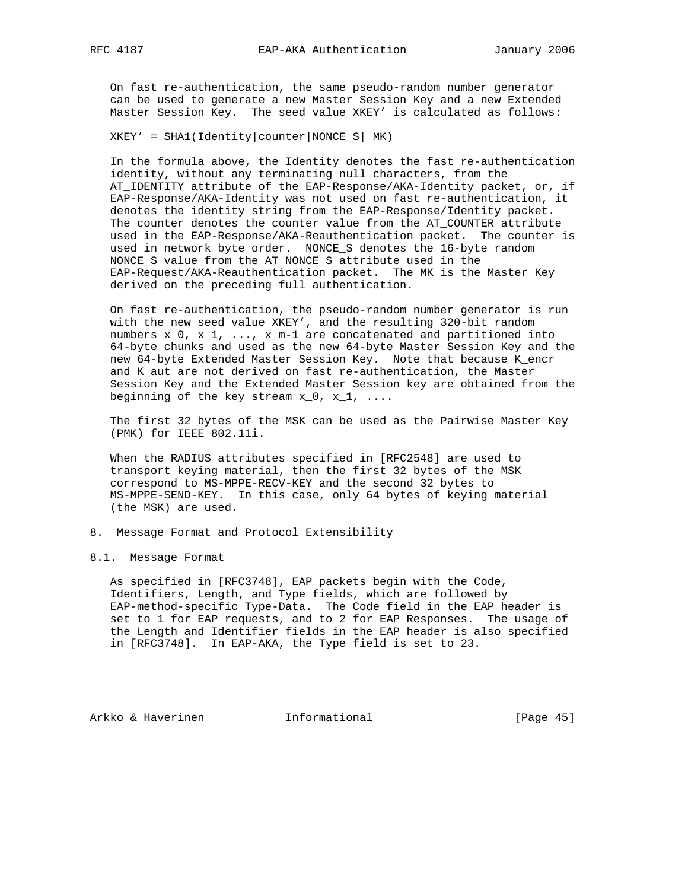On fast re-authentication, the same pseudo-random number generator can be used to generate a new Master Session Key and a new Extended Master Session Key. The seed value XKEY' is calculated as follows:

 $XKEY' = SHA (Identity|counter|NONCE_S| MK)$ 

 In the formula above, the Identity denotes the fast re-authentication identity, without any terminating null characters, from the AT\_IDENTITY attribute of the EAP-Response/AKA-Identity packet, or, if EAP-Response/AKA-Identity was not used on fast re-authentication, it denotes the identity string from the EAP-Response/Identity packet. The counter denotes the counter value from the AT\_COUNTER attribute used in the EAP-Response/AKA-Reauthentication packet. The counter is used in network byte order. NONCE\_S denotes the 16-byte random NONCE\_S value from the AT\_NONCE\_S attribute used in the EAP-Request/AKA-Reauthentication packet. The MK is the Master Key derived on the preceding full authentication.

 On fast re-authentication, the pseudo-random number generator is run with the new seed value XKEY', and the resulting 320-bit random numbers  $x_0$ ,  $x_1$ , ...,  $x_m-1$  are concatenated and partitioned into 64-byte chunks and used as the new 64-byte Master Session Key and the new 64-byte Extended Master Session Key. Note that because K\_encr and K\_aut are not derived on fast re-authentication, the Master Session Key and the Extended Master Session key are obtained from the beginning of the key stream  $x_0$ ,  $x_1$ , ....

 The first 32 bytes of the MSK can be used as the Pairwise Master Key (PMK) for IEEE 802.11i.

 When the RADIUS attributes specified in [RFC2548] are used to transport keying material, then the first 32 bytes of the MSK correspond to MS-MPPE-RECV-KEY and the second 32 bytes to MS-MPPE-SEND-KEY. In this case, only 64 bytes of keying material (the MSK) are used.

- 8. Message Format and Protocol Extensibility
- 8.1. Message Format

 As specified in [RFC3748], EAP packets begin with the Code, Identifiers, Length, and Type fields, which are followed by EAP-method-specific Type-Data. The Code field in the EAP header is set to 1 for EAP requests, and to 2 for EAP Responses. The usage of the Length and Identifier fields in the EAP header is also specified in [RFC3748]. In EAP-AKA, the Type field is set to 23.

Arkko & Haverinen 1nformational (Page 45)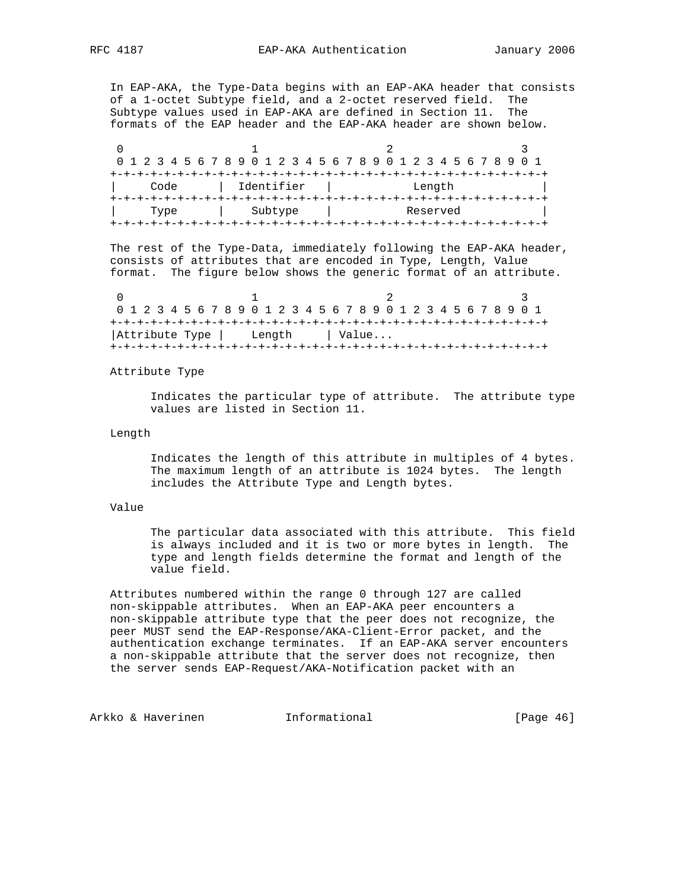In EAP-AKA, the Type-Data begins with an EAP-AKA header that consists of a 1-octet Subtype field, and a 2-octet reserved field. The Subtype values used in EAP-AKA are defined in Section 11. The formats of the EAP header and the EAP-AKA header are shown below.

0  $1$  2 3 0 1 2 3 4 5 6 7 8 9 0 1 2 3 4 5 6 7 8 9 0 1 2 3 4 5 6 7 8 9 0 1 +-+-+-+-+-+-+-+-+-+-+-+-+-+-+-+-+-+-+-+-+-+-+-+-+-+-+-+-+-+-+-+-+ | Code | Identifier | Length | +-+-+-+-+-+-+-+-+-+-+-+-+-+-+-+-+-+-+-+-+-+-+-+-+-+-+-+-+-+-+-+-+ | Type | Subtype | Reserved | +-+-+-+-+-+-+-+-+-+-+-+-+-+-+-+-+-+-+-+-+-+-+-+-+-+-+-+-+-+-+-+-+

 The rest of the Type-Data, immediately following the EAP-AKA header, consists of attributes that are encoded in Type, Length, Value format. The figure below shows the generic format of an attribute.

0  $1$  2 3 0 1 2 3 4 5 6 7 8 9 0 1 2 3 4 5 6 7 8 9 0 1 2 3 4 5 6 7 8 9 0 1 +-+-+-+-+-+-+-+-+-+-+-+-+-+-+-+-+-+-+-+-+-+-+-+-+-+-+-+-+-+-+-+-+ | Attribute Type | Length | Value... +-+-+-+-+-+-+-+-+-+-+-+-+-+-+-+-+-+-+-+-+-+-+-+-+-+-+-+-+-+-+-+-+

Attribute Type

 Indicates the particular type of attribute. The attribute type values are listed in Section 11.

## Length

 Indicates the length of this attribute in multiples of 4 bytes. The maximum length of an attribute is 1024 bytes. The length includes the Attribute Type and Length bytes.

## Value

 The particular data associated with this attribute. This field is always included and it is two or more bytes in length. The type and length fields determine the format and length of the value field.

 Attributes numbered within the range 0 through 127 are called non-skippable attributes. When an EAP-AKA peer encounters a non-skippable attribute type that the peer does not recognize, the peer MUST send the EAP-Response/AKA-Client-Error packet, and the authentication exchange terminates. If an EAP-AKA server encounters a non-skippable attribute that the server does not recognize, then the server sends EAP-Request/AKA-Notification packet with an

Arkko & Haverinen 1nformational (Page 46)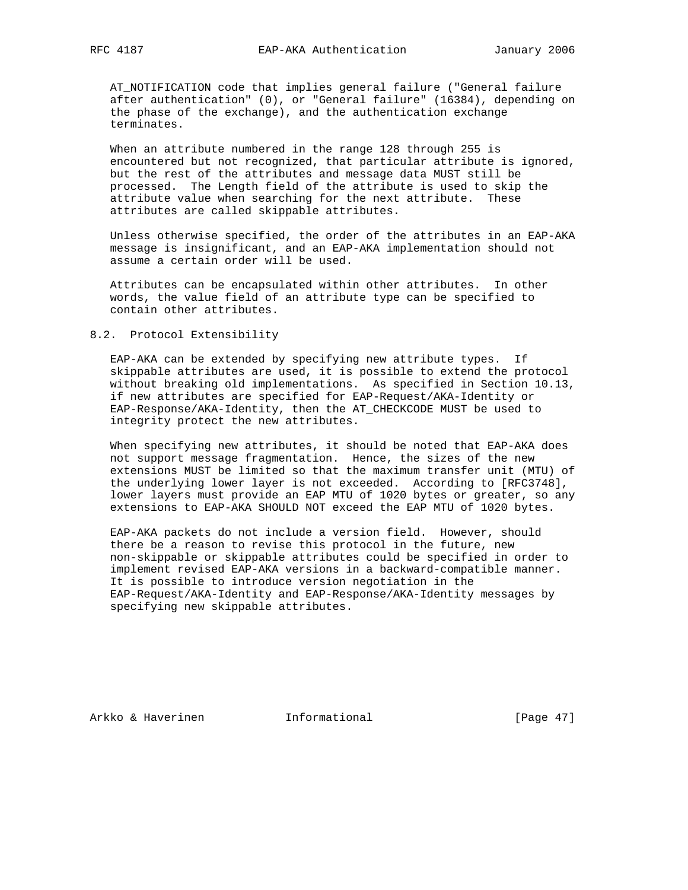AT\_NOTIFICATION code that implies general failure ("General failure after authentication" (0), or "General failure" (16384), depending on the phase of the exchange), and the authentication exchange terminates.

 When an attribute numbered in the range 128 through 255 is encountered but not recognized, that particular attribute is ignored, but the rest of the attributes and message data MUST still be processed. The Length field of the attribute is used to skip the attribute value when searching for the next attribute. These attributes are called skippable attributes.

 Unless otherwise specified, the order of the attributes in an EAP-AKA message is insignificant, and an EAP-AKA implementation should not assume a certain order will be used.

 Attributes can be encapsulated within other attributes. In other words, the value field of an attribute type can be specified to contain other attributes.

#### 8.2. Protocol Extensibility

 EAP-AKA can be extended by specifying new attribute types. If skippable attributes are used, it is possible to extend the protocol without breaking old implementations. As specified in Section 10.13, if new attributes are specified for EAP-Request/AKA-Identity or EAP-Response/AKA-Identity, then the AT\_CHECKCODE MUST be used to integrity protect the new attributes.

 When specifying new attributes, it should be noted that EAP-AKA does not support message fragmentation. Hence, the sizes of the new extensions MUST be limited so that the maximum transfer unit (MTU) of the underlying lower layer is not exceeded. According to [RFC3748], lower layers must provide an EAP MTU of 1020 bytes or greater, so any extensions to EAP-AKA SHOULD NOT exceed the EAP MTU of 1020 bytes.

 EAP-AKA packets do not include a version field. However, should there be a reason to revise this protocol in the future, new non-skippable or skippable attributes could be specified in order to implement revised EAP-AKA versions in a backward-compatible manner. It is possible to introduce version negotiation in the EAP-Request/AKA-Identity and EAP-Response/AKA-Identity messages by specifying new skippable attributes.

Arkko & Haverinen 1nformational [Page 47]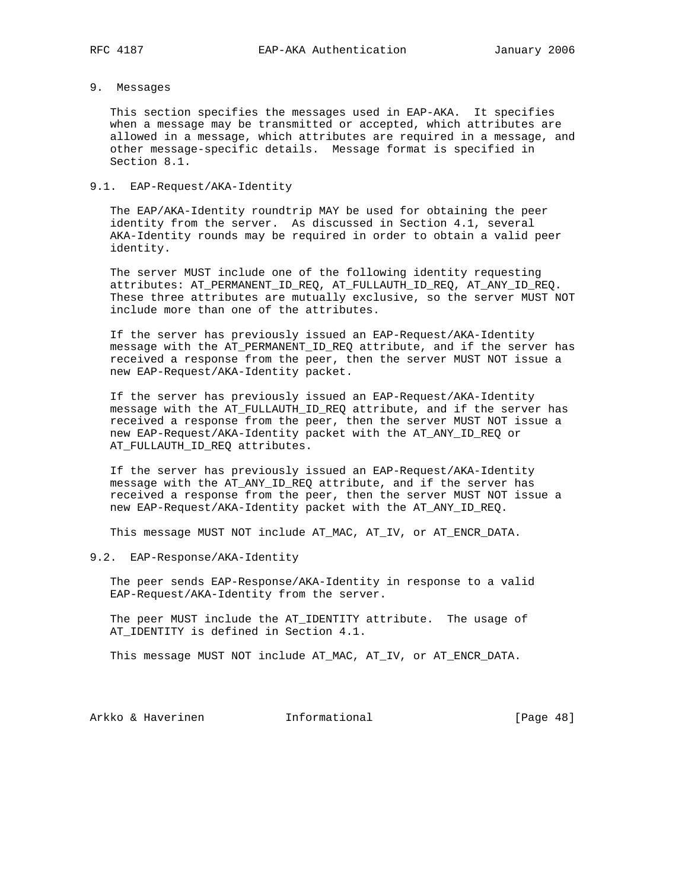# 9. Messages

 This section specifies the messages used in EAP-AKA. It specifies when a message may be transmitted or accepted, which attributes are allowed in a message, which attributes are required in a message, and other message-specific details. Message format is specified in Section 8.1.

# 9.1. EAP-Request/AKA-Identity

 The EAP/AKA-Identity roundtrip MAY be used for obtaining the peer identity from the server. As discussed in Section 4.1, several AKA-Identity rounds may be required in order to obtain a valid peer identity.

 The server MUST include one of the following identity requesting attributes: AT\_PERMANENT\_ID\_REQ, AT\_FULLAUTH\_ID\_REQ, AT\_ANY\_ID\_REQ. These three attributes are mutually exclusive, so the server MUST NOT include more than one of the attributes.

 If the server has previously issued an EAP-Request/AKA-Identity message with the AT\_PERMANENT\_ID\_REQ attribute, and if the server has received a response from the peer, then the server MUST NOT issue a new EAP-Request/AKA-Identity packet.

 If the server has previously issued an EAP-Request/AKA-Identity message with the AT\_FULLAUTH\_ID\_REQ attribute, and if the server has received a response from the peer, then the server MUST NOT issue a new EAP-Request/AKA-Identity packet with the AT\_ANY\_ID\_REQ or AT\_FULLAUTH\_ID\_REQ attributes.

 If the server has previously issued an EAP-Request/AKA-Identity message with the AT\_ANY\_ID\_REQ attribute, and if the server has received a response from the peer, then the server MUST NOT issue a new EAP-Request/AKA-Identity packet with the AT\_ANY\_ID\_REQ.

This message MUST NOT include AT\_MAC, AT\_IV, or AT\_ENCR\_DATA.

## 9.2. EAP-Response/AKA-Identity

 The peer sends EAP-Response/AKA-Identity in response to a valid EAP-Request/AKA-Identity from the server.

 The peer MUST include the AT\_IDENTITY attribute. The usage of AT\_IDENTITY is defined in Section 4.1.

This message MUST NOT include AT\_MAC, AT\_IV, or AT\_ENCR\_DATA.

Arkko & Haverinen 1nformational [Page 48]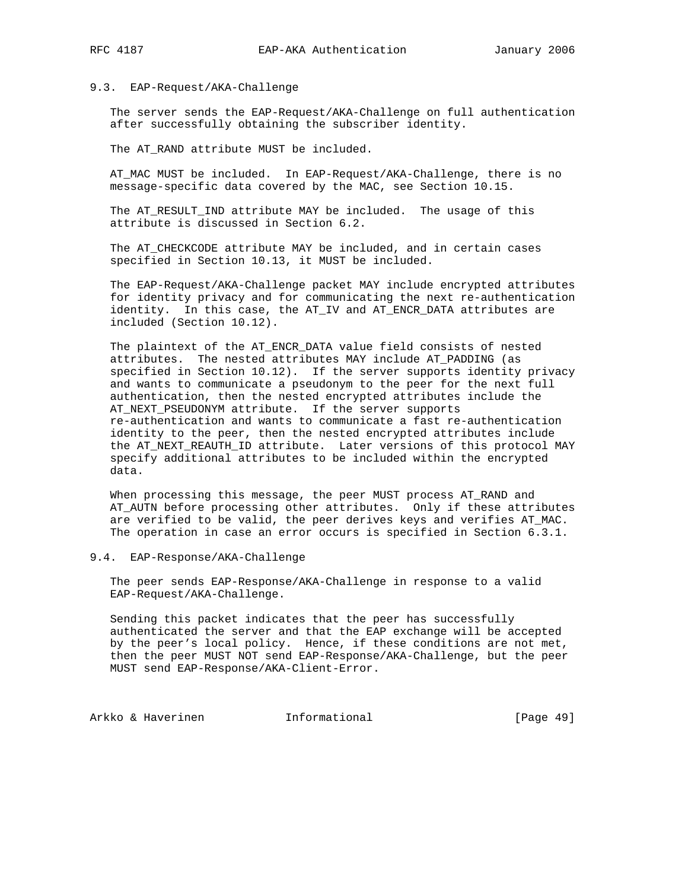## 9.3. EAP-Request/AKA-Challenge

 The server sends the EAP-Request/AKA-Challenge on full authentication after successfully obtaining the subscriber identity.

The AT\_RAND attribute MUST be included.

 AT\_MAC MUST be included. In EAP-Request/AKA-Challenge, there is no message-specific data covered by the MAC, see Section 10.15.

 The AT\_RESULT\_IND attribute MAY be included. The usage of this attribute is discussed in Section 6.2.

 The AT\_CHECKCODE attribute MAY be included, and in certain cases specified in Section 10.13, it MUST be included.

 The EAP-Request/AKA-Challenge packet MAY include encrypted attributes for identity privacy and for communicating the next re-authentication identity. In this case, the AT\_IV and AT\_ENCR\_DATA attributes are included (Section 10.12).

 The plaintext of the AT\_ENCR\_DATA value field consists of nested attributes. The nested attributes MAY include AT\_PADDING (as specified in Section 10.12). If the server supports identity privacy and wants to communicate a pseudonym to the peer for the next full authentication, then the nested encrypted attributes include the AT\_NEXT\_PSEUDONYM attribute. If the server supports re-authentication and wants to communicate a fast re-authentication identity to the peer, then the nested encrypted attributes include the AT\_NEXT\_REAUTH\_ID attribute. Later versions of this protocol MAY specify additional attributes to be included within the encrypted data.

 When processing this message, the peer MUST process AT\_RAND and AT\_AUTN before processing other attributes. Only if these attributes are verified to be valid, the peer derives keys and verifies AT\_MAC. The operation in case an error occurs is specified in Section 6.3.1.

## 9.4. EAP-Response/AKA-Challenge

 The peer sends EAP-Response/AKA-Challenge in response to a valid EAP-Request/AKA-Challenge.

 Sending this packet indicates that the peer has successfully authenticated the server and that the EAP exchange will be accepted by the peer's local policy. Hence, if these conditions are not met, then the peer MUST NOT send EAP-Response/AKA-Challenge, but the peer MUST send EAP-Response/AKA-Client-Error.

Arkko & Haverinen 1nformational [Page 49]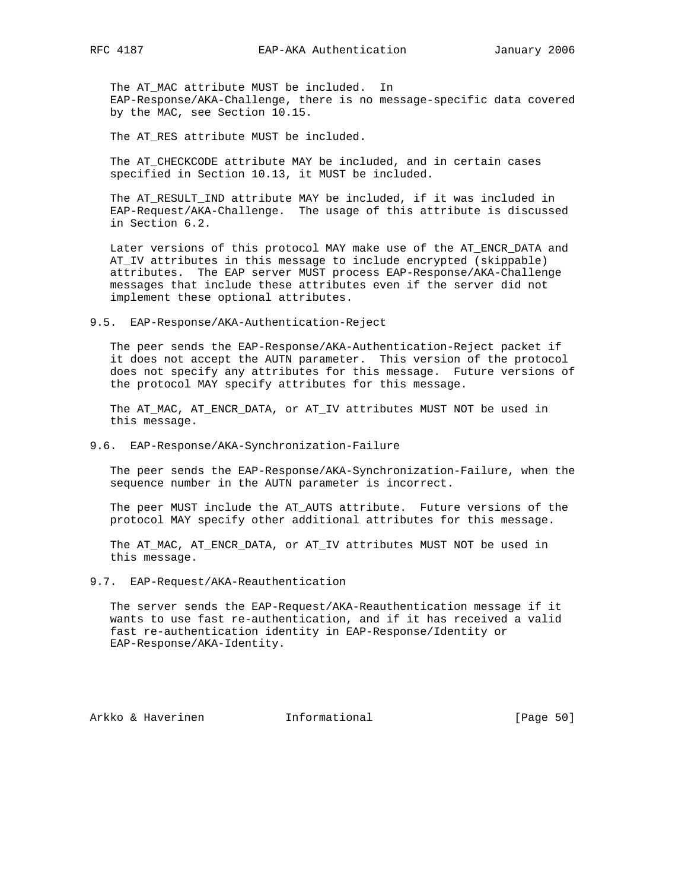The AT\_MAC attribute MUST be included. In EAP-Response/AKA-Challenge, there is no message-specific data covered by the MAC, see Section 10.15.

The AT\_RES attribute MUST be included.

 The AT\_CHECKCODE attribute MAY be included, and in certain cases specified in Section 10.13, it MUST be included.

The AT RESULT IND attribute MAY be included, if it was included in EAP-Request/AKA-Challenge. The usage of this attribute is discussed in Section 6.2.

 Later versions of this protocol MAY make use of the AT\_ENCR\_DATA and AT\_IV attributes in this message to include encrypted (skippable) attributes. The EAP server MUST process EAP-Response/AKA-Challenge messages that include these attributes even if the server did not implement these optional attributes.

9.5. EAP-Response/AKA-Authentication-Reject

 The peer sends the EAP-Response/AKA-Authentication-Reject packet if it does not accept the AUTN parameter. This version of the protocol does not specify any attributes for this message. Future versions of the protocol MAY specify attributes for this message.

 The AT\_MAC, AT\_ENCR\_DATA, or AT\_IV attributes MUST NOT be used in this message.

9.6. EAP-Response/AKA-Synchronization-Failure

 The peer sends the EAP-Response/AKA-Synchronization-Failure, when the sequence number in the AUTN parameter is incorrect.

 The peer MUST include the AT\_AUTS attribute. Future versions of the protocol MAY specify other additional attributes for this message.

 The AT\_MAC, AT\_ENCR\_DATA, or AT\_IV attributes MUST NOT be used in this message.

9.7. EAP-Request/AKA-Reauthentication

 The server sends the EAP-Request/AKA-Reauthentication message if it wants to use fast re-authentication, and if it has received a valid fast re-authentication identity in EAP-Response/Identity or EAP-Response/AKA-Identity.

Arkko & Haverinen 1nformational [Page 50]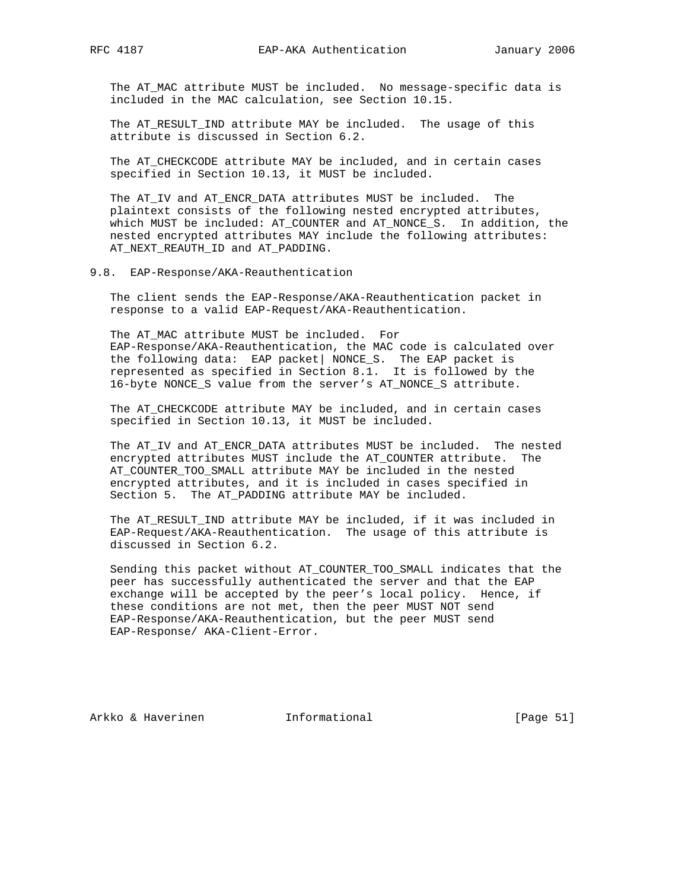The AT\_MAC attribute MUST be included. No message-specific data is included in the MAC calculation, see Section 10.15.

 The AT\_RESULT\_IND attribute MAY be included. The usage of this attribute is discussed in Section 6.2.

 The AT\_CHECKCODE attribute MAY be included, and in certain cases specified in Section 10.13, it MUST be included.

The AT\_IV and AT\_ENCR\_DATA attributes MUST be included. The plaintext consists of the following nested encrypted attributes, which MUST be included: AT\_COUNTER and AT\_NONCE\_S. In addition, the nested encrypted attributes MAY include the following attributes: AT\_NEXT\_REAUTH\_ID and AT\_PADDING.

# 9.8. EAP-Response/AKA-Reauthentication

 The client sends the EAP-Response/AKA-Reauthentication packet in response to a valid EAP-Request/AKA-Reauthentication.

 The AT\_MAC attribute MUST be included. For EAP-Response/AKA-Reauthentication, the MAC code is calculated over the following data: EAP packet| NONCE\_S. The EAP packet is represented as specified in Section 8.1. It is followed by the 16-byte NONCE\_S value from the server's AT\_NONCE\_S attribute.

 The AT\_CHECKCODE attribute MAY be included, and in certain cases specified in Section 10.13, it MUST be included.

 The AT\_IV and AT\_ENCR\_DATA attributes MUST be included. The nested encrypted attributes MUST include the AT\_COUNTER attribute. The AT\_COUNTER\_TOO\_SMALL attribute MAY be included in the nested encrypted attributes, and it is included in cases specified in Section 5. The AT\_PADDING attribute MAY be included.

 The AT\_RESULT\_IND attribute MAY be included, if it was included in EAP-Request/AKA-Reauthentication. The usage of this attribute is discussed in Section 6.2.

 Sending this packet without AT\_COUNTER\_TOO\_SMALL indicates that the peer has successfully authenticated the server and that the EAP exchange will be accepted by the peer's local policy. Hence, if these conditions are not met, then the peer MUST NOT send EAP-Response/AKA-Reauthentication, but the peer MUST send EAP-Response/ AKA-Client-Error.

Arkko & Haverinen 1nformational [Page 51]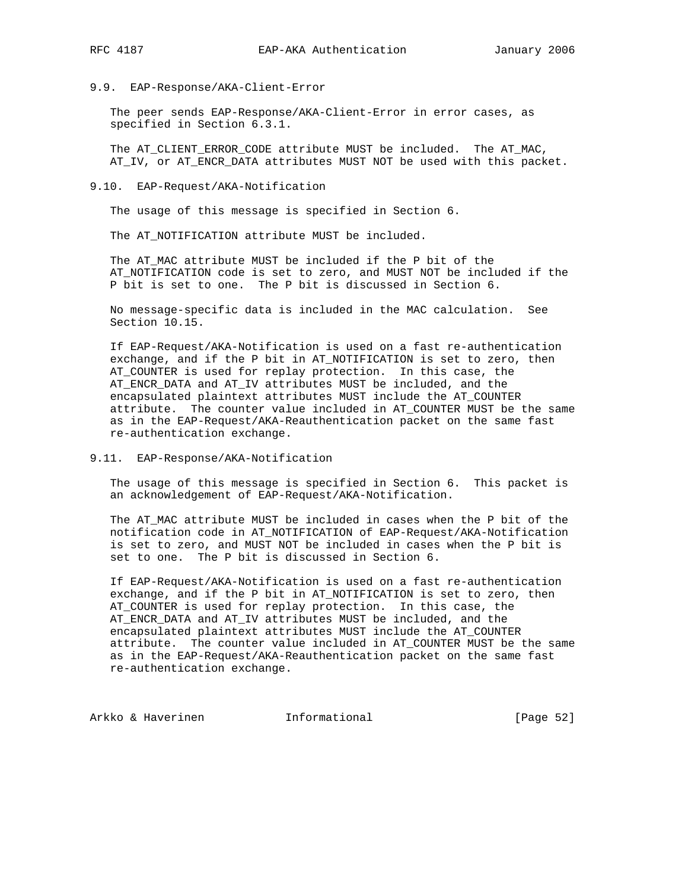## 9.9. EAP-Response/AKA-Client-Error

 The peer sends EAP-Response/AKA-Client-Error in error cases, as specified in Section 6.3.1.

 The AT\_CLIENT\_ERROR\_CODE attribute MUST be included. The AT\_MAC, AT\_IV, or AT\_ENCR\_DATA attributes MUST NOT be used with this packet.

#### 9.10. EAP-Request/AKA-Notification

The usage of this message is specified in Section 6.

The AT\_NOTIFICATION attribute MUST be included.

 The AT\_MAC attribute MUST be included if the P bit of the AT\_NOTIFICATION code is set to zero, and MUST NOT be included if the P bit is set to one. The P bit is discussed in Section 6.

 No message-specific data is included in the MAC calculation. See Section 10.15.

 If EAP-Request/AKA-Notification is used on a fast re-authentication exchange, and if the P bit in AT\_NOTIFICATION is set to zero, then AT\_COUNTER is used for replay protection. In this case, the AT\_ENCR\_DATA and AT\_IV attributes MUST be included, and the encapsulated plaintext attributes MUST include the AT\_COUNTER attribute. The counter value included in AT\_COUNTER MUST be the same as in the EAP-Request/AKA-Reauthentication packet on the same fast re-authentication exchange.

#### 9.11. EAP-Response/AKA-Notification

 The usage of this message is specified in Section 6. This packet is an acknowledgement of EAP-Request/AKA-Notification.

 The AT\_MAC attribute MUST be included in cases when the P bit of the notification code in AT\_NOTIFICATION of EAP-Request/AKA-Notification is set to zero, and MUST NOT be included in cases when the P bit is set to one. The P bit is discussed in Section 6.

 If EAP-Request/AKA-Notification is used on a fast re-authentication exchange, and if the P bit in AT\_NOTIFICATION is set to zero, then AT\_COUNTER is used for replay protection. In this case, the AT\_ENCR\_DATA and AT\_IV attributes MUST be included, and the encapsulated plaintext attributes MUST include the AT\_COUNTER attribute. The counter value included in AT\_COUNTER MUST be the same as in the EAP-Request/AKA-Reauthentication packet on the same fast re-authentication exchange.

Arkko & Haverinen 1nformational [Page 52]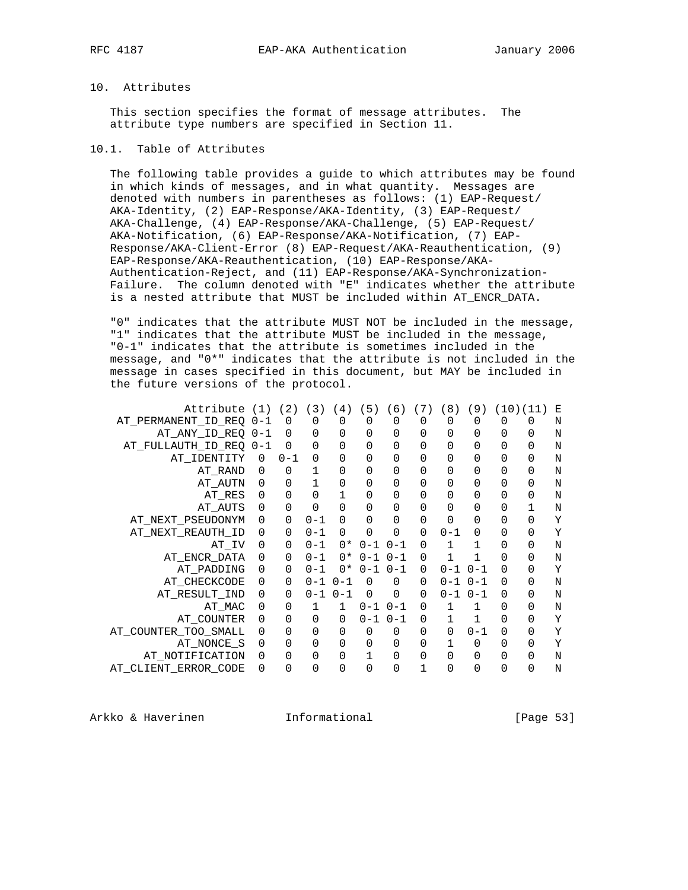# 10. Attributes

 This section specifies the format of message attributes. The attribute type numbers are specified in Section 11.

# 10.1. Table of Attributes

 The following table provides a guide to which attributes may be found in which kinds of messages, and in what quantity. Messages are denoted with numbers in parentheses as follows: (1) EAP-Request/ AKA-Identity, (2) EAP-Response/AKA-Identity, (3) EAP-Request/ AKA-Challenge, (4) EAP-Response/AKA-Challenge, (5) EAP-Request/ AKA-Notification, (6) EAP-Response/AKA-Notification, (7) EAP- Response/AKA-Client-Error (8) EAP-Request/AKA-Reauthentication, (9) EAP-Response/AKA-Reauthentication, (10) EAP-Response/AKA- Authentication-Reject, and (11) EAP-Response/AKA-Synchronization- Failure. The column denoted with "E" indicates whether the attribute is a nested attribute that MUST be included within AT\_ENCR\_DATA.

 "0" indicates that the attribute MUST NOT be included in the message, "1" indicates that the attribute MUST be included in the message, "0-1" indicates that the attribute is sometimes included in the message, and "0\*" indicates that the attribute is not included in the message in cases specified in this document, but MAY be included in the future versions of the protocol.

| Attribute (1)        |             | (2)     | (3)         | 4)      | (5)         | 6)          | 7)          | 8)      | (9)     |   | (10)(11) | Е |
|----------------------|-------------|---------|-------------|---------|-------------|-------------|-------------|---------|---------|---|----------|---|
| AT PERMANENT ID REO  | $0 - 1$     | 0       |             |         |             | 0           | 0           | 0       |         | 0 |          | N |
| AT ANY ID REO        | 0-1         | 0       | $\mathbf 0$ | 0       | $\mathbf 0$ | 0           | 0           | 0       | 0       | 0 | 0        | N |
| AT FULLAUTH ID REQ   | $0 - 1$     | 0       | 0           | 0       | $\mathbf 0$ | 0           | 0           | 0       | 0       | 0 | 0        | N |
| AT IDENTITY          | $\Omega$    | $0 - 1$ | $\Omega$    | 0       | $\mathbf 0$ | 0           | 0           | 0       |         | 0 | 0        | N |
| AT_RAND              | $\Omega$    | 0       | 1           | 0       | $\mathbf 0$ | 0           | $\mathbf 0$ | 0       | 0       | 0 | 0        | N |
| AT AUTN              | $\mathbf 0$ | 0       | 1           | 0       | $\mathbf 0$ | 0           | 0           | 0       |         | 0 | 0        | N |
| AT RES               | 0           | 0       | 0           |         | 0           | 0           | 0           | 0       |         | 0 | 0        | N |
| AT AUTS              | $\Omega$    | 0       | 0           | 0       | 0           | 0           | $\Omega$    | 0       |         | 0 |          | N |
| AT_NEXT_PSEUDONYM    | $\mathbf 0$ | 0       | $0 - 1$     | 0       | 0           | 0           | $\mathbf 0$ | 0       | 0       |   | 0        | Υ |
| AT NEXT REAUTH ID    | 0           | 0       | $0 - 1$     | 0       | $\Omega$    | 0           | $\mathbf 0$ | $0 - 1$ |         |   | 0        | Υ |
| $AT\_IV$             | $\Omega$    | 0       | $0 - 1$     | $0*$    | $0 - 1$     | $0 - 1$     | $\Omega$    | 1       |         | 0 | 0        | N |
| AT ENCR DATA         | $\mathbf 0$ | 0       | $0 - 1$     | $0*$    | $0 - 1$     | $0 - 1$     | $\Omega$    | 1       | 1       | 0 | 0        | N |
| AT PADDING           | 0           | 0       | $0 - 1$     | 0*      | $0 - 1$     | $0 - 1$     | $\Omega$    | $0 - 1$ | $0 - 1$ | 0 | 0        | Υ |
| AT CHECKCODE         | $\mathbf 0$ | 0       | $0 - 1$     | $0 - 1$ | $\Omega$    | 0           | $\Omega$    | 0-1     | $0 - 1$ | 0 | 0        | N |
| AT RESULT IND        | $\mathbf 0$ | 0       | $0 - 1$     | $0 - 1$ | $\Omega$    | $\mathbf 0$ | $\mathbf 0$ | $0 - 1$ | $0 - 1$ | 0 | 0        | N |
| AT MAC               | $\mathbf 0$ | 0       | 1           |         | $0 - 1$     | $0 - 1$     | 0           | 1       |         | 0 | 0        | N |
| AT_COUNTER           |             | 0       | 0           | 0       | $0 - 1$     | $0 - 1$     | $\Omega$    |         |         | 0 | 0        | Υ |
| AT_COUNTER_TOO_SMALL | 0           | 0       | 0           | 0       | $\Omega$    | 0           | 0           | 0       | $0 - 1$ | 0 | 0        | Υ |
| AT_NONCE_S           | 0           | 0       | $\Omega$    | 0       | $\mathbf 0$ | 0           | 0           |         | 0       |   | 0        | Y |
| AT NOTIFICATION      |             | 0       | 0           | 0       |             | 0           | 0           | 0       |         | 0 | 0        | N |
| AT_CLIENT_ERROR_CODE | 0           | 0       | U           | 0       | 0           | 0           |             | 0       |         | N | 0        | N |

Arkko & Haverinen 1nformational [Page 53]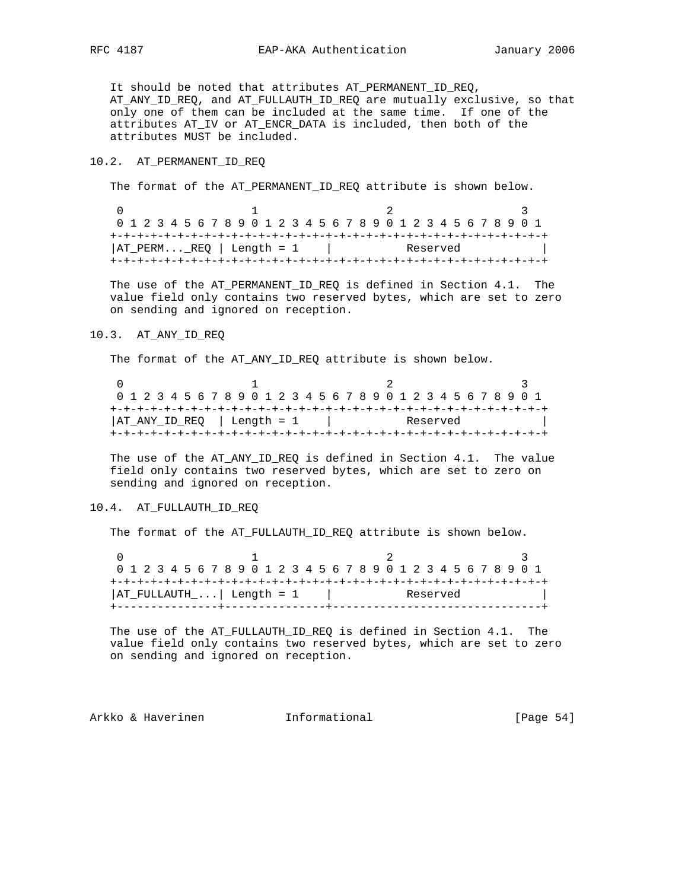It should be noted that attributes AT\_PERMANENT\_ID\_REQ, AT\_ANY\_ID\_REQ, and AT\_FULLAUTH\_ID\_REQ are mutually exclusive, so that only one of them can be included at the same time. If one of the attributes AT\_IV or AT\_ENCR\_DATA is included, then both of the attributes MUST be included.

## 10.2. AT\_PERMANENT\_ID\_REQ

The format of the AT\_PERMANENT\_ID\_REQ attribute is shown below.

|  |  |  | 0 1 2 3 4 5 6 7 8 9 0 1 2 3 4 5 6 7 8 9 0 1 2 3 4 5 6 7 8 9 0 1 |  |  |  |  |  |  |  |  |          |  |  |  |  |
|--|--|--|-----------------------------------------------------------------|--|--|--|--|--|--|--|--|----------|--|--|--|--|
|  |  |  |                                                                 |  |  |  |  |  |  |  |  |          |  |  |  |  |
|  |  |  | $ AT_PERMERQ $ Length = 1                                       |  |  |  |  |  |  |  |  | Reserved |  |  |  |  |
|  |  |  |                                                                 |  |  |  |  |  |  |  |  |          |  |  |  |  |

 The use of the AT\_PERMANENT\_ID\_REQ is defined in Section 4.1. The value field only contains two reserved bytes, which are set to zero on sending and ignored on reception.

#### 10.3. AT\_ANY\_ID\_REQ

The format of the AT\_ANY\_ID\_REQ attribute is shown below.

| 0 1 2 3 4 5 6 7 8 9 0 1 2 3 4 5 6 7 8 9 0 1 2 3 4 5 6 7 8 9 0 1 |  |  |  |  |  |  |  |  |  |  |          |  |  |  |  |  |
|-----------------------------------------------------------------|--|--|--|--|--|--|--|--|--|--|----------|--|--|--|--|--|
|                                                                 |  |  |  |  |  |  |  |  |  |  |          |  |  |  |  |  |
| AT ANY ID REQ   Length = 1                                      |  |  |  |  |  |  |  |  |  |  | Reserved |  |  |  |  |  |
|                                                                 |  |  |  |  |  |  |  |  |  |  |          |  |  |  |  |  |

 The use of the AT\_ANY\_ID\_REQ is defined in Section 4.1. The value field only contains two reserved bytes, which are set to zero on sending and ignored on reception.

# 10.4. AT\_FULLAUTH\_ID\_REQ

The format of the AT\_FULLAUTH\_ID\_REQ attribute is shown below.

|                             | 0 1 2 3 4 5 6 7 8 9 0 1 2 3 4 5 6 7 8 9 0 1 2 3 4 5 6 7 8 9 0 1 |  |
|-----------------------------|-----------------------------------------------------------------|--|
| $ AT_FULLAUTH$   Length = 1 | Reserved                                                        |  |

 The use of the AT\_FULLAUTH\_ID\_REQ is defined in Section 4.1. The value field only contains two reserved bytes, which are set to zero on sending and ignored on reception.

Arkko & Haverinen 1nformational [Page 54]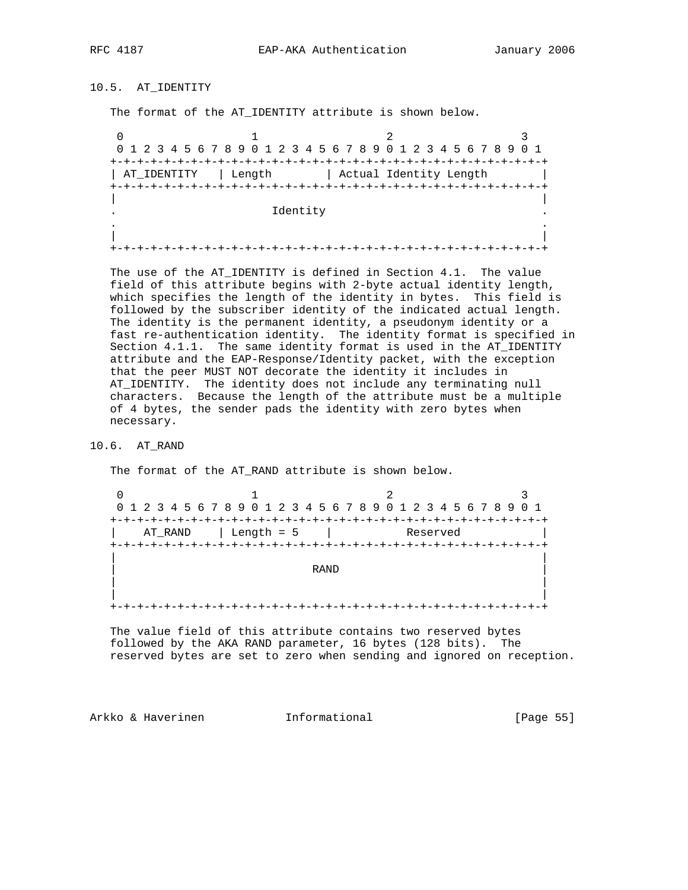# 10.5. AT\_IDENTITY

The format of the AT\_IDENTITY attribute is shown below.

0  $1$  2 3 0 1 2 3 4 5 6 7 8 9 0 1 2 3 4 5 6 7 8 9 0 1 2 3 4 5 6 7 8 9 0 1 +-+-+-+-+-+-+-+-+-+-+-+-+-+-+-+-+-+-+-+-+-+-+-+-+-+-+-+-+-+-+-+-+ | AT\_IDENTITY | Length | Actual Identity Length | +-+-+-+-+-+-+-+-+-+-+-+-+-+-+-+-+-+-+-+-+-+-+-+-+-+-+-+-+-+-+-+-+ | | . Identity . . . | | +-+-+-+-+-+-+-+-+-+-+-+-+-+-+-+-+-+-+-+-+-+-+-+-+-+-+-+-+-+-+-+-+

 The use of the AT\_IDENTITY is defined in Section 4.1. The value field of this attribute begins with 2-byte actual identity length, which specifies the length of the identity in bytes. This field is followed by the subscriber identity of the indicated actual length. The identity is the permanent identity, a pseudonym identity or a fast re-authentication identity. The identity format is specified in Section 4.1.1. The same identity format is used in the AT\_IDENTITY attribute and the EAP-Response/Identity packet, with the exception that the peer MUST NOT decorate the identity it includes in AT\_IDENTITY. The identity does not include any terminating null characters. Because the length of the attribute must be a multiple of 4 bytes, the sender pads the identity with zero bytes when necessary.

### 10.6. AT\_RAND

The format of the AT\_RAND attribute is shown below.

0  $1$  2 3 0 1 2 3 4 5 6 7 8 9 0 1 2 3 4 5 6 7 8 9 0 1 2 3 4 5 6 7 8 9 0 1 +-+-+-+-+-+-+-+-+-+-+-+-+-+-+-+-+-+-+-+-+-+-+-+-+-+-+-+-+-+-+-+-+ AT\_RAND | Length = 5 | +-+-+-+-+-+-+-+-+-+-+-+-+-+-+-+-+-+-+-+-+-+-+-+-+-+-+-+-+-+-+-+-+ | | | RAND | | | | | +-+-+-+-+-+-+-+-+-+-+-+-+-+-+-+-+-+-+-+-+-+-+-+-+-+-+-+-+-+-+-+-+

 The value field of this attribute contains two reserved bytes followed by the AKA RAND parameter, 16 bytes (128 bits). The reserved bytes are set to zero when sending and ignored on reception.

Arkko & Haverinen 1nformational (Page 55)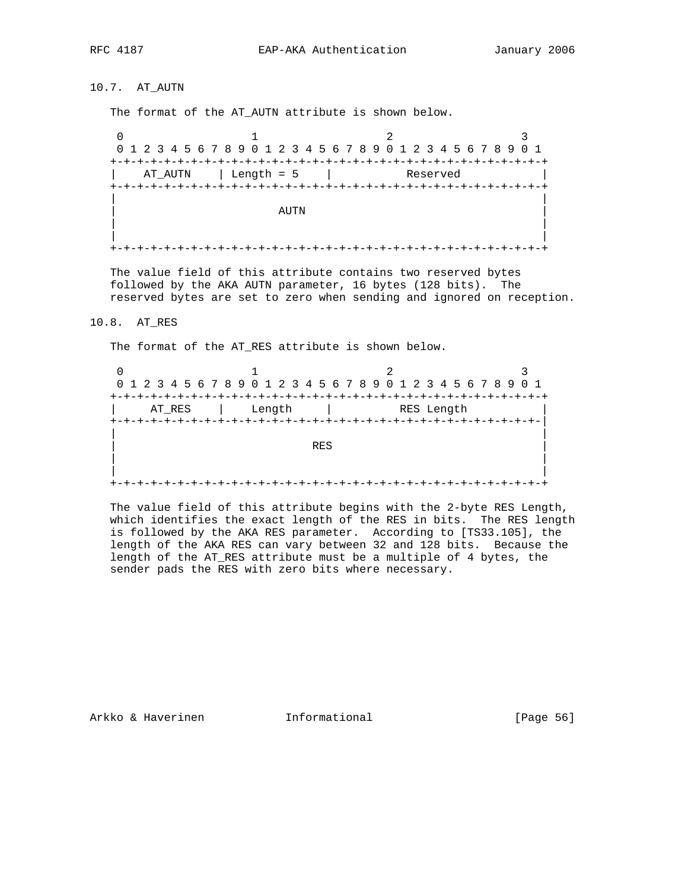# 10.7. AT\_AUTN

The format of the AT\_AUTN attribute is shown below.

0  $1$  2 3 0 1 2 3 4 5 6 7 8 9 0 1 2 3 4 5 6 7 8 9 0 1 2 3 4 5 6 7 8 9 0 1 +-+-+-+-+-+-+-+-+-+-+-+-+-+-+-+-+-+-+-+-+-+-+-+-+-+-+-+-+-+-+-+-+ | AT\_AUTN | Length = 5 | Reserved | +-+-+-+-+-+-+-+-+-+-+-+-+-+-+-+-+-+-+-+-+-+-+-+-+-+-+-+-+-+-+-+-+ | | | AUTN **AUTN**  | | | | +-+-+-+-+-+-+-+-+-+-+-+-+-+-+-+-+-+-+-+-+-+-+-+-+-+-+-+-+-+-+-+-+

 The value field of this attribute contains two reserved bytes followed by the AKA AUTN parameter, 16 bytes (128 bits). The reserved bytes are set to zero when sending and ignored on reception.

#### 10.8. AT\_RES

The format of the AT\_RES attribute is shown below.

|        |                   | 0 1 2 3 4 5 6 7 8 9 0 1 2 3 4 5 6 7 8 9 0 1 2 3 4 5 6 7 8 9 0 1 |  |
|--------|-------------------|-----------------------------------------------------------------|--|
| AT RES | Length            | RES Length                                                      |  |
|        | +-+-+-+-+-+-+-+-+ | +-+-+-+-+-+-+-+-+-+-+-+-+-+-+-+-+                               |  |
|        | <b>RES</b>        |                                                                 |  |
|        |                   |                                                                 |  |
|        |                   |                                                                 |  |

 The value field of this attribute begins with the 2-byte RES Length, which identifies the exact length of the RES in bits. The RES length is followed by the AKA RES parameter. According to [TS33.105], the length of the AKA RES can vary between 32 and 128 bits. Because the length of the AT\_RES attribute must be a multiple of 4 bytes, the sender pads the RES with zero bits where necessary.

Arkko & Haverinen 1nformational (Page 56)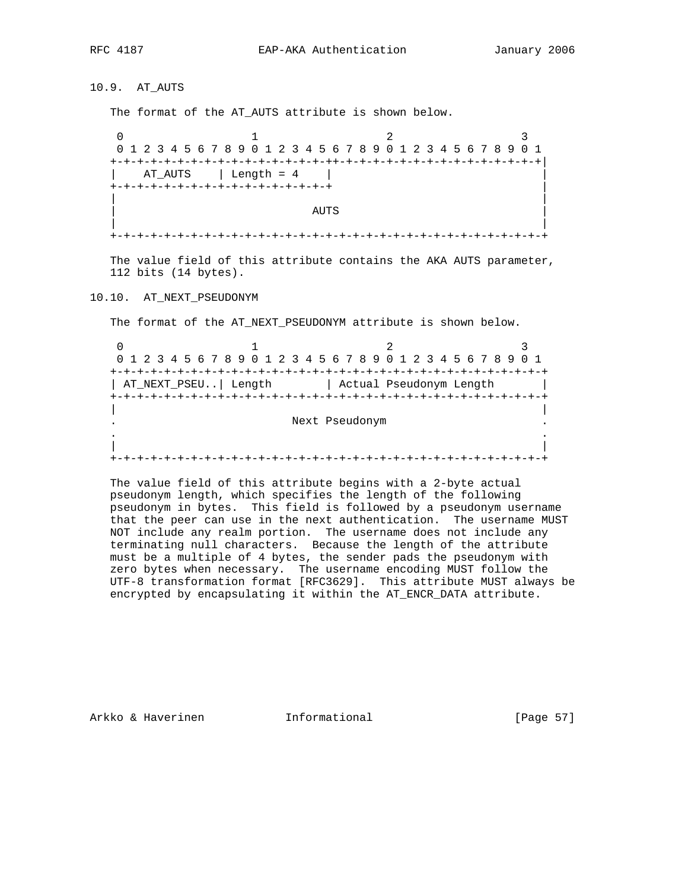10.9. AT\_AUTS

The format of the AT\_AUTS attribute is shown below.

0  $1$  2 3 0 1 2 3 4 5 6 7 8 9 0 1 2 3 4 5 6 7 8 9 0 1 2 3 4 5 6 7 8 9 0 1 +-+-+-+-+-+-+-+-+-+-+-+-+-+-+-+-++-+-+-+-+-+-+-+-+-+-+-+-+-+-+-+| AT\_AUTS | Length = 4 | +-+-+-+-+-+-+-+-+-+-+-+-+-+-+-+-+ | | | | AUTS | | | +-+-+-+-+-+-+-+-+-+-+-+-+-+-+-+-+-+-+-+-+-+-+-+-+-+-+-+-+-+-+-+-+

 The value field of this attribute contains the AKA AUTS parameter, 112 bits (14 bytes).

10.10. AT\_NEXT\_PSEUDONYM

The format of the AT\_NEXT\_PSEUDONYM attribute is shown below.

0  $1$  2 3 0 1 2 3 4 5 6 7 8 9 0 1 2 3 4 5 6 7 8 9 0 1 2 3 4 5 6 7 8 9 0 1 +-+-+-+-+-+-+-+-+-+-+-+-+-+-+-+-+-+-+-+-+-+-+-+-+-+-+-+-+-+-+-+-+ | AT\_NEXT\_PSEU..| Length | Actual Pseudonym Length | +-+-+-+-+-+-+-+-+-+-+-+-+-+-+-+-+-+-+-+-+-+-+-+-+-+-+-+-+-+-+-+-+ | | . Next Pseudonym . . . | | +-+-+-+-+-+-+-+-+-+-+-+-+-+-+-+-+-+-+-+-+-+-+-+-+-+-+-+-+-+-+-+-+

 The value field of this attribute begins with a 2-byte actual pseudonym length, which specifies the length of the following pseudonym in bytes. This field is followed by a pseudonym username that the peer can use in the next authentication. The username MUST NOT include any realm portion. The username does not include any terminating null characters. Because the length of the attribute must be a multiple of 4 bytes, the sender pads the pseudonym with zero bytes when necessary. The username encoding MUST follow the UTF-8 transformation format [RFC3629]. This attribute MUST always be encrypted by encapsulating it within the AT\_ENCR\_DATA attribute.

Arkko & Haverinen 1nformational 1992 [Page 57]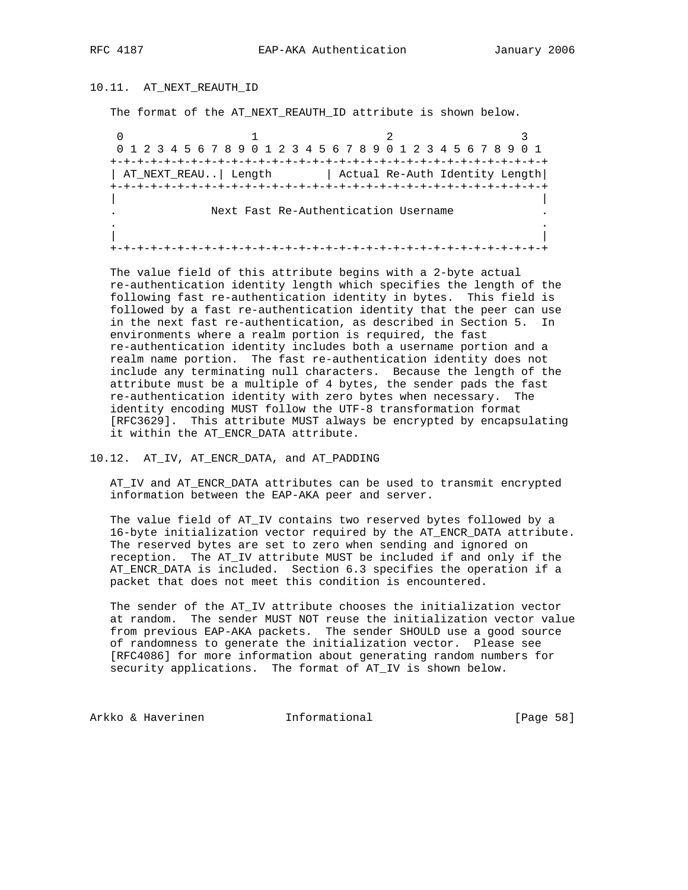# 10.11. AT\_NEXT\_REAUTH\_ID

The format of the AT\_NEXT\_REAUTH\_ID attribute is shown below.

0  $1$  2 3 0 1 2 3 4 5 6 7 8 9 0 1 2 3 4 5 6 7 8 9 0 1 2 3 4 5 6 7 8 9 0 1 +-+-+-+-+-+-+-+-+-+-+-+-+-+-+-+-+-+-+-+-+-+-+-+-+-+-+-+-+-+-+-+-+ | AT\_NEXT\_REAU..| Length | Actual Re-Auth Identity Length| +-+-+-+-+-+-+-+-+-+-+-+-+-+-+-+-+-+-+-+-+-+-+-+-+-+-+-+-+-+-+-+-+ | | Next Fast Re-Authentication Username . . | | +-+-+-+-+-+-+-+-+-+-+-+-+-+-+-+-+-+-+-+-+-+-+-+-+-+-+-+-+-+-+-+-+

 The value field of this attribute begins with a 2-byte actual re-authentication identity length which specifies the length of the following fast re-authentication identity in bytes. This field is followed by a fast re-authentication identity that the peer can use in the next fast re-authentication, as described in Section 5. In environments where a realm portion is required, the fast re-authentication identity includes both a username portion and a realm name portion. The fast re-authentication identity does not include any terminating null characters. Because the length of the attribute must be a multiple of 4 bytes, the sender pads the fast re-authentication identity with zero bytes when necessary. The identity encoding MUST follow the UTF-8 transformation format [RFC3629]. This attribute MUST always be encrypted by encapsulating it within the AT\_ENCR\_DATA attribute.

# 10.12. AT\_IV, AT\_ENCR\_DATA, and AT\_PADDING

 AT\_IV and AT\_ENCR\_DATA attributes can be used to transmit encrypted information between the EAP-AKA peer and server.

 The value field of AT\_IV contains two reserved bytes followed by a 16-byte initialization vector required by the AT\_ENCR\_DATA attribute. The reserved bytes are set to zero when sending and ignored on reception. The AT\_IV attribute MUST be included if and only if the AT\_ENCR\_DATA is included. Section 6.3 specifies the operation if a packet that does not meet this condition is encountered.

 The sender of the AT\_IV attribute chooses the initialization vector at random. The sender MUST NOT reuse the initialization vector value from previous EAP-AKA packets. The sender SHOULD use a good source of randomness to generate the initialization vector. Please see [RFC4086] for more information about generating random numbers for security applications. The format of AT\_IV is shown below.

Arkko & Haverinen 1nformational 1999 [Page 58]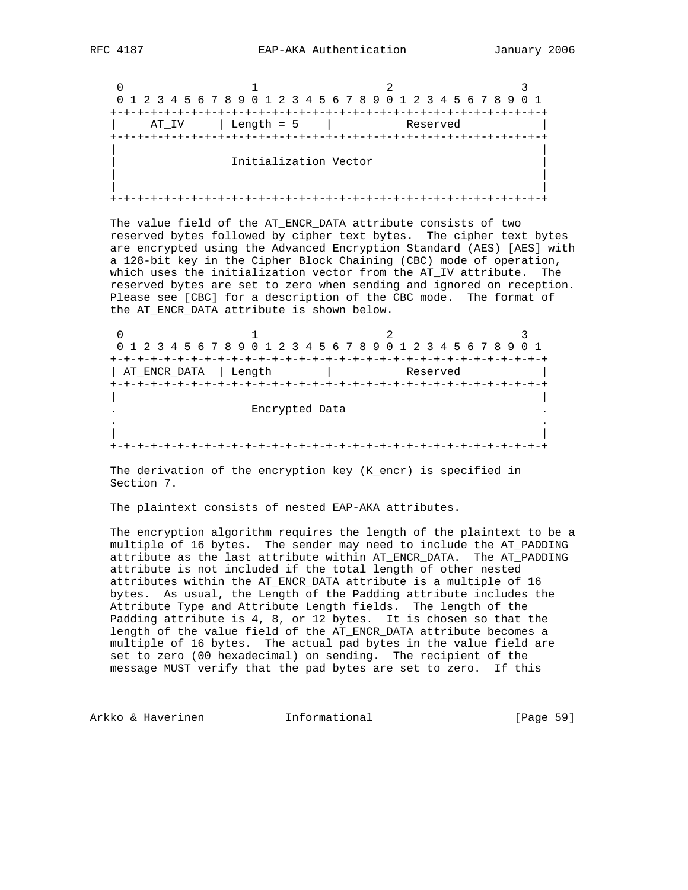0  $1$  2 3 0 1 2 3 4 5 6 7 8 9 0 1 2 3 4 5 6 7 8 9 0 1 2 3 4 5 6 7 8 9 0 1 +-+-+-+-+-+-+-+-+-+-+-+-+-+-+-+-+-+-+-+-+-+-+-+-+-+-+-+-+-+-+-+-+ | AT\_IV | Length = 5 | Reserved | +-+-+-+-+-+-+-+-+-+-+-+-+-+-+-+-+-+-+-+-+-+-+-+-+-+-+-+-+-+-+-+-+ | | Initialization Vector | | | | +-+-+-+-+-+-+-+-+-+-+-+-+-+-+-+-+-+-+-+-+-+-+-+-+-+-+-+-+-+-+-+-+

 The value field of the AT\_ENCR\_DATA attribute consists of two reserved bytes followed by cipher text bytes. The cipher text bytes are encrypted using the Advanced Encryption Standard (AES) [AES] with a 128-bit key in the Cipher Block Chaining (CBC) mode of operation, which uses the initialization vector from the AT IV attribute. The reserved bytes are set to zero when sending and ignored on reception. Please see [CBC] for a description of the CBC mode. The format of the AT\_ENCR\_DATA attribute is shown below.

0  $1$  2 3 0 1 2 3 4 5 6 7 8 9 0 1 2 3 4 5 6 7 8 9 0 1 2 3 4 5 6 7 8 9 0 1 +-+-+-+-+-+-+-+-+-+-+-+-+-+-+-+-+-+-+-+-+-+-+-+-+-+-+-+-+-+-+-+-+ | AT\_ENCR\_DATA | Length | Reserved | +-+-+-+-+-+-+-+-+-+-+-+-+-+-+-+-+-+-+-+-+-+-+-+-+-+-+-+-+-+-+-+-+ | | . Encrypted Data . . . | | +-+-+-+-+-+-+-+-+-+-+-+-+-+-+-+-+-+-+-+-+-+-+-+-+-+-+-+-+-+-+-+-+

 The derivation of the encryption key (K\_encr) is specified in Section 7.

The plaintext consists of nested EAP-AKA attributes.

 The encryption algorithm requires the length of the plaintext to be a multiple of 16 bytes. The sender may need to include the AT\_PADDING attribute as the last attribute within AT\_ENCR\_DATA. The AT\_PADDING attribute is not included if the total length of other nested attributes within the AT\_ENCR\_DATA attribute is a multiple of 16 bytes. As usual, the Length of the Padding attribute includes the Attribute Type and Attribute Length fields. The length of the Padding attribute is 4, 8, or 12 bytes. It is chosen so that the length of the value field of the AT\_ENCR\_DATA attribute becomes a multiple of 16 bytes. The actual pad bytes in the value field are set to zero (00 hexadecimal) on sending. The recipient of the message MUST verify that the pad bytes are set to zero. If this

Arkko & Haverinen 1nformational 1999 [Page 59]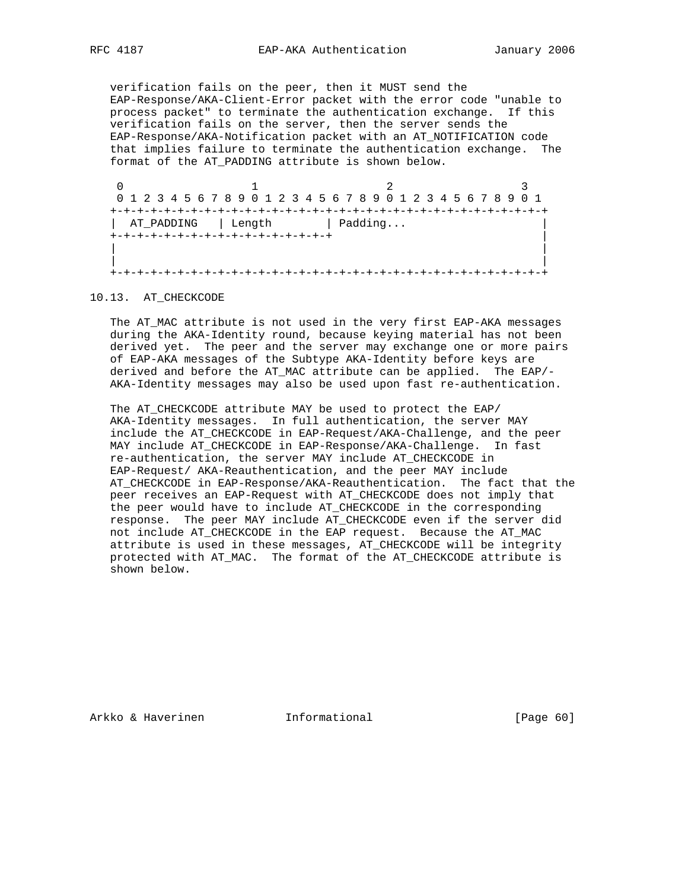verification fails on the peer, then it MUST send the EAP-Response/AKA-Client-Error packet with the error code "unable to process packet" to terminate the authentication exchange. If this verification fails on the server, then the server sends the EAP-Response/AKA-Notification packet with an AT\_NOTIFICATION code that implies failure to terminate the authentication exchange. The format of the AT\_PADDING attribute is shown below.

0  $1$  2 3 0 1 2 3 4 5 6 7 8 9 0 1 2 3 4 5 6 7 8 9 0 1 2 3 4 5 6 7 8 9 0 1 +-+-+-+-+-+-+-+-+-+-+-+-+-+-+-+-+-+-+-+-+-+-+-+-+-+-+-+-+-+-+-+-+ | AT\_PADDING | Length | Padding... +-+-+-+-+-+-+-+-+-+-+-+-+-+-+-+-+ | | | | | +-+-+-+-+-+-+-+-+-+-+-+-+-+-+-+-+-+-+-+-+-+-+-+-+-+-+-+-+-+-+-+-+

### 10.13. AT\_CHECKCODE

 The AT\_MAC attribute is not used in the very first EAP-AKA messages during the AKA-Identity round, because keying material has not been derived yet. The peer and the server may exchange one or more pairs of EAP-AKA messages of the Subtype AKA-Identity before keys are derived and before the AT\_MAC attribute can be applied. The EAP/- AKA-Identity messages may also be used upon fast re-authentication.

 The AT\_CHECKCODE attribute MAY be used to protect the EAP/ AKA-Identity messages. In full authentication, the server MAY include the AT\_CHECKCODE in EAP-Request/AKA-Challenge, and the peer MAY include AT\_CHECKCODE in EAP-Response/AKA-Challenge. In fast re-authentication, the server MAY include AT\_CHECKCODE in EAP-Request/ AKA-Reauthentication, and the peer MAY include AT\_CHECKCODE in EAP-Response/AKA-Reauthentication. The fact that the peer receives an EAP-Request with AT\_CHECKCODE does not imply that the peer would have to include AT\_CHECKCODE in the corresponding response. The peer MAY include AT\_CHECKCODE even if the server did not include AT\_CHECKCODE in the EAP request. Because the AT\_MAC attribute is used in these messages, AT\_CHECKCODE will be integrity protected with AT\_MAC. The format of the AT\_CHECKCODE attribute is shown below.

Arkko & Haverinen 1nformational 1999 [Page 60]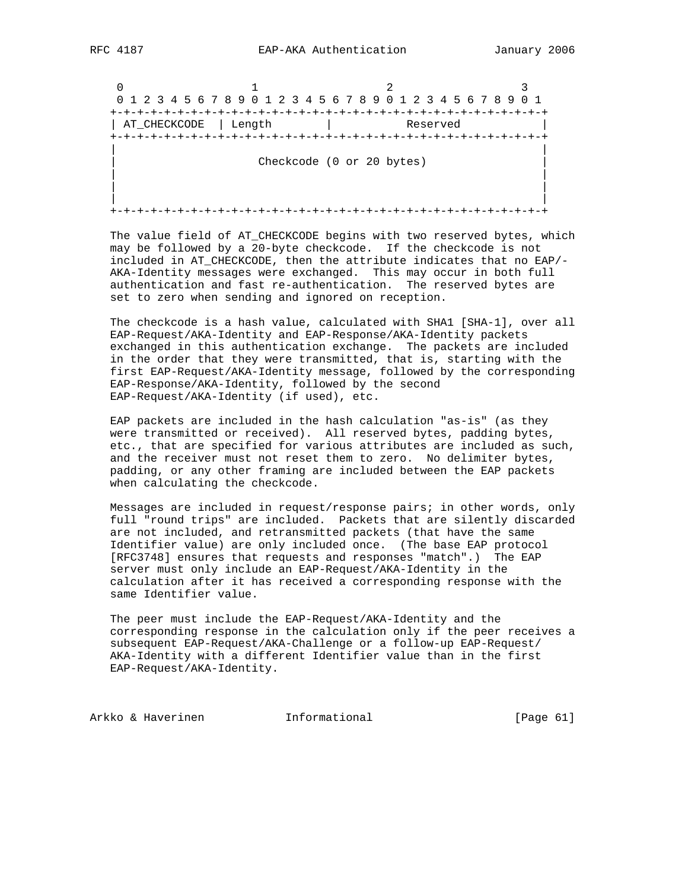$\begin{array}{ccc} \n0 & 1 & 2\n\end{array}$  0 1 2 3 4 5 6 7 8 9 0 1 2 3 4 5 6 7 8 9 0 1 2 3 4 5 6 7 8 9 0 1 +-+-+-+-+-+-+-+-+-+-+-+-+-+-+-+-+-+-+-+-+-+-+-+-+-+-+-+-+-+-+-+-+ | AT\_CHECKCODE | Length | Reserved | +-+-+-+-+-+-+-+-+-+-+-+-+-+-+-+-+-+-+-+-+-+-+-+-+-+-+-+-+-+-+-+-+ | | Checkcode (0 or 20 bytes) | | | | | | +-+-+-+-+-+-+-+-+-+-+-+-+-+-+-+-+-+-+-+-+-+-+-+-+-+-+-+-+-+-+-+-+

The value field of AT CHECKCODE begins with two reserved bytes, which may be followed by a 20-byte checkcode. If the checkcode is not included in AT\_CHECKCODE, then the attribute indicates that no EAP/- AKA-Identity messages were exchanged. This may occur in both full authentication and fast re-authentication. The reserved bytes are set to zero when sending and ignored on reception.

 The checkcode is a hash value, calculated with SHA1 [SHA-1], over all EAP-Request/AKA-Identity and EAP-Response/AKA-Identity packets exchanged in this authentication exchange. The packets are included in the order that they were transmitted, that is, starting with the first EAP-Request/AKA-Identity message, followed by the corresponding EAP-Response/AKA-Identity, followed by the second EAP-Request/AKA-Identity (if used), etc.

 EAP packets are included in the hash calculation "as-is" (as they were transmitted or received). All reserved bytes, padding bytes, etc., that are specified for various attributes are included as such, and the receiver must not reset them to zero. No delimiter bytes, padding, or any other framing are included between the EAP packets when calculating the checkcode.

 Messages are included in request/response pairs; in other words, only full "round trips" are included. Packets that are silently discarded are not included, and retransmitted packets (that have the same Identifier value) are only included once. (The base EAP protocol [RFC3748] ensures that requests and responses "match".) The EAP server must only include an EAP-Request/AKA-Identity in the calculation after it has received a corresponding response with the same Identifier value.

 The peer must include the EAP-Request/AKA-Identity and the corresponding response in the calculation only if the peer receives a subsequent EAP-Request/AKA-Challenge or a follow-up EAP-Request/ AKA-Identity with a different Identifier value than in the first EAP-Request/AKA-Identity.

Arkko & Haverinen 1nformational (Page 61)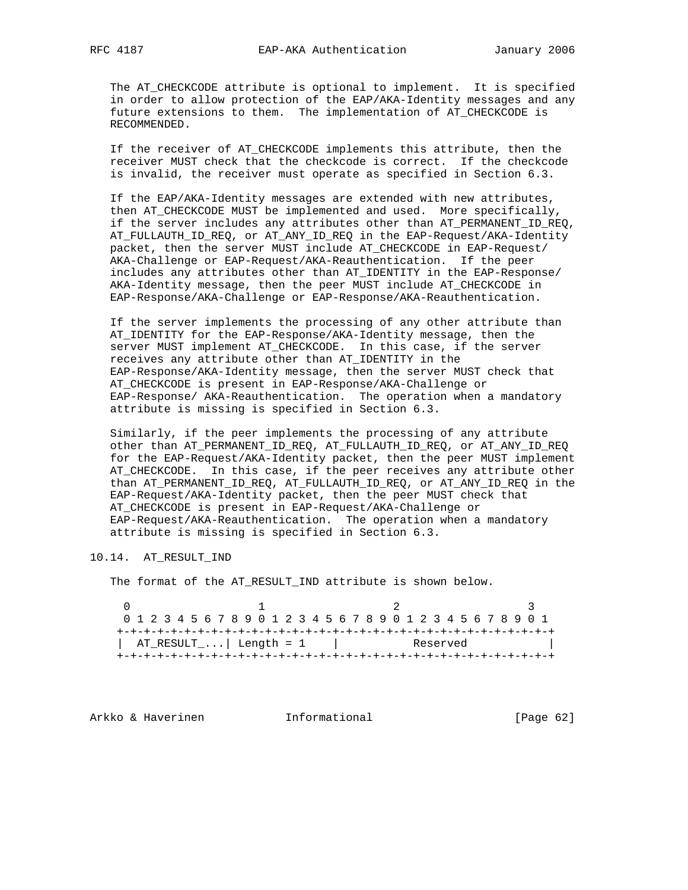The AT\_CHECKCODE attribute is optional to implement. It is specified in order to allow protection of the EAP/AKA-Identity messages and any future extensions to them. The implementation of AT\_CHECKCODE is RECOMMENDED.

 If the receiver of AT\_CHECKCODE implements this attribute, then the receiver MUST check that the checkcode is correct. If the checkcode is invalid, the receiver must operate as specified in Section 6.3.

 If the EAP/AKA-Identity messages are extended with new attributes, then AT\_CHECKCODE MUST be implemented and used. More specifically, if the server includes any attributes other than AT\_PERMANENT\_ID\_REQ, AT\_FULLAUTH\_ID\_REQ, or AT\_ANY\_ID\_REQ in the EAP-Request/AKA-Identity packet, then the server MUST include AT\_CHECKCODE in EAP-Request/ AKA-Challenge or EAP-Request/AKA-Reauthentication. If the peer includes any attributes other than AT\_IDENTITY in the EAP-Response/ AKA-Identity message, then the peer MUST include AT\_CHECKCODE in EAP-Response/AKA-Challenge or EAP-Response/AKA-Reauthentication.

 If the server implements the processing of any other attribute than AT\_IDENTITY for the EAP-Response/AKA-Identity message, then the server MUST implement AT\_CHECKCODE. In this case, if the server receives any attribute other than AT\_IDENTITY in the EAP-Response/AKA-Identity message, then the server MUST check that AT\_CHECKCODE is present in EAP-Response/AKA-Challenge or EAP-Response/ AKA-Reauthentication. The operation when a mandatory attribute is missing is specified in Section 6.3.

 Similarly, if the peer implements the processing of any attribute other than AT\_PERMANENT\_ID\_REQ, AT\_FULLAUTH\_ID\_REQ, or AT\_ANY\_ID\_REQ for the EAP-Request/AKA-Identity packet, then the peer MUST implement AT\_CHECKCODE. In this case, if the peer receives any attribute other than AT\_PERMANENT\_ID\_REQ, AT\_FULLAUTH\_ID\_REQ, or AT\_ANY\_ID\_REQ in the EAP-Request/AKA-Identity packet, then the peer MUST check that AT\_CHECKCODE is present in EAP-Request/AKA-Challenge or EAP-Request/AKA-Reauthentication. The operation when a mandatory attribute is missing is specified in Section 6.3.

# 10.14. AT\_RESULT\_IND

The format of the AT\_RESULT\_IND attribute is shown below.

 $0$  1 2 3 0 1 2 3 4 5 6 7 8 9 0 1 2 3 4 5 6 7 8 9 0 1 2 3 4 5 6 7 8 9 0 1 +-+-+-+-+-+-+-+-+-+-+-+-+-+-+-+-+-+-+-+-+-+-+-+-+-+-+-+-+-+-+-+-+  $|\quad\texttt{AT\_RESULT}\dots|\quad\texttt{Length = 1}\qquad|\qquad\qquad\texttt{Reserved}\qquad\qquad|\qquad$ +-+-+-+-+-+-+-+-+-+-+-+-+-+-+-+-+-+-+-+-+-+-+-+-+-+-+-+-+-+-+-+-+

Arkko & Haverinen 1nformational [Page 62]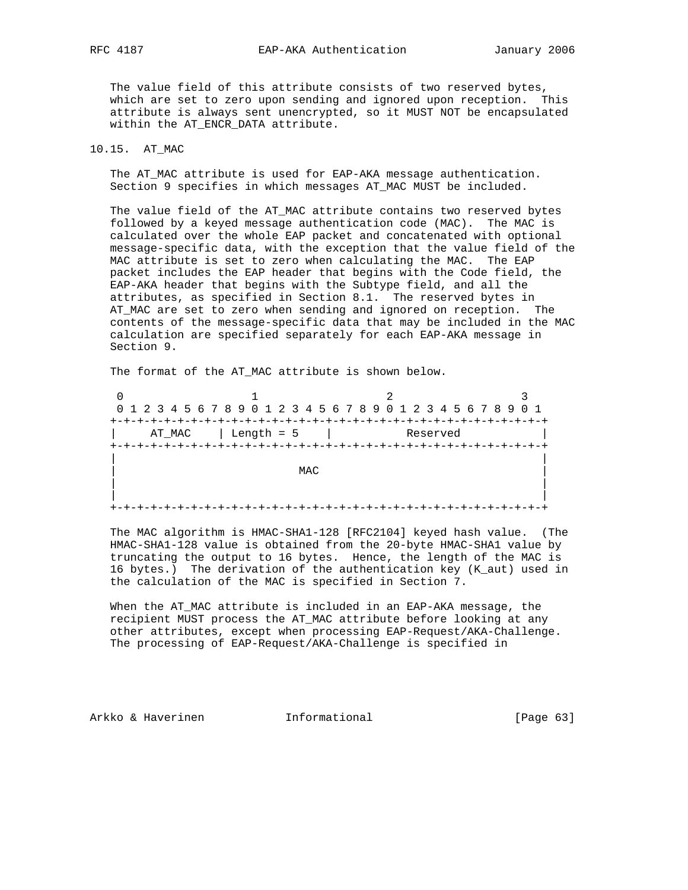The value field of this attribute consists of two reserved bytes, which are set to zero upon sending and ignored upon reception. This attribute is always sent unencrypted, so it MUST NOT be encapsulated within the AT\_ENCR\_DATA attribute.

# 10.15. AT\_MAC

 The AT\_MAC attribute is used for EAP-AKA message authentication. Section 9 specifies in which messages AT\_MAC MUST be included.

 The value field of the AT\_MAC attribute contains two reserved bytes followed by a keyed message authentication code (MAC). The MAC is calculated over the whole EAP packet and concatenated with optional message-specific data, with the exception that the value field of the MAC attribute is set to zero when calculating the MAC. The EAP packet includes the EAP header that begins with the Code field, the EAP-AKA header that begins with the Subtype field, and all the attributes, as specified in Section 8.1. The reserved bytes in AT\_MAC are set to zero when sending and ignored on reception. The contents of the message-specific data that may be included in the MAC calculation are specified separately for each EAP-AKA message in Section 9.

The format of the AT\_MAC attribute is shown below.

|        |                            | 0 1 2 3 4 5 6 7 8 9 0 1 2 3 4 5 6 7 8 9 0 1 2 3 4 5 6 7 8 9 0 1 |  |
|--------|----------------------------|-----------------------------------------------------------------|--|
|        |                            |                                                                 |  |
| AT MAC | $\vert$ Length = 5 $\vert$ | Reserved                                                        |  |
|        |                            |                                                                 |  |
|        |                            |                                                                 |  |
|        | MAC                        |                                                                 |  |
|        |                            |                                                                 |  |
|        |                            |                                                                 |  |
|        |                            |                                                                 |  |

 The MAC algorithm is HMAC-SHA1-128 [RFC2104] keyed hash value. (The HMAC-SHA1-128 value is obtained from the 20-byte HMAC-SHA1 value by truncating the output to 16 bytes. Hence, the length of the MAC is 16 bytes.) The derivation of the authentication key (K\_aut) used in the calculation of the MAC is specified in Section 7.

 When the AT\_MAC attribute is included in an EAP-AKA message, the recipient MUST process the AT\_MAC attribute before looking at any other attributes, except when processing EAP-Request/AKA-Challenge. The processing of EAP-Request/AKA-Challenge is specified in

Arkko & Haverinen 1nformational [Page 63]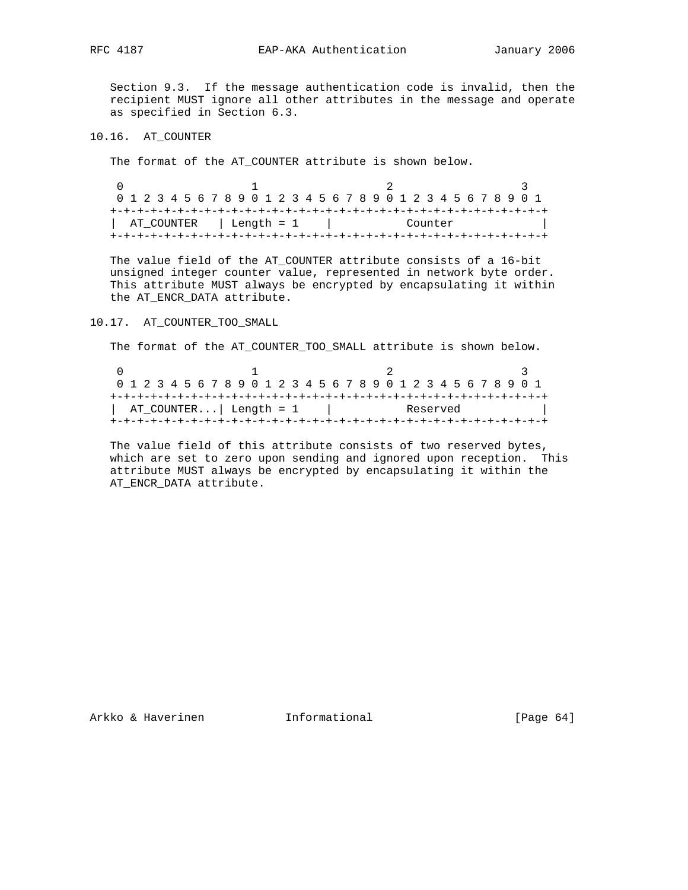Section 9.3. If the message authentication code is invalid, then the recipient MUST ignore all other attributes in the message and operate as specified in Section 6.3.

10.16. AT\_COUNTER

The format of the AT\_COUNTER attribute is shown below.

| 0 1 2 3 4 5 6 7 8 9 0 1 2 3 4 5 6 7 8 9 0 1 2 3 4 5 6 7 8 9 0 1 |         |  |
|-----------------------------------------------------------------|---------|--|
| AT COUNTER   Length = 1                                         | Counter |  |
|                                                                 |         |  |

 The value field of the AT\_COUNTER attribute consists of a 16-bit unsigned integer counter value, represented in network byte order. This attribute MUST always be encrypted by encapsulating it within the AT\_ENCR\_DATA attribute.

10.17. AT\_COUNTER\_TOO\_SMALL

The format of the AT\_COUNTER\_TOO\_SMALL attribute is shown below.

| 0 1 2 3 4 5 6 7 8 9 0 1 2 3 4 5 6 7 8 9 0 1 2 3 4 5 6 7 8 9 0 1<br>$ $ AT_COUNTER $ $ Length = 1 |          |
|--------------------------------------------------------------------------------------------------|----------|
|                                                                                                  |          |
|                                                                                                  | Reserved |

 The value field of this attribute consists of two reserved bytes, which are set to zero upon sending and ignored upon reception. This attribute MUST always be encrypted by encapsulating it within the AT\_ENCR\_DATA attribute.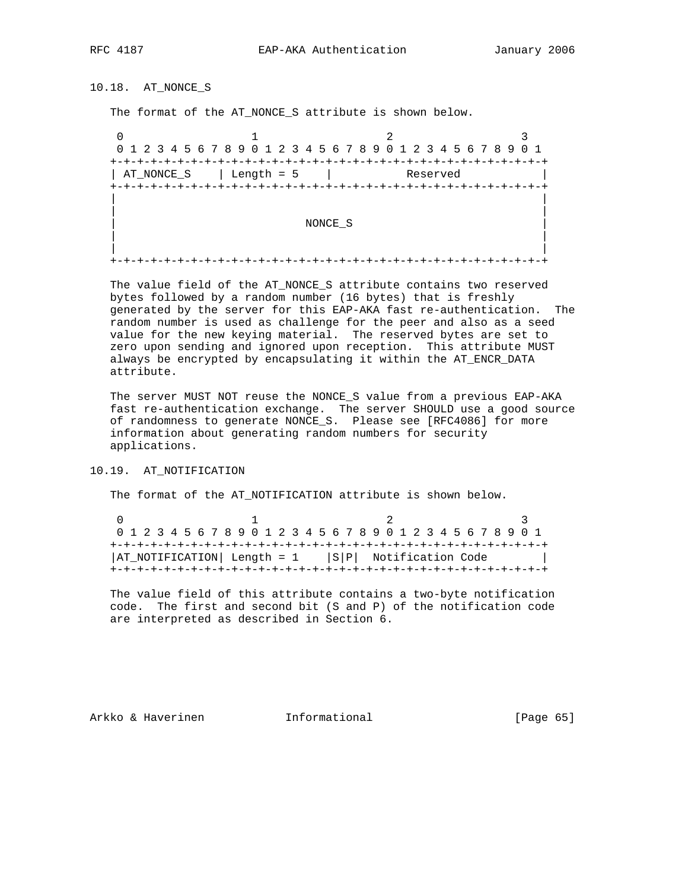10.18. AT\_NONCE\_S

The format of the AT\_NONCE\_S attribute is shown below.

0  $1$  2 3 0 1 2 3 4 5 6 7 8 9 0 1 2 3 4 5 6 7 8 9 0 1 2 3 4 5 6 7 8 9 0 1 +-+-+-+-+-+-+-+-+-+-+-+-+-+-+-+-+-+-+-+-+-+-+-+-+-+-+-+-+-+-+-+-+ | AT\_NONCE\_S | Length = 5 | Reserved +-+-+-+-+-+-+-+-+-+-+-+-+-+-+-+-+-+-+-+-+-+-+-+-+-+-+-+-+-+-+-+-+ | | | | | NONCE\_S | | | | | +-+-+-+-+-+-+-+-+-+-+-+-+-+-+-+-+-+-+-+-+-+-+-+-+-+-+-+-+-+-+-+-+

 The value field of the AT\_NONCE\_S attribute contains two reserved bytes followed by a random number (16 bytes) that is freshly generated by the server for this EAP-AKA fast re-authentication. The random number is used as challenge for the peer and also as a seed value for the new keying material. The reserved bytes are set to zero upon sending and ignored upon reception. This attribute MUST always be encrypted by encapsulating it within the AT\_ENCR\_DATA attribute.

 The server MUST NOT reuse the NONCE\_S value from a previous EAP-AKA fast re-authentication exchange. The server SHOULD use a good source of randomness to generate NONCE\_S. Please see [RFC4086] for more information about generating random numbers for security applications.

## 10.19. AT\_NOTIFICATION

The format of the AT\_NOTIFICATION attribute is shown below.

|                                                        |  |  |  |  |  |  |  | 0 1 2 3 4 5 6 7 8 9 0 1 2 3 4 5 6 7 8 9 0 1 2 3 4 5 6 7 8 9 0 1 |  |  |  |  |  |  |  |  |
|--------------------------------------------------------|--|--|--|--|--|--|--|-----------------------------------------------------------------|--|--|--|--|--|--|--|--|
|                                                        |  |  |  |  |  |  |  |                                                                 |  |  |  |  |  |  |  |  |
| $ AT_NOTIFICATION  Length = 1  S P  Notification Code$ |  |  |  |  |  |  |  |                                                                 |  |  |  |  |  |  |  |  |
|                                                        |  |  |  |  |  |  |  |                                                                 |  |  |  |  |  |  |  |  |

 The value field of this attribute contains a two-byte notification code. The first and second bit (S and P) of the notification code are interpreted as described in Section 6.

Arkko & Haverinen 1nformational 1999 [Page 65]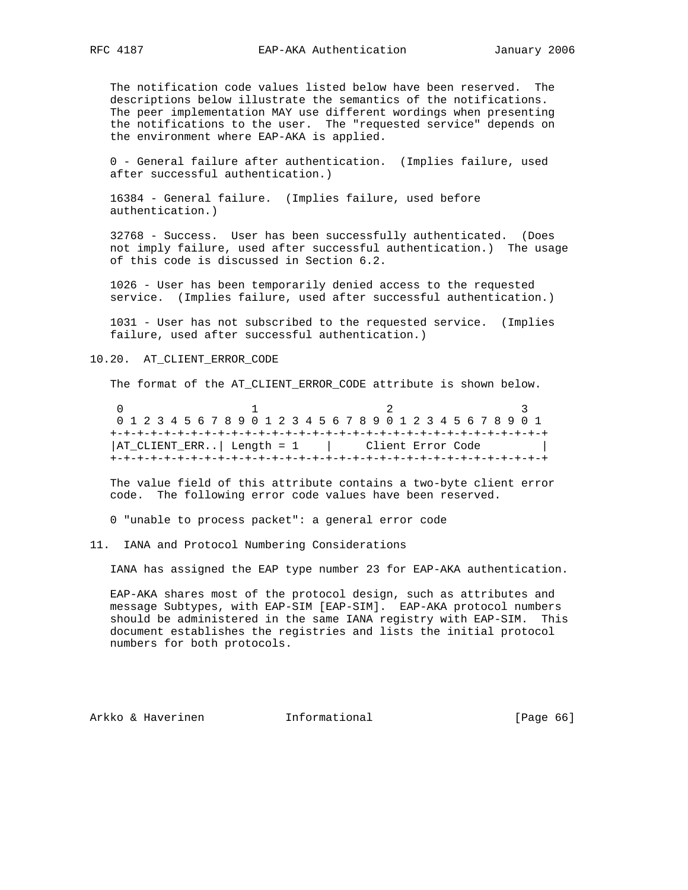The notification code values listed below have been reserved. The descriptions below illustrate the semantics of the notifications. The peer implementation MAY use different wordings when presenting the notifications to the user. The "requested service" depends on the environment where EAP-AKA is applied.

 0 - General failure after authentication. (Implies failure, used after successful authentication.)

 16384 - General failure. (Implies failure, used before authentication.)

 32768 - Success. User has been successfully authenticated. (Does not imply failure, used after successful authentication.) The usage of this code is discussed in Section 6.2.

 1026 - User has been temporarily denied access to the requested service. (Implies failure, used after successful authentication.)

 1031 - User has not subscribed to the requested service. (Implies failure, used after successful authentication.)

### 10.20. AT\_CLIENT\_ERROR\_CODE

The format of the AT\_CLIENT\_ERROR\_CODE attribute is shown below.

0  $1$  2 3 0 1 2 3 4 5 6 7 8 9 0 1 2 3 4 5 6 7 8 9 0 1 2 3 4 5 6 7 8 9 0 1 +-+-+-+-+-+-+-+-+-+-+-+-+-+-+-+-+-+-+-+-+-+-+-+-+-+-+-+-+-+-+-+-+ | AT\_CLIENT\_ERR.. | Length = 1 | Client Error Code +-+-+-+-+-+-+-+-+-+-+-+-+-+-+-+-+-+-+-+-+-+-+-+-+-+-+-+-+-+-+-+-+

 The value field of this attribute contains a two-byte client error code. The following error code values have been reserved.

0 "unable to process packet": a general error code

11. IANA and Protocol Numbering Considerations

IANA has assigned the EAP type number 23 for EAP-AKA authentication.

 EAP-AKA shares most of the protocol design, such as attributes and message Subtypes, with EAP-SIM [EAP-SIM]. EAP-AKA protocol numbers should be administered in the same IANA registry with EAP-SIM. This document establishes the registries and lists the initial protocol numbers for both protocols.

Arkko & Haverinen 1nformational (Page 66)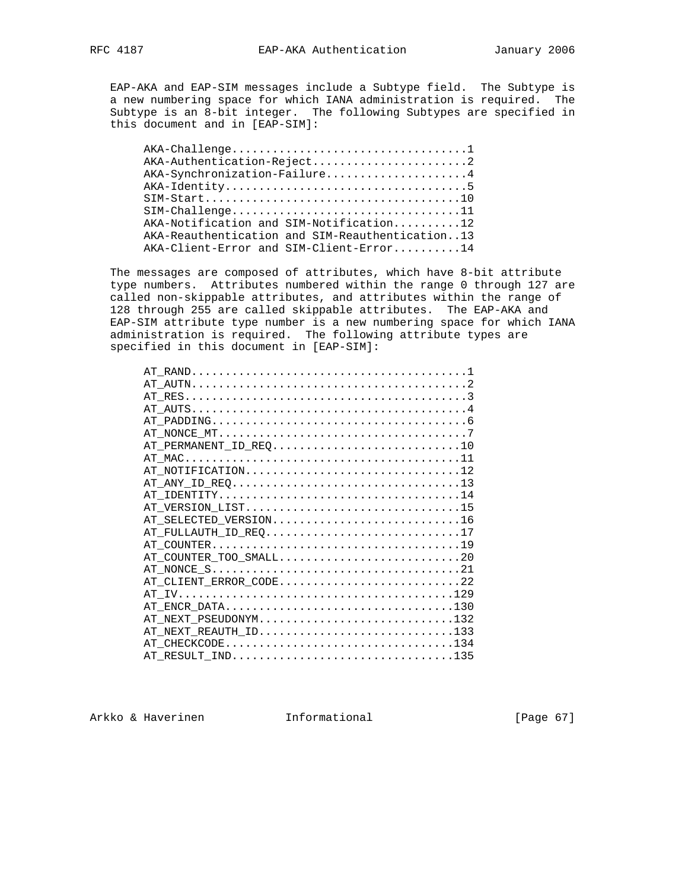EAP-AKA and EAP-SIM messages include a Subtype field. The Subtype is a new numbering space for which IANA administration is required. The Subtype is an 8-bit integer. The following Subtypes are specified in this document and in [EAP-SIM]:

| AKA-Authentication-Reject2                      |
|-------------------------------------------------|
| AKA-Synchronization-Failure4                    |
|                                                 |
|                                                 |
| $SIM-Challenge$ 11                              |
| AKA-Notification and SIM-Notification12         |
| AKA-Reauthentication and SIM-Reauthentication13 |
| AKA-Client-Error and SIM-Client-Error14         |
|                                                 |

 The messages are composed of attributes, which have 8-bit attribute type numbers. Attributes numbered within the range 0 through 127 are called non-skippable attributes, and attributes within the range of 128 through 255 are called skippable attributes. The EAP-AKA and EAP-SIM attribute type number is a new numbering space for which IANA administration is required. The following attribute types are specified in this document in [EAP-SIM]:

| AT_PERMANENT_ID_REQ10  |  |
|------------------------|--|
|                        |  |
| AT NOTIFICATION12      |  |
|                        |  |
|                        |  |
| AT VERSION LIST15      |  |
| AT_SELECTED_VERSION16  |  |
|                        |  |
|                        |  |
| AT COUNTER TOO SMALL20 |  |
|                        |  |
| AT CLIENT ERROR CODE22 |  |
|                        |  |
| AT ENCR DATA130        |  |
| AT NEXT PSEUDONYM132   |  |
| AT_NEXT_REAUTH_ID133   |  |
| AT CHECKCODE134        |  |
| AT RESULT IND135       |  |
|                        |  |

Arkko & Haverinen 1nformational [Page 67]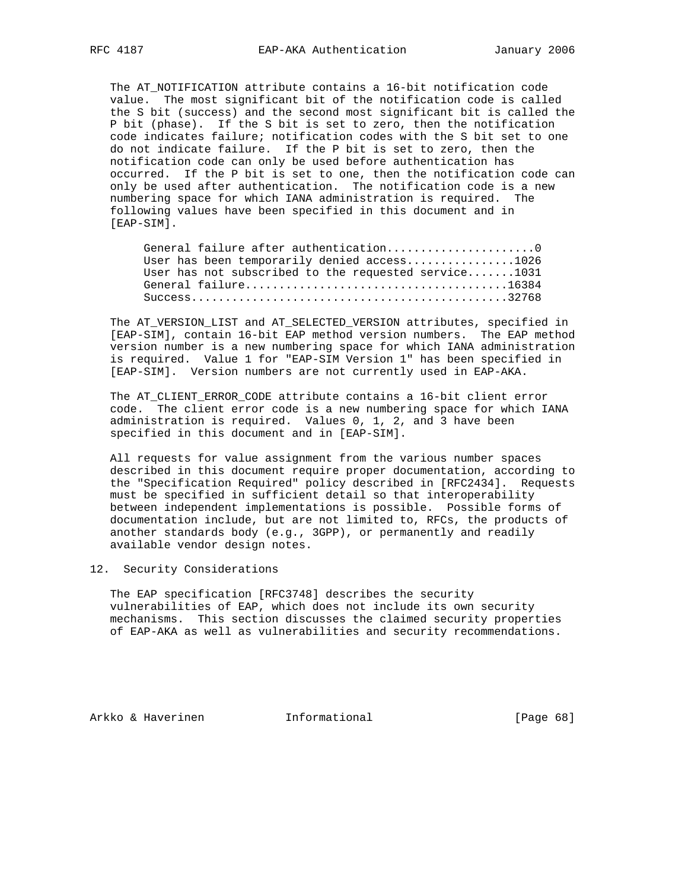The AT\_NOTIFICATION attribute contains a 16-bit notification code value. The most significant bit of the notification code is called the S bit (success) and the second most significant bit is called the P bit (phase). If the S bit is set to zero, then the notification code indicates failure; notification codes with the S bit set to one do not indicate failure. If the P bit is set to zero, then the notification code can only be used before authentication has occurred. If the P bit is set to one, then the notification code can only be used after authentication. The notification code is a new numbering space for which IANA administration is required. The following values have been specified in this document and in [EAP-SIM].

| General failure after authentication0                |  |
|------------------------------------------------------|--|
| User has been temporarily denied access1026          |  |
| User has not subscribed to the requested service1031 |  |
|                                                      |  |
|                                                      |  |

 The AT\_VERSION\_LIST and AT\_SELECTED\_VERSION attributes, specified in [EAP-SIM], contain 16-bit EAP method version numbers. The EAP method version number is a new numbering space for which IANA administration is required. Value 1 for "EAP-SIM Version 1" has been specified in [EAP-SIM]. Version numbers are not currently used in EAP-AKA.

 The AT\_CLIENT\_ERROR\_CODE attribute contains a 16-bit client error code. The client error code is a new numbering space for which IANA administration is required. Values 0, 1, 2, and 3 have been specified in this document and in [EAP-SIM].

 All requests for value assignment from the various number spaces described in this document require proper documentation, according to the "Specification Required" policy described in [RFC2434]. Requests must be specified in sufficient detail so that interoperability between independent implementations is possible. Possible forms of documentation include, but are not limited to, RFCs, the products of another standards body (e.g., 3GPP), or permanently and readily available vendor design notes.

## 12. Security Considerations

 The EAP specification [RFC3748] describes the security vulnerabilities of EAP, which does not include its own security mechanisms. This section discusses the claimed security properties of EAP-AKA as well as vulnerabilities and security recommendations.

Arkko & Haverinen 1nformational (Page 68)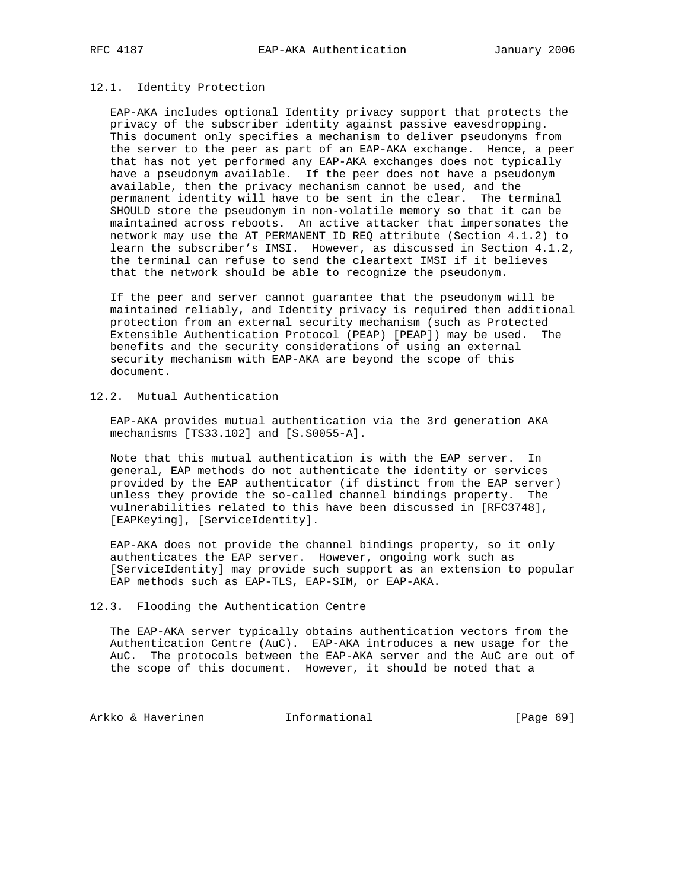# 12.1. Identity Protection

 EAP-AKA includes optional Identity privacy support that protects the privacy of the subscriber identity against passive eavesdropping. This document only specifies a mechanism to deliver pseudonyms from the server to the peer as part of an EAP-AKA exchange. Hence, a peer that has not yet performed any EAP-AKA exchanges does not typically have a pseudonym available. If the peer does not have a pseudonym available, then the privacy mechanism cannot be used, and the permanent identity will have to be sent in the clear. The terminal SHOULD store the pseudonym in non-volatile memory so that it can be maintained across reboots. An active attacker that impersonates the network may use the AT\_PERMANENT\_ID\_REQ attribute (Section 4.1.2) to learn the subscriber's IMSI. However, as discussed in Section 4.1.2, the terminal can refuse to send the cleartext IMSI if it believes that the network should be able to recognize the pseudonym.

 If the peer and server cannot guarantee that the pseudonym will be maintained reliably, and Identity privacy is required then additional protection from an external security mechanism (such as Protected Extensible Authentication Protocol (PEAP) [PEAP]) may be used. The benefits and the security considerations of using an external security mechanism with EAP-AKA are beyond the scope of this document.

12.2. Mutual Authentication

 EAP-AKA provides mutual authentication via the 3rd generation AKA mechanisms [TS33.102] and [S.S0055-A].

 Note that this mutual authentication is with the EAP server. In general, EAP methods do not authenticate the identity or services provided by the EAP authenticator (if distinct from the EAP server) unless they provide the so-called channel bindings property. The vulnerabilities related to this have been discussed in [RFC3748], [EAPKeying], [ServiceIdentity].

 EAP-AKA does not provide the channel bindings property, so it only authenticates the EAP server. However, ongoing work such as [ServiceIdentity] may provide such support as an extension to popular EAP methods such as EAP-TLS, EAP-SIM, or EAP-AKA.

#### 12.3. Flooding the Authentication Centre

 The EAP-AKA server typically obtains authentication vectors from the Authentication Centre (AuC). EAP-AKA introduces a new usage for the AuC. The protocols between the EAP-AKA server and the AuC are out of the scope of this document. However, it should be noted that a

Arkko & Haverinen 1nformational [Page 69]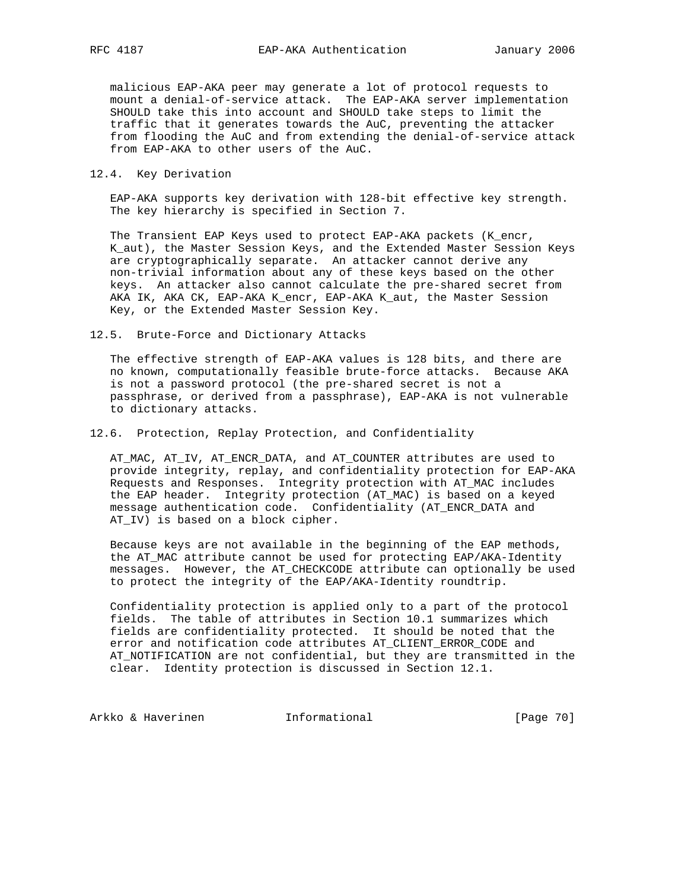malicious EAP-AKA peer may generate a lot of protocol requests to mount a denial-of-service attack. The EAP-AKA server implementation SHOULD take this into account and SHOULD take steps to limit the traffic that it generates towards the AuC, preventing the attacker from flooding the AuC and from extending the denial-of-service attack from EAP-AKA to other users of the AuC.

12.4. Key Derivation

 EAP-AKA supports key derivation with 128-bit effective key strength. The key hierarchy is specified in Section 7.

 The Transient EAP Keys used to protect EAP-AKA packets (K\_encr, K\_aut), the Master Session Keys, and the Extended Master Session Keys are cryptographically separate. An attacker cannot derive any non-trivial information about any of these keys based on the other keys. An attacker also cannot calculate the pre-shared secret from AKA IK, AKA CK, EAP-AKA K\_encr, EAP-AKA K\_aut, the Master Session Key, or the Extended Master Session Key.

12.5. Brute-Force and Dictionary Attacks

 The effective strength of EAP-AKA values is 128 bits, and there are no known, computationally feasible brute-force attacks. Because AKA is not a password protocol (the pre-shared secret is not a passphrase, or derived from a passphrase), EAP-AKA is not vulnerable to dictionary attacks.

12.6. Protection, Replay Protection, and Confidentiality

 AT\_MAC, AT\_IV, AT\_ENCR\_DATA, and AT\_COUNTER attributes are used to provide integrity, replay, and confidentiality protection for EAP-AKA Requests and Responses. Integrity protection with AT\_MAC includes the EAP header. Integrity protection (AT\_MAC) is based on a keyed message authentication code. Confidentiality (AT\_ENCR\_DATA and AT\_IV) is based on a block cipher.

 Because keys are not available in the beginning of the EAP methods, the AT\_MAC attribute cannot be used for protecting EAP/AKA-Identity messages. However, the AT\_CHECKCODE attribute can optionally be used to protect the integrity of the EAP/AKA-Identity roundtrip.

 Confidentiality protection is applied only to a part of the protocol fields. The table of attributes in Section 10.1 summarizes which fields are confidentiality protected. It should be noted that the error and notification code attributes AT\_CLIENT\_ERROR\_CODE and AT\_NOTIFICATION are not confidential, but they are transmitted in the clear. Identity protection is discussed in Section 12.1.

Arkko & Haverinen 1nformational [Page 70]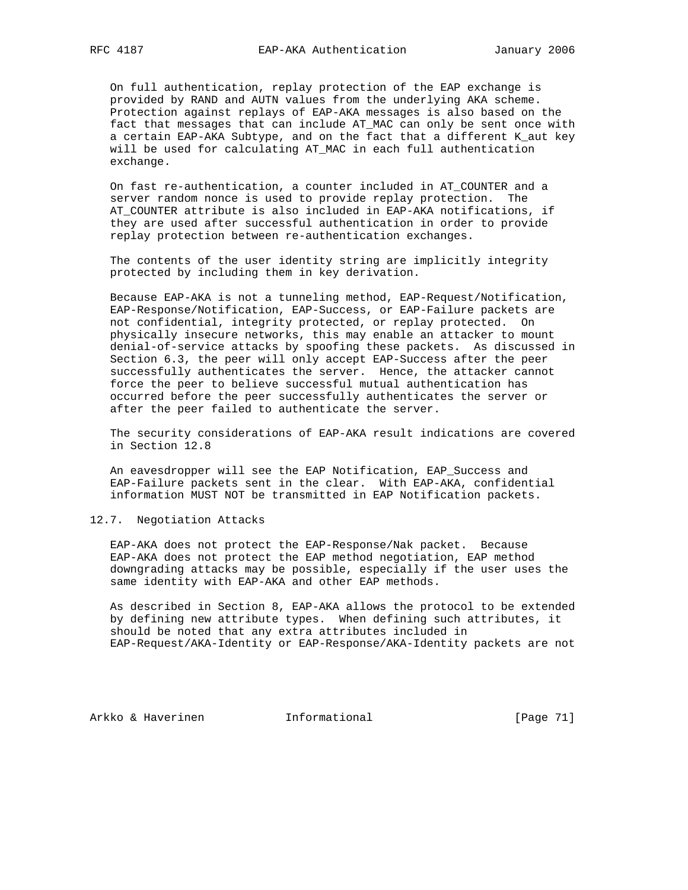On full authentication, replay protection of the EAP exchange is provided by RAND and AUTN values from the underlying AKA scheme. Protection against replays of EAP-AKA messages is also based on the fact that messages that can include AT\_MAC can only be sent once with a certain EAP-AKA Subtype, and on the fact that a different K\_aut key will be used for calculating AT\_MAC in each full authentication exchange.

 On fast re-authentication, a counter included in AT\_COUNTER and a server random nonce is used to provide replay protection. The AT\_COUNTER attribute is also included in EAP-AKA notifications, if they are used after successful authentication in order to provide replay protection between re-authentication exchanges.

 The contents of the user identity string are implicitly integrity protected by including them in key derivation.

 Because EAP-AKA is not a tunneling method, EAP-Request/Notification, EAP-Response/Notification, EAP-Success, or EAP-Failure packets are not confidential, integrity protected, or replay protected. On physically insecure networks, this may enable an attacker to mount denial-of-service attacks by spoofing these packets. As discussed in Section 6.3, the peer will only accept EAP-Success after the peer successfully authenticates the server. Hence, the attacker cannot force the peer to believe successful mutual authentication has occurred before the peer successfully authenticates the server or after the peer failed to authenticate the server.

 The security considerations of EAP-AKA result indications are covered in Section 12.8

 An eavesdropper will see the EAP Notification, EAP\_Success and EAP-Failure packets sent in the clear. With EAP-AKA, confidential information MUST NOT be transmitted in EAP Notification packets.

# 12.7. Negotiation Attacks

 EAP-AKA does not protect the EAP-Response/Nak packet. Because EAP-AKA does not protect the EAP method negotiation, EAP method downgrading attacks may be possible, especially if the user uses the same identity with EAP-AKA and other EAP methods.

 As described in Section 8, EAP-AKA allows the protocol to be extended by defining new attribute types. When defining such attributes, it should be noted that any extra attributes included in EAP-Request/AKA-Identity or EAP-Response/AKA-Identity packets are not

Arkko & Haverinen 1nformational (Page 71)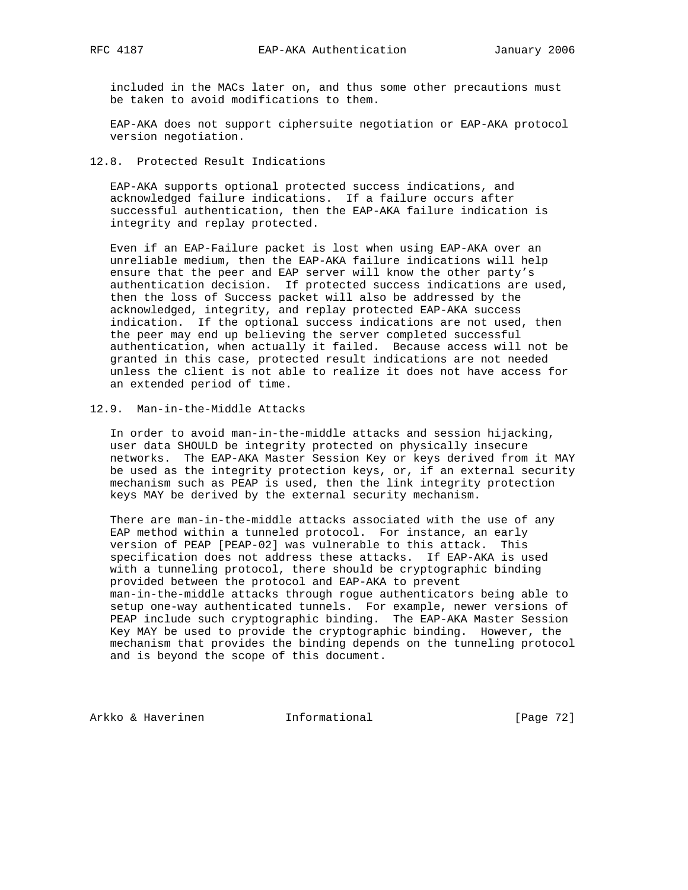included in the MACs later on, and thus some other precautions must be taken to avoid modifications to them.

 EAP-AKA does not support ciphersuite negotiation or EAP-AKA protocol version negotiation.

# 12.8. Protected Result Indications

 EAP-AKA supports optional protected success indications, and acknowledged failure indications. If a failure occurs after successful authentication, then the EAP-AKA failure indication is integrity and replay protected.

 Even if an EAP-Failure packet is lost when using EAP-AKA over an unreliable medium, then the EAP-AKA failure indications will help ensure that the peer and EAP server will know the other party's authentication decision. If protected success indications are used, then the loss of Success packet will also be addressed by the acknowledged, integrity, and replay protected EAP-AKA success indication. If the optional success indications are not used, then the peer may end up believing the server completed successful authentication, when actually it failed. Because access will not be granted in this case, protected result indications are not needed unless the client is not able to realize it does not have access for an extended period of time.

# 12.9. Man-in-the-Middle Attacks

 In order to avoid man-in-the-middle attacks and session hijacking, user data SHOULD be integrity protected on physically insecure networks. The EAP-AKA Master Session Key or keys derived from it MAY be used as the integrity protection keys, or, if an external security mechanism such as PEAP is used, then the link integrity protection keys MAY be derived by the external security mechanism.

 There are man-in-the-middle attacks associated with the use of any EAP method within a tunneled protocol. For instance, an early version of PEAP [PEAP-02] was vulnerable to this attack. This specification does not address these attacks. If EAP-AKA is used with a tunneling protocol, there should be cryptographic binding provided between the protocol and EAP-AKA to prevent man-in-the-middle attacks through rogue authenticators being able to setup one-way authenticated tunnels. For example, newer versions of PEAP include such cryptographic binding. The EAP-AKA Master Session Key MAY be used to provide the cryptographic binding. However, the mechanism that provides the binding depends on the tunneling protocol and is beyond the scope of this document.

Arkko & Haverinen 1nformational [Page 72]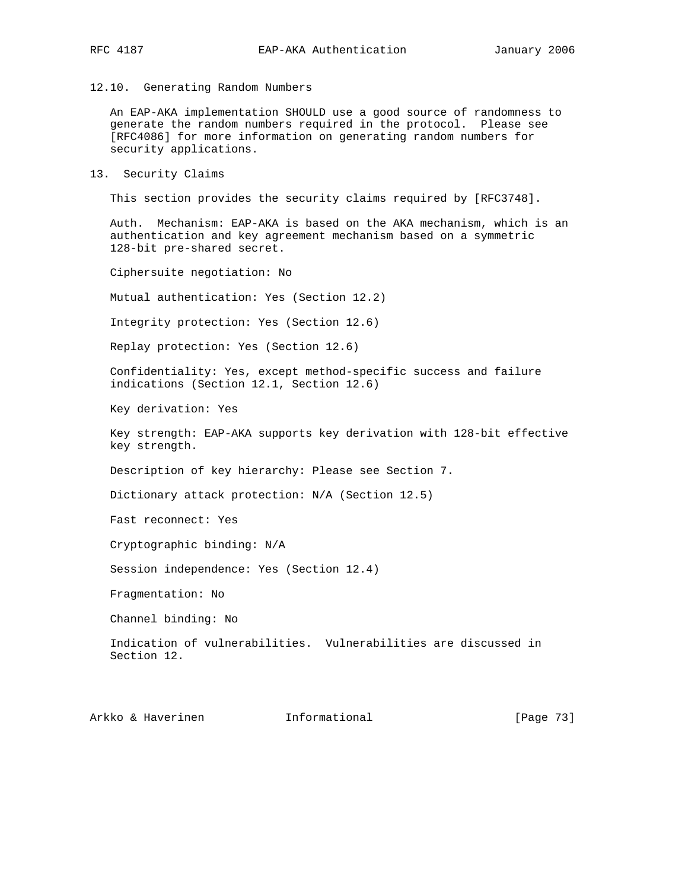12.10. Generating Random Numbers

 An EAP-AKA implementation SHOULD use a good source of randomness to generate the random numbers required in the protocol. Please see [RFC4086] for more information on generating random numbers for security applications.

13. Security Claims

This section provides the security claims required by [RFC3748].

 Auth. Mechanism: EAP-AKA is based on the AKA mechanism, which is an authentication and key agreement mechanism based on a symmetric 128-bit pre-shared secret.

Ciphersuite negotiation: No

Mutual authentication: Yes (Section 12.2)

Integrity protection: Yes (Section 12.6)

Replay protection: Yes (Section 12.6)

 Confidentiality: Yes, except method-specific success and failure indications (Section 12.1, Section 12.6)

Key derivation: Yes

 Key strength: EAP-AKA supports key derivation with 128-bit effective key strength.

Description of key hierarchy: Please see Section 7.

Dictionary attack protection: N/A (Section 12.5)

Fast reconnect: Yes

Cryptographic binding: N/A

Session independence: Yes (Section 12.4)

Fragmentation: No

Channel binding: No

 Indication of vulnerabilities. Vulnerabilities are discussed in Section 12.

Arkko & Haverinen 1nformational [Page 73]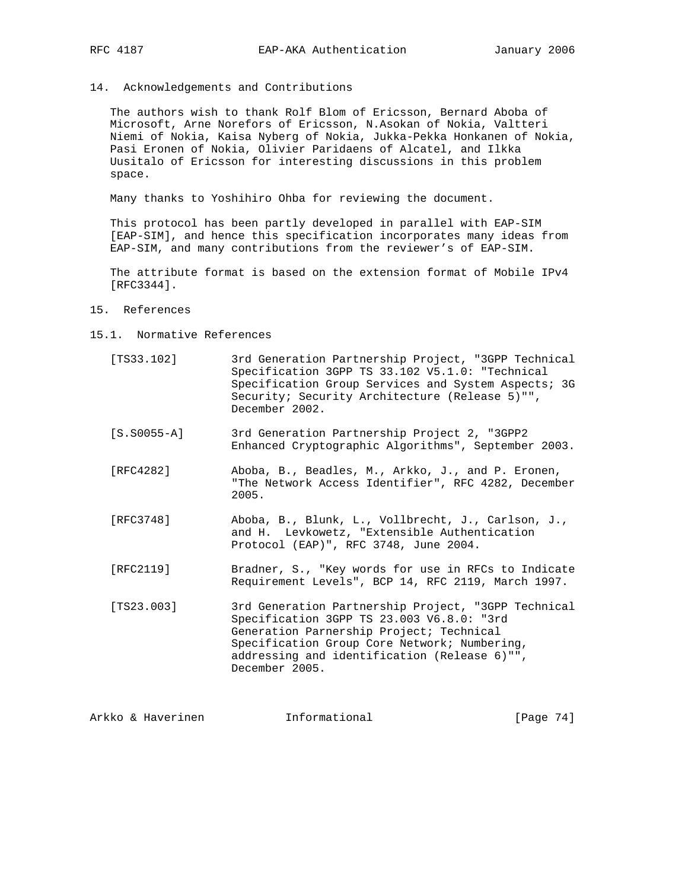14. Acknowledgements and Contributions

 The authors wish to thank Rolf Blom of Ericsson, Bernard Aboba of Microsoft, Arne Norefors of Ericsson, N.Asokan of Nokia, Valtteri Niemi of Nokia, Kaisa Nyberg of Nokia, Jukka-Pekka Honkanen of Nokia, Pasi Eronen of Nokia, Olivier Paridaens of Alcatel, and Ilkka Uusitalo of Ericsson for interesting discussions in this problem space.

Many thanks to Yoshihiro Ohba for reviewing the document.

 This protocol has been partly developed in parallel with EAP-SIM [EAP-SIM], and hence this specification incorporates many ideas from EAP-SIM, and many contributions from the reviewer's of EAP-SIM.

 The attribute format is based on the extension format of Mobile IPv4 [RFC3344].

- 15. References
- 15.1. Normative References
	- [TS33.102] 3rd Generation Partnership Project, "3GPP Technical Specification 3GPP TS 33.102 V5.1.0: "Technical Specification Group Services and System Aspects; 3G Security; Security Architecture (Release 5)"", December 2002.
	- [S.S0055-A] 3rd Generation Partnership Project 2, "3GPP2 Enhanced Cryptographic Algorithms", September 2003.
	- [RFC4282] Aboba, B., Beadles, M., Arkko, J., and P. Eronen, "The Network Access Identifier", RFC 4282, December 2005.
	- [RFC3748] Aboba, B., Blunk, L., Vollbrecht, J., Carlson, J., and H. Levkowetz, "Extensible Authentication Protocol (EAP)", RFC 3748, June 2004.
	- [RFC2119] Bradner, S., "Key words for use in RFCs to Indicate Requirement Levels", BCP 14, RFC 2119, March 1997.
	- [TS23.003] 3rd Generation Partnership Project, "3GPP Technical Specification 3GPP TS 23.003 V6.8.0: "3rd Generation Parnership Project; Technical Specification Group Core Network; Numbering, addressing and identification (Release 6)"", December 2005.

Arkko & Haverinen 1nformational [Page 74]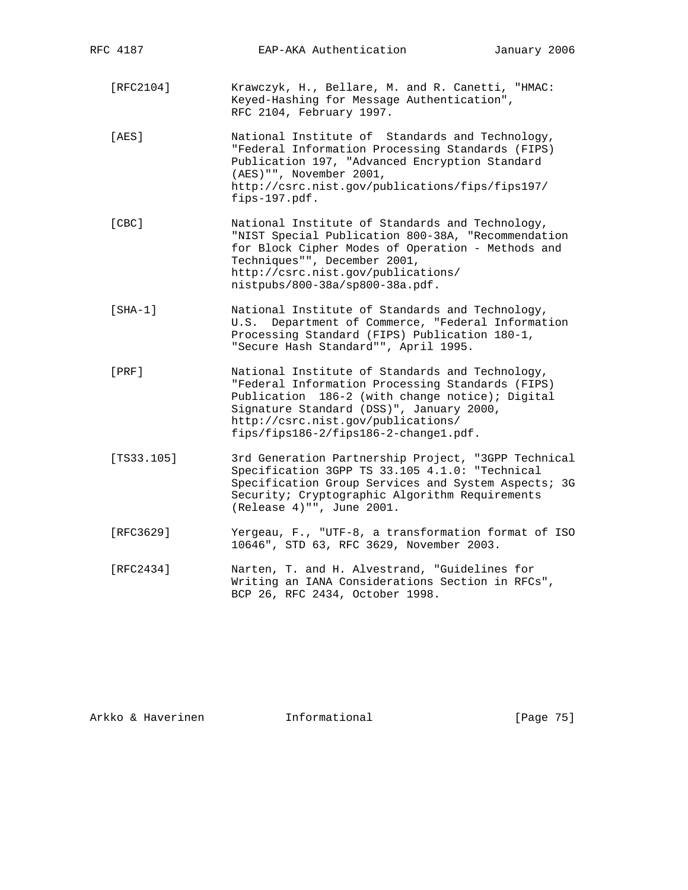| RFC 4187   | EAP-AKA Authentication                                                                                                                                                                                                                                                            | January 2006 |
|------------|-----------------------------------------------------------------------------------------------------------------------------------------------------------------------------------------------------------------------------------------------------------------------------------|--------------|
| [RFC2104]  | Krawczyk, H., Bellare, M. and R. Canetti, "HMAC:<br>Keyed-Hashing for Message Authentication",<br>RFC 2104, February 1997.                                                                                                                                                        |              |
| [AES]      | National Institute of Standards and Technology,<br>"Federal Information Processing Standards (FIPS)<br>Publication 197, "Advanced Encryption Standard<br>(AES) "", November 2001,<br>http://csrc.nist.gov/publications/fips/fips197/<br>fips-197.pdf.                             |              |
| [CBC]      | National Institute of Standards and Technology,<br>"NIST Special Publication 800-38A, "Recommendation<br>for Block Cipher Modes of Operation - Methods and<br>Techniques"", December 2001,<br>http://csrc.nist.gov/publications/<br>nistpubs/800-38a/sp800-38a.pdf.               |              |
| $[SHA-1]$  | National Institute of Standards and Technology,<br>U.S. Department of Commerce, "Federal Information<br>Processing Standard (FIPS) Publication 180-1,<br>"Secure Hash Standard"", April 1995.                                                                                     |              |
| [PRE]      | National Institute of Standards and Technology,<br>"Federal Information Processing Standards (FIPS)<br>Publication 186-2 (with change notice); Digital<br>Signature Standard (DSS)", January 2000,<br>http://csrc.nist.gov/publications/<br>fips/fips186-2/fips186-2-changel.pdf. |              |
| [TS33.105] | 3rd Generation Partnership Project, "3GPP Technical<br>Specification 3GPP TS 33.105 4.1.0: "Technical<br>Specification Group Services and System Aspects; 3G<br>Security; Cryptographic Algorithm Requirements<br>(Release 4) "", June 2001.                                      |              |
| [RFC3629]  | Yergeau, F., "UTF-8, a transformation format of ISO<br>10646", STD 63, RFC 3629, November 2003.                                                                                                                                                                                   |              |
| [RFC2434]  | Narten, T. and H. Alvestrand, "Guidelines for<br>Writing an IANA Considerations Section in RFCs",<br>BCP 26, RFC 2434, October 1998.                                                                                                                                              |              |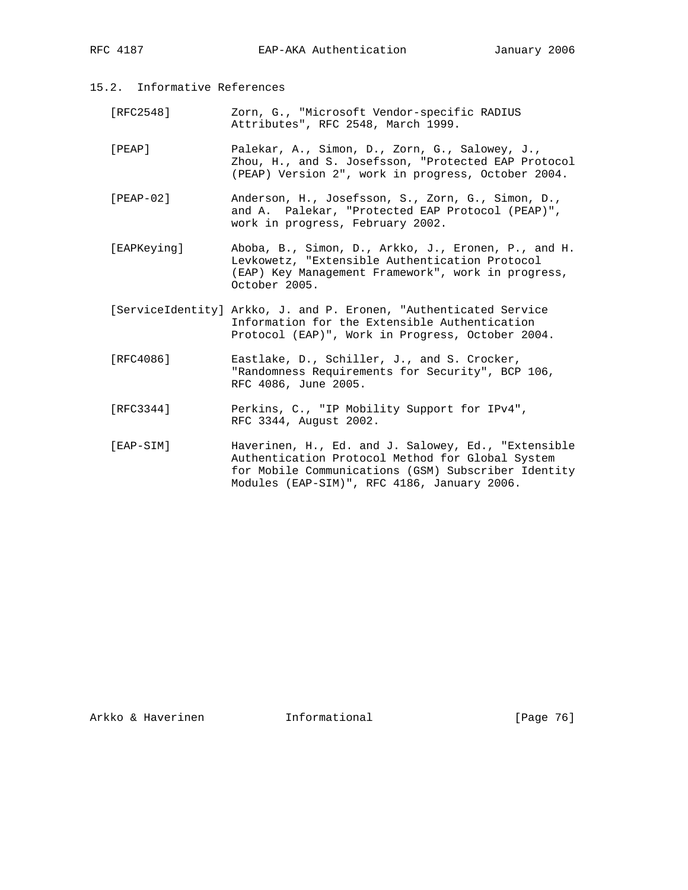- 15.2. Informative References
	- [RFC2548] Zorn, G., "Microsoft Vendor-specific RADIUS Attributes", RFC 2548, March 1999.
	- [PEAP] Palekar, A., Simon, D., Zorn, G., Salowey, J., Zhou, H., and S. Josefsson, "Protected EAP Protocol (PEAP) Version 2", work in progress, October 2004.
	- [PEAP-02] Anderson, H., Josefsson, S., Zorn, G., Simon, D., and A. Palekar, "Protected EAP Protocol (PEAP)", work in progress, February 2002.
	- [EAPKeying] Aboba, B., Simon, D., Arkko, J., Eronen, P., and H. Levkowetz, "Extensible Authentication Protocol (EAP) Key Management Framework", work in progress, October 2005.
	- [ServiceIdentity] Arkko, J. and P. Eronen, "Authenticated Service Information for the Extensible Authentication Protocol (EAP)", Work in Progress, October 2004.
	- [RFC4086] Eastlake, D., Schiller, J., and S. Crocker, "Randomness Requirements for Security", BCP 106, RFC 4086, June 2005.
	- [RFC3344] Perkins, C., "IP Mobility Support for IPv4", RFC 3344, August 2002.
	- [EAP-SIM] Haverinen, H., Ed. and J. Salowey, Ed., "Extensible Authentication Protocol Method for Global System for Mobile Communications (GSM) Subscriber Identity Modules (EAP-SIM)", RFC 4186, January 2006.

Arkko & Haverinen 1nformational [Page 76]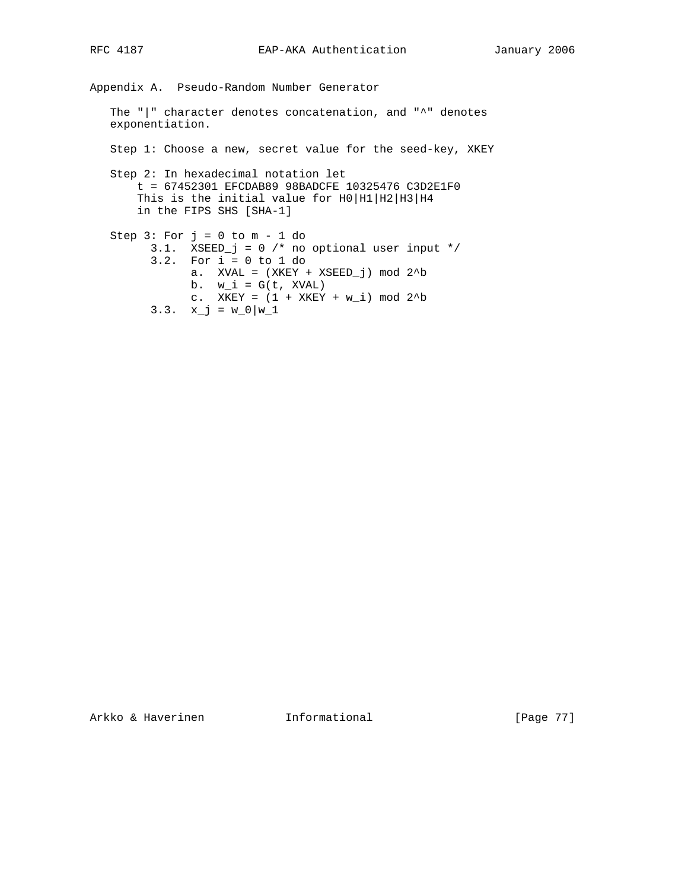Appendix A. Pseudo-Random Number Generator The "|" character denotes concatenation, and "^" denotes exponentiation. Step 1: Choose a new, secret value for the seed-key, XKEY Step 2: In hexadecimal notation let t = 67452301 EFCDAB89 98BADCFE 10325476 C3D2E1F0 This is the initial value for H0 |H1 |H2 |H3 |H4 in the FIPS SHS [SHA-1] Step  $3: For j = 0 to m - 1 do$  3.1. XSEED\_j = 0 /\* no optional user input \*/ 3.2. For i = 0 to 1 do a. XVAL =  $(XKEY + XSEED_j)$  mod  $2^b$ b.  $w_i = G(t, XVAL)$ c. XKEY =  $(1 + XKEY + w_i) \mod 2^b$ 3.3.  $x_{j} = w_{0}|w_{1}$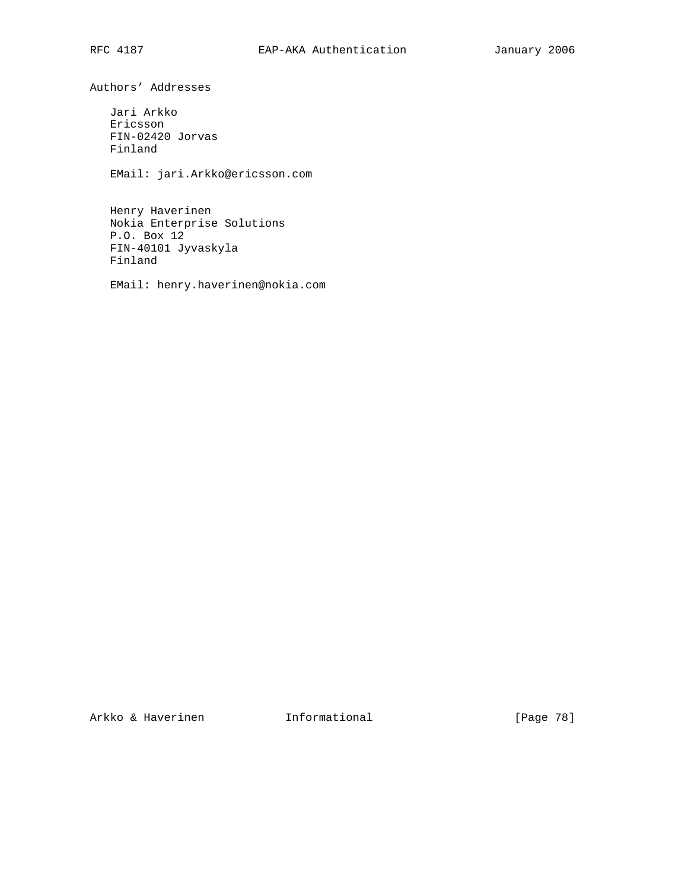Authors' Addresses

 Jari Arkko Ericsson FIN-02420 Jorvas Finland

EMail: jari.Arkko@ericsson.com

 Henry Haverinen Nokia Enterprise Solutions P.O. Box 12 FIN-40101 Jyvaskyla Finland

EMail: henry.haverinen@nokia.com